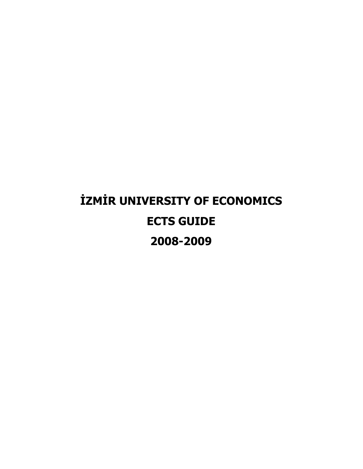# İZMİR UNIVERSITY OF ECONOMICS ECTS GUIDE 2008-2009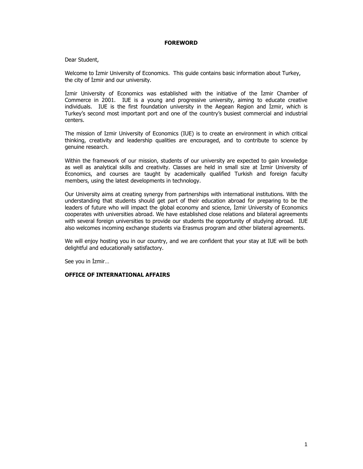#### FOREWORD

Dear Student,

Welcome to İzmir University of Economics. This quide contains basic information about Turkey, the city of İzmir and our university.

Izmir University of Economics was established with the initiative of the Izmir Chamber of Commerce in 2001. IUE is a young and progressive university, aiming to educate creative individuals. IUE is the first foundation university in the Aegean Region and İzmir, which is Turkey's second most important port and one of the country's busiest commercial and industrial centers.

The mission of Izmir University of Economics (IUE) is to create an environment in which critical thinking, creativity and leadership qualities are encouraged, and to contribute to science by genuine research.

Within the framework of our mission, students of our university are expected to gain knowledge as well as analytical skills and creativity. Classes are held in small size at Izmir University of Economics, and courses are taught by academically qualified Turkish and foreign faculty members, using the latest developments in technology.

Our University aims at creating synergy from partnerships with international institutions. With the understanding that students should get part of their education abroad for preparing to be the leaders of future who will impact the global economy and science, İzmir University of Economics cooperates with universities abroad. We have established close relations and bilateral agreements with several foreign universities to provide our students the opportunity of studying abroad. IUE also welcomes incoming exchange students via Erasmus program and other bilateral agreements.

We will enjoy hosting you in our country, and we are confident that your stay at IUE will be both delightful and educationally satisfactory.

See you in İzmir...

## OFFICE OF INTERNATIONAL AFFAIRS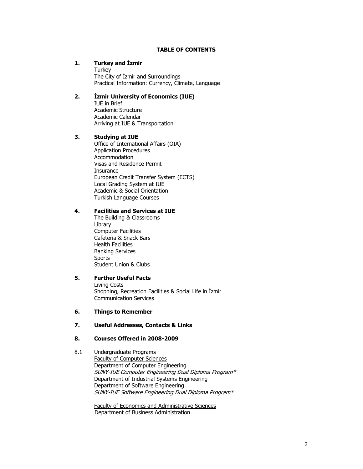## TABLE OF CONTENTS

## 1. Turkey and İzmir

**Turkey** The City of İzmir and Surroundings Practical Information: Currency, Climate, Language

## 2. *Izmir University of Economics (IUE)*

IUE in Brief Academic Structure Academic Calendar Arriving at IUE & Transportation

## 3. Studying at IUE

Office of International Affairs (OIA) Application Procedures Accommodation Visas and Residence Permit **Insurance** European Credit Transfer System (ECTS) Local Grading System at IUE Academic & Social Orientation Turkish Language Courses

## 4. Facilities and Services at IUE

The Building & Classrooms Library Computer Facilities Cafeteria & Snack Bars Health Facilities Banking Services **Sports** Student Union & Clubs

## 5. Further Useful Facts

Living Costs Shopping, Recreation Facilities & Social Life in İzmir Communication Services

## 6. Things to Remember

## 7. Useful Addresses, Contacts & Links

## 8. Courses Offered in 2008-2009

8.1 Undergraduate Programs Faculty of Computer Sciences Department of Computer Engineering SUNY-IUE Computer Engineering Dual Diploma Program\* Department of Industrial Systems Engineering Department of Software Engineering SUNY-IUE Software Engineering Dual Diploma Program\*

> Faculty of Economics and Administrative Sciences Department of Business Administration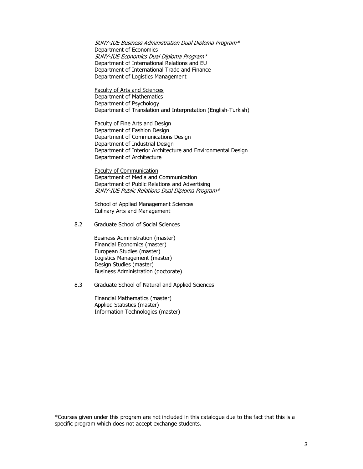SUNY-IUE Business Administration Dual Diploma Program\* Department of Economics SUNY-IUE Economics Dual Diploma Program\* Department of International Relations and EU Department of International Trade and Finance Department of Logistics Management

Faculty of Arts and Sciences Department of Mathematics Department of Psychology Department of Translation and Interpretation (English-Turkish)

Faculty of Fine Arts and Design Department of Fashion Design Department of Communications Design Department of Industrial Design Department of Interior Architecture and Environmental Design Department of Architecture

Faculty of Communication Department of Media and Communication Department of Public Relations and Advertising SUNY-IUE Public Relations Dual Diploma Program\*

School of Applied Management Sciences Culinary Arts and Management

8.2 Graduate School of Social Sciences

 Business Administration (master) Financial Economics (master) European Studies (master) Logistics Management (master) Design Studies (master) Business Administration (doctorate)

8.3 Graduate School of Natural and Applied Sciences

Financial Mathematics (master) Applied Statistics (master) Information Technologies (master)

-

<sup>\*</sup>Courses given under this program are not included in this catalogue due to the fact that this is a specific program which does not accept exchange students.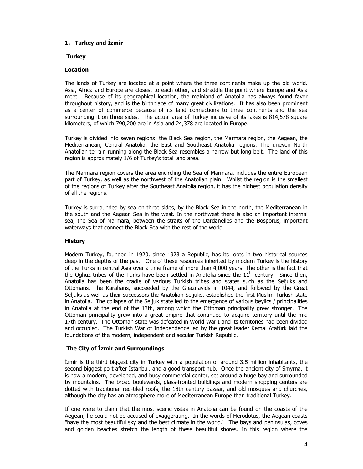## 1. Turkey and İzmir

## **Turkey**

## Location

The lands of Turkey are located at a point where the three continents make up the old world. Asia, Africa and Europe are closest to each other, and straddle the point where Europe and Asia meet. Because of its geographical location, the mainland of Anatolia has always found favor throughout history, and is the birthplace of many great civilizations. It has also been prominent as a center of commerce because of its land connections to three continents and the sea surrounding it on three sides. The actual area of Turkey inclusive of its lakes is 814,578 square kilometers, of which 790,200 are in Asia and 24,378 are located in Europe.

Turkey is divided into seven regions: the Black Sea region, the Marmara region, the Aegean, the Mediterranean, Central Anatolia, the East and Southeast Anatolia regions. The uneven North Anatolian terrain running along the Black Sea resembles a narrow but long belt. The land of this region is approximately 1/6 of Turkey's total land area.

The Marmara region covers the area encircling the Sea of Marmara, includes the entire European part of Turkey, as well as the northwest of the Anatolian plain. Whilst the region is the smallest of the regions of Turkey after the Southeast Anatolia region, it has the highest population density of all the regions.

Turkey is surrounded by sea on three sides, by the Black Sea in the north, the Mediterranean in the south and the Aegean Sea in the west. In the northwest there is also an important internal sea, the Sea of Marmara, between the straits of the Dardanelles and the Bosporus, important waterways that connect the Black Sea with the rest of the world.

## History

Modern Turkey, founded in 1920, since 1923 a Republic, has its roots in two historical sources deep in the depths of the past. One of these resources inherited by modern Turkey is the history of the Turks in central Asia over a time frame of more than 4,000 years. The other is the fact that the Oghuz tribes of the Turks have been settled in Anatolia since the  $11<sup>th</sup>$  century. Since then, Anatolia has been the cradle of various Turkish tribes and states such as the Seljuks and Ottomans. The Karahans, succeeded by the Ghaznavids in 1044, and followed by the Great Seljuks as well as their successors the Anatolian Seljuks, established the first Muslim-Turkish state in Anatolia. The collapse of the Seljuk state led to the emergence of various beylics / principalities in Anatolia at the end of the 13th, among which the Ottoman principality grew stronger. The Ottoman principality grew into a great empire that continued to acquire territory until the mid 17th century. The Ottoman state was defeated in World War I and its territories had been divided and occupied. The Turkish War of Independence led by the great leader Kemal Atatürk laid the foundations of the modern, independent and secular Turkish Republic.

## The City of *Izmir* and Surroundings

Đzmir is the third biggest city in Turkey with a population of around 3.5 million inhabitants, the second biggest port after Istanbul, and a good transport hub. Once the ancient city of Smyrna, it is now a modern, developed, and busy commercial center, set around a huge bay and surrounded by mountains. The broad boulevards, glass-fronted buildings and modern shopping centers are dotted with traditional red-tiled roofs, the 18th century bazaar, and old mosques and churches, although the city has an atmosphere more of Mediterranean Europe than traditional Turkey.

If one were to claim that the most scenic vistas in Anatolia can be found on the coasts of the Aegean, he could not be accused of exaggerating. In the words of Herodotus, the Aegean coasts "have the most beautiful sky and the best climate in the world." The bays and peninsulas, coves and golden beaches stretch the length of these beautiful shores. In this region where the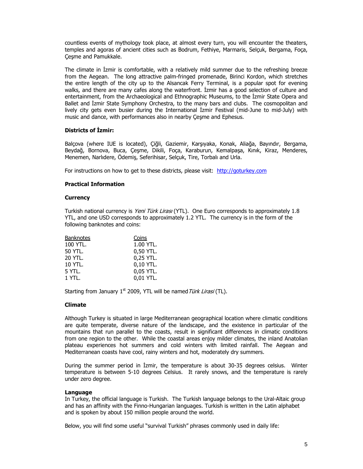countless events of mythology took place, at almost every turn, you will encounter the theaters, temples and agoras of ancient cities such as Bodrum, Fethiye, Marmaris, Selçuk, Bergama, Foça, Çeşme and Pamukkale.

The climate in Izmir is comfortable, with a relatively mild summer due to the refreshing breeze from the Aegean. The long attractive palm-fringed promenade, Birinci Kordon, which stretches the entire length of the city up to the Alsancak Ferry Terminal, is a popular spot for evening walks, and there are many cafes along the waterfront. Izmir has a good selection of culture and entertainment, from the Archaeological and Ethnographic Museums, to the Izmir State Opera and Ballet and Izmir State Symphony Orchestra, to the many bars and clubs. The cosmopolitan and lively city gets even busier during the International Izmir Festival (mid-June to mid-July) with music and dance, with performances also in nearby Çeşme and Ephesus.

## Districts of *Izmir:*

Balçova (where IUE is located), Çiğli, Gaziemir, Karşıyaka, Konak, Aliağa, Bayındır, Bergama, Beydağ, Bornova, Buca, Çeşme, Dikili, Foça, Karaburun, Kemalpaşa, Kınık, Kiraz, Menderes, Menemen, Narlıdere, Ödemiş, Seferihisar, Selçuk, Tire, Torbalı and Urla.

For instructions on how to get to these districts, please visit: http://goturkey.com

## Practical Information

## **Currency**

Turkish national currency is Yeni Türk Lirası (YTL). One Euro corresponds to approximately 1.8 YTL, and one USD corresponds to approximately 1.2 YTL. The currency is in the form of the following banknotes and coins:

| <b>Banknotes</b> | Coins     |
|------------------|-----------|
| 100 YTL.         | 1.00 YTL. |
| 50 YTL.          | 0,50 YTL. |
| 20 YTL.          | 0,25 YTL. |
| 10 YTL.          | 0,10 YTL. |
| 5 YTL.           | 0,05 YTL. |
| 1 YTL.           | 0,01 YTL. |

Starting from January 1<sup>st</sup> 2009, YTL will be named Türk Lirasi (TL).

## Climate

Although Turkey is situated in large Mediterranean geographical location where climatic conditions are quite temperate, diverse nature of the landscape, and the existence in particular of the mountains that run parallel to the coasts, result in significant differences in climatic conditions from one region to the other. While the coastal areas enjoy milder climates, the inland Anatolian plateau experiences hot summers and cold winters with limited rainfall. The Aegean and Mediterranean coasts have cool, rainy winters and hot, moderately dry summers.

During the summer period in Izmir, the temperature is about 30-35 degrees celsius. Winter temperature is between 5-10 degrees Celsius. It rarely snows, and the temperature is rarely under zero degree.

#### Language

In Turkey, the official language is Turkish. The Turkish language belongs to the Ural-Altaic group and has an affinity with the Finno-Hungarian languages. Turkish is written in the Latin alphabet and is spoken by about 150 million people around the world.

Below, you will find some useful "survival Turkish" phrases commonly used in daily life: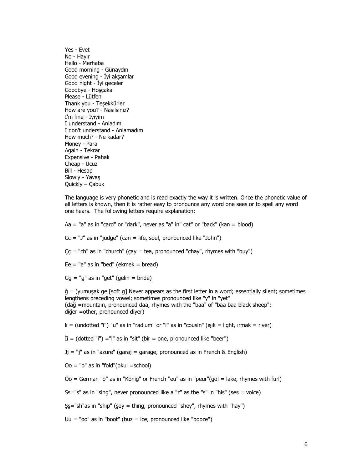Yes - Evet No - Hayır Hello - Merhaba Good morning - Günaydın Good evening - İyi akşamlar Good night - İyi geceler Goodbye - Hoşçakal Please - Lütfen Thank you - Teşekkürler How are you? - Nasılsınız? I'm fine - İyiyim I understand - Anladım I don't understand - Anlamadım How much? - Ne kadar? Money - Para Again - Tekrar Expensive - Pahalı Cheap - Ucuz Bill - Hesap Slowly - Yavaş Quickly – Çabuk

The language is very phonetic and is read exactly the way it is written. Once the phonetic value of all letters is known, then it is rather easy to pronounce any word one sees or to spell any word one hears. The following letters require explanation:

Aa = "a" as in "card" or "dark", never as "a" in" cat" or "back" (kan = blood)

 $Cc = "J"$  as in "judge" (can = life, soul, pronounced like "John")

 $C_f$  = "ch" as in "church" (çay = tea, pronounced "chay", rhymes with "buy")

 $Ee = "e"$  as in "bed" (ekmek = bread)

 $Gg = "g"$  as in "get" (gelin = bride)

 $\ddot{q}$  = (yumuşak ge [soft g] Never appears as the first letter in a word; essentially silent; sometimes lengthens preceding vowel; sometimes pronounced like "y" in "yet" (dağ =mountain, pronounced daa, rhymes with the "baa" of "baa baa black sheep"; diğer =other, pronounced diyer)

 $I =$  (undotted "i") "u" as in "radium" or "i" as in "cousin" (işik = light, irmak = river)

 $\dot{\text{I}}$  = (dotted "i") ="i" as in "sit" (bir = one, pronounced like "beer")

 $Jj = "j"$  as in "azure" (garaj = garage, pronounced as in French & English)

 $Oo = "o"$  as in "fold"(okul =school)

Öö = German "ö" as in "König" or French "eu" as in "peur"(göl = lake, rhymes with furl)

 $Ss="s"$  as in "sing", never pronounced like a "z" as the "s" in "his" (ses = voice)

Şş="sh"as in "ship" (şey = thing, pronounced "shey", rhymes with "hay")

Uu = " $oo$ " as in "boot" (buz = ice, pronounced like "booze")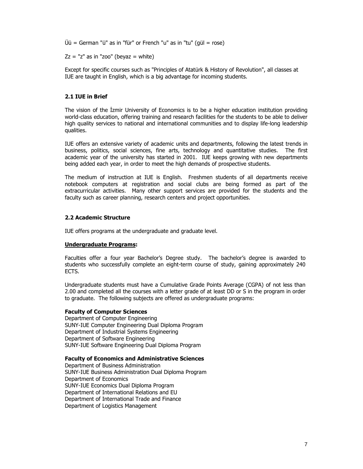Üü = German "ü" as in "für" or French "u" as in "tu" (gül = rose)

 $Zz = "z"$  as in "zoo" (beyaz = white)

Except for specific courses such as "Principles of Atatürk & History of Revolution", all classes at IUE are taught in English, which is a big advantage for incoming students.

## 2.1 IUE in Brief

The vision of the Izmir University of Economics is to be a higher education institution providing world-class education, offering training and research facilities for the students to be able to deliver high quality services to national and international communities and to display life-long leadership qualities.

IUE offers an extensive variety of academic units and departments, following the latest trends in business, politics, social sciences, fine arts, technology and quantitative studies. The first academic year of the university has started in 2001. IUE keeps growing with new departments being added each year, in order to meet the high demands of prospective students.

The medium of instruction at IUE is English. Freshmen students of all departments receive notebook computers at registration and social clubs are being formed as part of the extracurricular activities. Many other support services are provided for the students and the faculty such as career planning, research centers and project opportunities.

#### 2.2 Academic Structure

IUE offers programs at the undergraduate and graduate level.

#### Undergraduate Programs:

Faculties offer a four year Bachelor's Degree study. The bachelor's degree is awarded to students who successfully complete an eight-term course of study, gaining approximately 240 ECTS.

Undergraduate students must have a Cumulative Grade Points Average (CGPA) of not less than 2.00 and completed all the courses with a letter grade of at least DD or S in the program in order to graduate. The following subjects are offered as undergraduate programs:

#### Faculty of Computer Sciences

Department of Computer Engineering SUNY-IUE Computer Engineering Dual Diploma Program Department of Industrial Systems Engineering Department of Software Engineering SUNY-IUE Software Engineering Dual Diploma Program

#### Faculty of Economics and Administrative Sciences

Department of Business Administration SUNY-IUE Business Administration Dual Diploma Program Department of Economics SUNY-IUE Economics Dual Diploma Program Department of International Relations and EU Department of International Trade and Finance Department of Logistics Management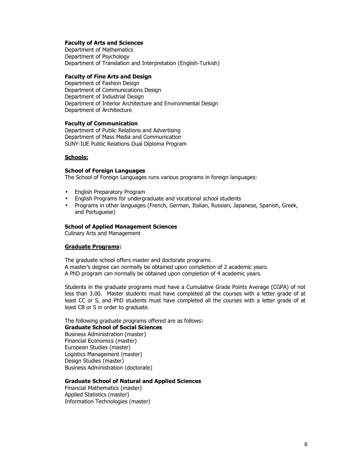## Faculty of Arts and Sciences

Department of Mathematics Department of Psychology Department of Translation and Interpretation (English-Turkish)

#### Faculty of Fine Arts and Design

Department of Fashion Design Department of Communications Design Department of Industrial Design Department of Interior Architecture and Environmental Design Department of Architecture

#### Faculty of Communication

Department of Public Relations and Advertising Department of Mass Media and Communication SUNY-IUE Public Relations Dual Diploma Program

#### Schools:

#### School of Foreign Languages

The School of Foreign Languages runs various programs in foreign languages:

- English Preparatory Program
- English Programs for undergraduate and vocational school students
- Programs in other languages (French, German, Italian, Russian, Japanese, Spanish, Greek, and Portuguese)

#### School of Applied Management Sciences

Culinary Arts and Management

## Graduate Programs:

The graduate school offers master and doctorate programs. A master's degree can normally be obtained upon completion of 2 academic years. A PhD program can normally be obtained upon completion of 4 academic years.

Students in the graduate programs must have a Cumulative Grade Points Average (CGPA) of not less than 3.00. Master students must have completed all the courses with a letter grade of at least CC or S, and PhD students must have completed all the courses with a letter grade of at least CB or S in order to graduate.

The following graduate programs offered are as follows: Graduate School of Social Sciences

Business Administration (master) Financial Economics (master) European Studies (master) Logistics Management (master) Design Studies (master) Business Administration (doctorate)

#### Graduate School of Natural and Applied Sciences

Financial Mathematics (master) Applied Statistics (master) Information Technologies (master)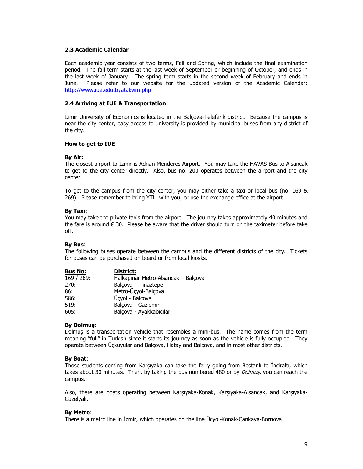#### 2.3 Academic Calendar

 Each academic year consists of two terms, Fall and Spring, which include the final examination period. The fall term starts at the last week of September or beginning of October, and ends in the last week of January. The spring term starts in the second week of February and ends in June. Please refer to our website for the updated version of the Academic Calendar: http://www.iue.edu.tr/atakvim.php

#### 2.4 Arriving at IUE & Transportation

Izmir University of Economics is located in the Balçova-Teleferik district. Because the campus is near the city center, easy access to university is provided by municipal buses from any district of the city.

#### How to get to IUE

#### By Air:

The closest airport to Izmir is Adnan Menderes Airport. You may take the HAVAS Bus to Alsancak to get to the city center directly. Also, bus no. 200 operates between the airport and the city center.

To get to the campus from the city center, you may either take a taxi or local bus (no. 169 & 269). Please remember to bring YTL. with you, or use the exchange office at the airport.

#### By Taxi:

You may take the private taxis from the airport. The journey takes approximately 40 minutes and the fare is around  $\epsilon$  30. Please be aware that the driver should turn on the taximeter before take off.

#### By Bus:

The following buses operate between the campus and the different districts of the city. Tickets for buses can be purchased on board or from local kiosks.

| <b>Bus No:</b> | District:                           |
|----------------|-------------------------------------|
| 169 / 269:     | Halkapınar Metro-Alsancak – Balçova |
| 270:           | Balçova - Tinaztepe                 |
| 86:            | Metro-Üçyol-Balçova                 |
| 586:           | Üçyol - Balçova                     |
| 519:           | Balçova - Gaziemir                  |
| 605:           | Balçova - Ayakkabıcılar             |

## By Dolmuş:

Dolmuş is a transportation vehicle that resembles a mini-bus. The name comes from the term meaning "full" in Turkish since it starts its journey as soon as the vehicle is fully occupied. They operate between Üçkuyular and Balçova, Hatay and Balçova, and in most other districts.

#### By Boat:

Those students coming from Karsıyaka can take the ferry going from Bostanlı to İnciraltı, which takes about 30 minutes. Then, by taking the bus numbered 480 or by *Dolmuş*, you can reach the campus.

Also, there are boats operating between Karşıyaka-Konak, Karşıyaka-Alsancak, and Karşıyaka-Güzelyalı.

#### By Metro:

There is a metro line in İzmir, which operates on the line Üçyol-Konak-Cankaya-Bornova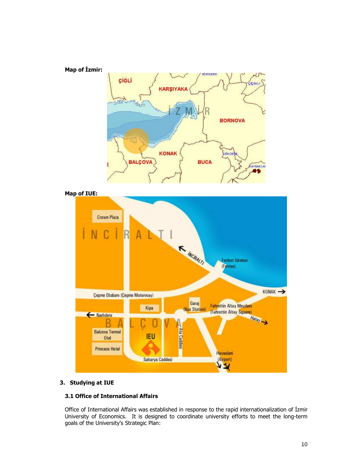

## 3. Studying at IUE

## 3.1 Office of International Affairs

Office of International Affairs was established in response to the rapid internationalization of İzmir University of Economics. It is designed to coordinate university efforts to meet the long-term goals of the University's Strategic Plan: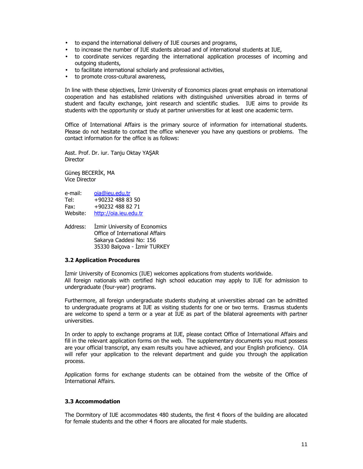- to expand the international delivery of IUE courses and programs,
- to increase the number of IUE students abroad and of international students at IUE,
- to coordinate services regarding the international application processes of incoming and outgoing students,
- to facilitate international scholarly and professional activities,
- to promote cross-cultural awareness,

In line with these objectives, Izmir University of Economics places great emphasis on international cooperation and has established relations with distinguished universities abroad in terms of student and faculty exchange, joint research and scientific studies. IUE aims to provide its students with the opportunity or study at partner universities for at least one academic term.

Office of International Affairs is the primary source of information for international students. Please do not hesitate to contact the office whenever you have any questions or problems. The contact information for the office is as follows:

Asst. Prof. Dr. iur. Tanju Oktay YAŞAR **Director** 

Güneş BECERİK, MA Vice Director

| e-mail:  | oja@jeu.edu.tr        |
|----------|-----------------------|
| Tel:     | +90232 488 83 50      |
| Fax:     | +90232 488 82 71      |
| Website: | http://oia.ieu.edu.tr |

Address: İzmir University of Economics Office of International Affairs Sakarya Caddesi No: 156 35330 Balcova - İzmir TURKEY

## 3.2 Application Procedures

İzmir University of Economics (IUE) welcomes applications from students worldwide. All foreign nationals with certified high school education may apply to IUE for admission to undergraduate (four-year) programs.

Furthermore, all foreign undergraduate students studying at universities abroad can be admitted to undergraduate programs at IUE as visiting students for one or two terms. Erasmus students are welcome to spend a term or a year at IUE as part of the bilateral agreements with partner universities.

In order to apply to exchange programs at IUE, please contact Office of International Affairs and fill in the relevant application forms on the web. The supplementary documents you must possess are your official transcript, any exam results you have achieved, and your English proficiency. OIA will refer your application to the relevant department and guide you through the application process.

Application forms for exchange students can be obtained from the website of the Office of International Affairs.

## 3.3 Accommodation

The Dormitory of IUE accommodates 480 students, the first 4 floors of the building are allocated for female students and the other 4 floors are allocated for male students.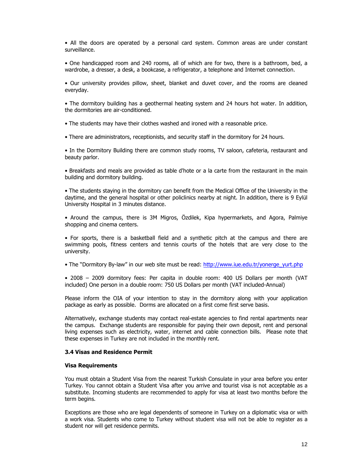• All the doors are operated by a personal card system. Common areas are under constant surveillance.

• One handicapped room and 240 rooms, all of which are for two, there is a bathroom, bed, a wardrobe, a dresser, a desk, a bookcase, a refrigerator, a telephone and Internet connection.

• Our university provides pillow, sheet, blanket and duvet cover, and the rooms are cleaned everyday.

• The dormitory building has a geothermal heating system and 24 hours hot water. In addition, the dormitories are air-conditioned.

• The students may have their clothes washed and ironed with a reasonable price.

• There are administrators, receptionists, and security staff in the dormitory for 24 hours.

• In the Dormitory Building there are common study rooms, TV saloon, cafeteria, restaurant and beauty parlor.

• Breakfasts and meals are provided as table d'hote or a la carte from the restaurant in the main building and dormitory building.

• The students staying in the dormitory can benefit from the Medical Office of the University in the daytime, and the general hospital or other policlinics nearby at night. In addition, there is 9 Eylül University Hospital in 3 minutes distance.

• Around the campus, there is 3M Migros, Özdilek, Kipa hypermarkets, and Agora, Palmiye shopping and cinema centers.

• For sports, there is a basketball field and a synthetic pitch at the campus and there are swimming pools, fitness centers and tennis courts of the hotels that are very close to the university.

• The "Dormitory By-law" in our web site must be read: http://www.iue.edu.tr/yonerge\_yurt.php

• 2008 – 2009 dormitory fees: Per capita in double room: 400 US Dollars per month (VAT included) One person in a double room: 750 US Dollars per month (VAT included-Annual)

Please inform the OIA of your intention to stay in the dormitory along with your application package as early as possible. Dorms are allocated on a first come first serve basis.

Alternatively, exchange students may contact real-estate agencies to find rental apartments near the campus. Exchange students are responsible for paying their own deposit, rent and personal living expenses such as electricity, water, internet and cable connection bills. Please note that these expenses in Turkey are not included in the monthly rent.

#### 3.4 Visas and Residence Permit

#### Visa Requirements

You must obtain a Student Visa from the nearest Turkish Consulate in your area before you enter Turkey. You cannot obtain a Student Visa after you arrive and tourist visa is not acceptable as a substitute. Incoming students are recommended to apply for visa at least two months before the term begins.

Exceptions are those who are legal dependents of someone in Turkey on a diplomatic visa or with a work visa. Students who come to Turkey without student visa will not be able to register as a student nor will get residence permits.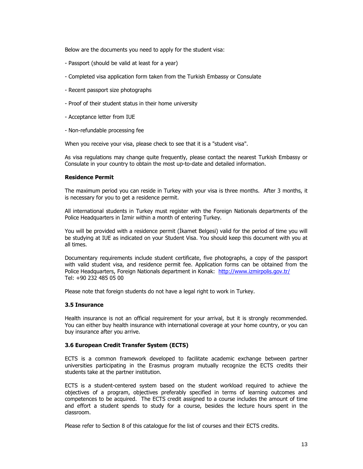Below are the documents you need to apply for the student visa:

- Passport (should be valid at least for a year)
- Completed visa application form taken from the Turkish Embassy or Consulate
- Recent passport size photographs
- Proof of their student status in their home university
- Acceptance letter from IUE
- Non-refundable processing fee

When you receive your visa, please check to see that it is a "student visa".

As visa regulations may change quite frequently, please contact the nearest Turkish Embassy or Consulate in your country to obtain the most up-to-date and detailed information.

#### Residence Permit

The maximum period you can reside in Turkey with your visa is three months. After 3 months, it is necessary for you to get a residence permit.

All international students in Turkey must register with the Foreign Nationals departments of the Police Headquarters in Izmir within a month of entering Turkey.

You will be provided with a residence permit (Ikamet Belgesi) valid for the period of time you will be studying at IUE as indicated on your Student Visa. You should keep this document with you at all times.

Documentary requirements include student certificate, five photographs, a copy of the passport with valid student visa, and residence permit fee. Application forms can be obtained from the Police Headquarters, Foreign Nationals department in Konak: http://www.izmirpolis.gov.tr/ Tel: +90 232 485 05 00

Please note that foreign students do not have a legal right to work in Turkey.

#### 3.5 Insurance

Health insurance is not an official requirement for your arrival, but it is strongly recommended. You can either buy health insurance with international coverage at your home country, or you can buy insurance after you arrive.

## 3.6 European Credit Transfer System (ECTS)

ECTS is a common framework developed to facilitate academic exchange between partner universities participating in the Erasmus program mutually recognize the ECTS credits their students take at the partner institution.

ECTS is a student-centered system based on the student workload required to achieve the objectives of a program, objectives preferably specified in terms of learning outcomes and competences to be acquired. The ECTS credit assigned to a course includes the amount of time and effort a student spends to study for a course, besides the lecture hours spent in the classroom.

Please refer to Section 8 of this catalogue for the list of courses and their ECTS credits.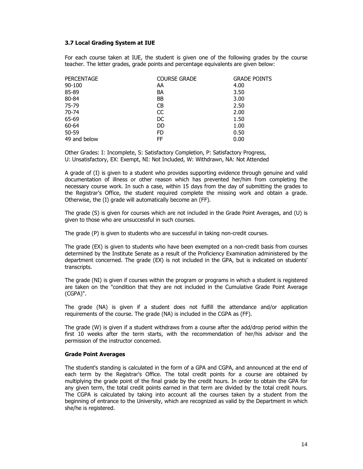## 3.7 Local Grading System at IUE

For each course taken at IUE, the student is given one of the following grades by the course teacher. The letter grades, grade points and percentage equivalents are given below:

| <b>PERCENTAGE</b> | <b>COURSE GRADE</b> | <b>GRADE POINTS</b> |
|-------------------|---------------------|---------------------|
| 90-100            | AA                  | 4.00                |
| 85-89             | BΑ                  | 3.50                |
| 80-84             | BB                  | 3.00                |
| 75-79             | CB                  | 2.50                |
| 70-74             | CC.                 | 2.00                |
| 65-69             | DC.                 | 1.50                |
| 60-64             | DD                  | 1.00                |
| 50-59             | FD                  | 0.50                |
| 49 and below      | FF                  | 0.00                |

Other Grades: I: Incomplete, S: Satisfactory Completion, P: Satisfactory Progress, U: Unsatisfactory, EX: Exempt, NI: Not Included, W: Withdrawn, NA: Not Attended

A grade of (I) is given to a student who provides supporting evidence through genuine and valid documentation of illness or other reason which has prevented her/him from completing the necessary course work. In such a case, within 15 days from the day of submitting the grades to the Registrar's Office, the student required complete the missing work and obtain a grade. Otherwise, the (I) grade will automatically become an (FF).

The grade (S) is given for courses which are not included in the Grade Point Averages, and (U) is given to those who are unsuccessful in such courses.

The grade (P) is given to students who are successful in taking non-credit courses.

The grade (EX) is given to students who have been exempted on a non-credit basis from courses determined by the Institute Senate as a result of the Proficiency Examination administered by the department concerned. The grade (EX) is not included in the GPA, but is indicated on students' transcripts.

The grade (NI) is given if courses within the program or programs in which a student is registered are taken on the "condition that they are not included in the Cumulative Grade Point Average (CGPA)".

The grade (NA) is given if a student does not fulfill the attendance and/or application requirements of the course. The grade (NA) is included in the CGPA as (FF).

The grade (W) is given if a student withdraws from a course after the add/drop period within the first 10 weeks after the term starts, with the recommendation of her/his advisor and the permission of the instructor concerned.

#### Grade Point Averages

The student's standing is calculated in the form of a GPA and CGPA, and announced at the end of each term by the Registrar's Office. The total credit points for a course are obtained by multiplying the grade point of the final grade by the credit hours. In order to obtain the GPA for any given term, the total credit points earned in that term are divided by the total credit hours. The CGPA is calculated by taking into account all the courses taken by a student from the beginning of entrance to the University, which are recognized as valid by the Department in which she/he is registered.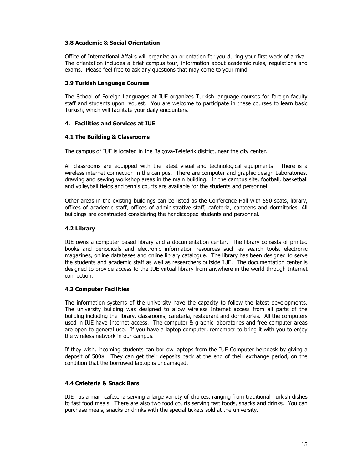## 3.8 Academic & Social Orientation

Office of International Affairs will organize an orientation for you during your first week of arrival. The orientation includes a brief campus tour, information about academic rules, regulations and exams. Please feel free to ask any questions that may come to your mind.

## 3.9 Turkish Language Courses

The School of Foreign Languages at IUE organizes Turkish language courses for foreign faculty staff and students upon request. You are welcome to participate in these courses to learn basic Turkish, which will facilitate your daily encounters.

## 4. Facilities and Services at IUE

## 4.1 The Building & Classrooms

The campus of IUE is located in the Balçova-Teleferik district, near the city center.

All classrooms are equipped with the latest visual and technological equipments. There is a wireless internet connection in the campus. There are computer and graphic design Laboratories, drawing and sewing workshop areas in the main building. In the campus site, football, basketball and volleyball fields and tennis courts are available for the students and personnel.

Other areas in the existing buildings can be listed as the Conference Hall with 550 seats, library, offices of academic staff, offices of administrative staff, cafeteria, canteens and dormitories. All buildings are constructed considering the handicapped students and personnel.

## 4.2 Library

IUE owns a computer based library and a documentation center. The library consists of printed books and periodicals and electronic information resources such as search tools, electronic magazines, online databases and online library catalogue. The library has been designed to serve the students and academic staff as well as researchers outside IUE. The documentation center is designed to provide access to the IUE virtual library from anywhere in the world through Internet connection.

## 4.3 Computer Facilities

The information systems of the university have the capacity to follow the latest developments. The university building was designed to allow wireless Internet access from all parts of the building including the library, classrooms, cafeteria, restaurant and dormitories. All the computers used in IUE have Internet access. The computer & graphic laboratories and free computer areas are open to general use. If you have a laptop computer, remember to bring it with you to enjoy the wireless network in our campus.

If they wish, incoming students can borrow laptops from the IUE Computer helpdesk by giving a deposit of 500\$. They can get their deposits back at the end of their exchange period, on the condition that the borrowed laptop is undamaged.

## 4.4 Cafeteria & Snack Bars

IUE has a main cafeteria serving a large variety of choices, ranging from traditional Turkish dishes to fast food meals. There are also two food courts serving fast foods, snacks and drinks. You can purchase meals, snacks or drinks with the special tickets sold at the university.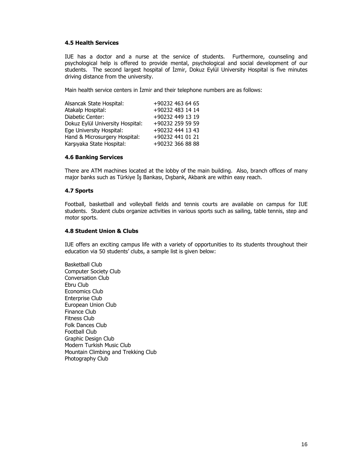## 4.5 Health Services

IUE has a doctor and a nurse at the service of students. Furthermore, counseling and psychological help is offered to provide mental, psychological and social development of our students. The second largest hospital of İzmir, Dokuz Eylül University Hospital is five minutes driving distance from the university.

Main health service centers in Izmir and their telephone numbers are as follows:

| Alsancak State Hospital:         | +90232 463 64 65 |
|----------------------------------|------------------|
| Atakalp Hospital:                | +90232 483 14 14 |
| Diabetic Center:                 | +90232 449 13 19 |
| Dokuz Eylül University Hospital: | +90232 259 59 59 |
| Ege University Hospital:         | +90232 444 13 43 |
| Hand & Microsurgery Hospital:    | +90232 441 01 21 |
| Karşıyaka State Hospital:        | +90232 366 88 88 |

#### 4.6 Banking Services

There are ATM machines located at the lobby of the main building. Also, branch offices of many major banks such as Türkiye İş Bankası, Dışbank, Akbank are within easy reach.

#### 4.7 Sports

Football, basketball and volleyball fields and tennis courts are available on campus for IUE students. Student clubs organize activities in various sports such as sailing, table tennis, step and motor sports.

#### 4.8 Student Union & Clubs

IUE offers an exciting campus life with a variety of opportunities to its students throughout their education via 50 students' clubs, a sample list is given below:

Basketball Club Computer Society Club Conversation Club Ebru Club Economics Club Enterprise Club European Union Club Finance Club Fitness Club Folk Dances Club Football Club Graphic Design Club Modern Turkish Music Club Mountain Climbing and Trekking Club Photography Club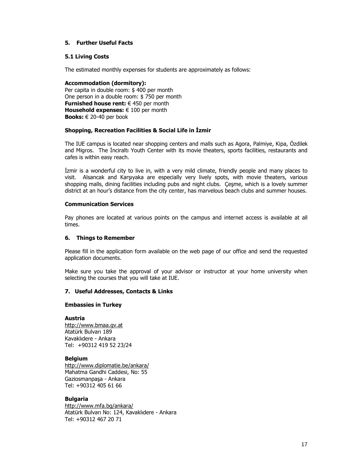## 5. Further Useful Facts

#### 5.1 Living Costs

The estimated monthly expenses for students are approximately as follows:

Accommodation (dormitory): Per capita in double room: \$ 400 per month One person in a double room: \$ 750 per month **Furnished house rent:**  $\in$  450 per month Household expenses:  $\in$  100 per month **Books:**  $\in$  20-40 per book

## Shopping, Recreation Facilities & Social Life in İzmir

The IUE campus is located near shopping centers and malls such as Agora, Palmiye, Kipa, Özdilek and Migros. The Inciralti Youth Center with its movie theaters, sports facilities, restaurants and cafes is within easy reach.

Izmir is a wonderful city to live in, with a very mild climate, friendly people and many places to visit. Alsancak and Karşıyaka are especially very lively spots, with movie theaters, various shopping malls, dining facilities including pubs and night clubs. Çeşme, which is a lovely summer district at an hour's distance from the city center, has marvelous beach clubs and summer houses.

#### Communication Services

Pay phones are located at various points on the campus and internet access is available at all times.

#### 6. Things to Remember

Please fill in the application form available on the web page of our office and send the requested application documents.

Make sure you take the approval of your advisor or instructor at your home university when selecting the courses that you will take at IUE.

#### 7. Useful Addresses, Contacts & Links

#### Embassies in Turkey

#### Austria

http://www.bmaa.gv.at Atatürk Bulvarı 189 Kavaklıdere - Ankara Tel: +90312 419 52 23/24

#### Belgium

http://www.diplomatie.be/ankara/ Mahatma Gandhi Caddesi, No: 55 Gaziosmanpaşa - Ankara Tel: +90312 405 61 66

## **Bulgaria**

http://www.mfa.bg/ankara/ Atatürk Bulvarı No: 124, Kavaklıdere - Ankara Tel: +90312 467 20 71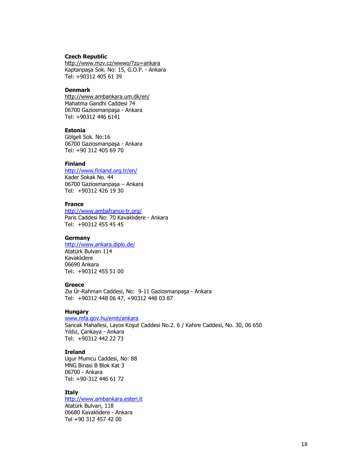#### Czech Republic

http://www.mzv.cz/wwwo/?zu=ankara Kaptanpaşa Sok. No: 15, G.O.P. - Ankara Tel: +90312 405 61 39

#### Denmark

http://www.ambankara.um.dk/en/ Mahatma Gandhi Caddesi 74 06700 Gaziosmanpaşa - Ankara Tel: +90312 446 6141

## Estonia

Gölgeli Sok. No:16 06700 Gaziosmanpaşa - Ankara Tel: +90 312 405 69 70

#### Finland

http://www.finland.org.tr/en/

Kader Sokak No. 44 06700 Gaziosmanpaşa – Ankara Tel: +90312 426 19 30

## France

http://www.ambafrance-tr.org/ Paris Caddesi No: 70 Kavaklıdere - Ankara Tel: +90312 455 45 45

#### Germany

http://www.ankara.diplo.de/ Atatürk Bulvarı 114

Kavaklıdere 06690 Ankara Tel: +90312 455 51 00

#### **Greece**

Zia Ür-Rahman Caddesi, No: 9-11 Gaziosmanpaşa - Ankara Tel: +90312 448 06 47, +90312 448 03 87

#### Hungary

#### www.mfa.gov.hu/emb/ankara

Sancak Mahallesi, Layos Koşut Caddesi No.2. 6 / Kahire Caddesi, No. 30, 06 650 Yıldız, Çankaya - Ankara Tel: +90312 442 22 73

#### Ireland

Ugur Mumcu Caddesi, No: 88 MNG Binasi B Blok Kat 3 06700 - Ankara Tel: +90-312 446 61 72

#### Italy

http://www.ambankara.esteri.it Atatürk Bulvarı, 118 06680 Kavaklıdere - Ankara Tel +90 312 457 42 00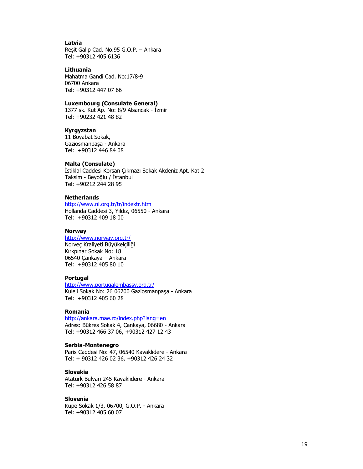## Latvia

Reşit Galip Cad. No.95 G.O.P. – Ankara Tel: +90312 405 6136

## Lithuania

Mahatma Gandi Cad. No:17/8-9 06700 Ankara Tel: +90312 447 07 66

#### Luxembourg (Consulate General)

1377 sk. Kut Ap. No: 8/9 Alsancak - İzmir Tel: +90232 421 48 82

#### Kyrgyzstan

11 Boyabat Sokak, Gaziosmanpaşa - Ankara Tel: +90312 446 84 08

#### Malta (Consulate)

İstiklal Caddesi Korsan Çıkmazı Sokak Akdeniz Apt. Kat 2 Taksim - Beyoğlu / İstanbul Tel: +90212 244 28 95

#### **Netherlands**

http://www.nl.org.tr/tr/indextr.htm Hollanda Caddesi 3, Yıldız, 06550 - Ankara Tel: +90312 409 18 00

#### Norway

http://www.norway.org.tr/ Norveç Kraliyeti Büyükelçiliği Kırkpınar Sokak No: 18 06540 Çankaya – Ankara Tel: +90312 405 80 10

#### Portugal

http://www.portugalembassy.org.tr/ Kuleli Sokak No: 26 06700 Gaziosmanpaşa - Ankara Tel: +90312 405 60 28

#### Romania

http://ankara.mae.ro/index.php?lang=en Adres: Bükreş Sokak 4, Çankaya, 06680 - Ankara Tel: +90312 466 37 06, +90312 427 12 43

#### Serbia-Montenegro

Paris Caddesi No: 47, 06540 Kavaklıdere - Ankara Tel: + 90312 426 02 36, +90312 426 24 32

#### Slovakia

Atatürk Bulvari 245 Kavaklıdere - Ankara Tel: +90312 426 58 87

#### Slovenia

Küpe Sokak 1/3, 06700, G.O.P. - Ankara Tel: +90312 405 60 07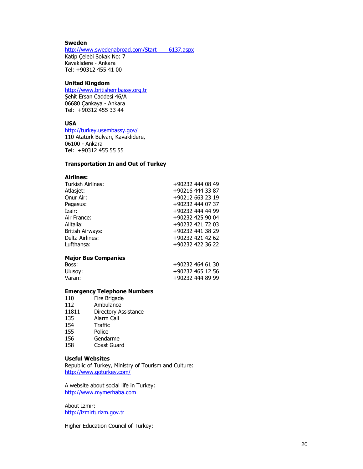## Sweden

http://www.swedenabroad.com/Start\_\_\_\_6137.aspx

Katip Çelebi Sokak No: 7 Kavaklıdere - Ankara Tel: +90312 455 41 00

#### United Kingdom

http://www.britishembassy.org.tr Şehit Ersan Caddesi 46/A 06680 Çankaya - Ankara Tel: +90312 455 33 44

#### USA

http://turkey.usembassy.gov/ 110 Atatürk Bulvarı, Kavaklıdere, 06100 - Ankara Tel: +90312 455 55 55

#### Transportation In and Out of Turkey

#### Airlines:

| Turkish Airlines:       | +90232 444 08 49   |
|-------------------------|--------------------|
| Atlasjet:               | +90216 444 33 87   |
| Onur Air:               | +90212 663 23 19   |
| Pegasus:                | +90232 444 07 37   |
| İzair:                  | +90232 444 44 99   |
| Air France:             | +90232 425 90 04   |
| Alitalia:               | +90232 421 72 03   |
| <b>British Airways:</b> | +90232 441 38 29   |
| Delta Airlines:         | +90232 421 42 62   |
| Lufthansa:              | $+90232$ 422 36 22 |
|                         |                    |
|                         |                    |

## Major Bus Companies

| Boss:   | +90232 464 61 30 |
|---------|------------------|
| Ulusoy: | +90232 465 12 56 |
| Varan:  | +90232 444 89 99 |

## Emergency Telephone Numbers

| 110   | Fire Brigade         |
|-------|----------------------|
| 112   | Ambulance            |
| 11811 | Directory Assistance |
| 135   | Alarm Call           |
| 154   | Traffic              |
| 155   | Police               |
| 156   | Gendarme             |
| 158   | Coast Guard          |
|       |                      |

#### Useful Websites

Republic of Turkey, Ministry of Tourism and Culture: http://www.goturkey.com/

A website about social life in Turkey: http://www.mymerhaba.com

About İzmir: http://izmirturizm.gov.tr

Higher Education Council of Turkey: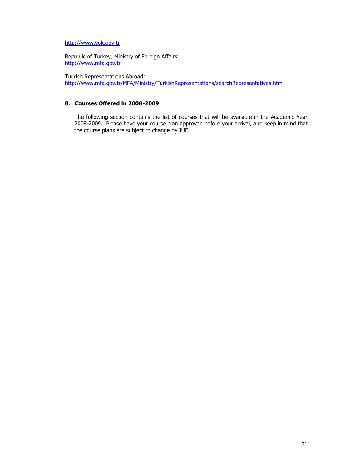## http://www.yok.gov.tr

Republic of Turkey, Ministry of Foreign Affairs: http://www.mfa.gov.tr

Turkish Representations Abroad: http://www.mfa.gov.tr/MFA/Ministry/TurkishRepresentations/searchRepresentatives.htm

## 8. Courses Offered in 2008-2009

The following section contains the list of courses that will be available in the Academic Year 2008-2009. Please have your course plan approved before your arrival, and keep in mind that the course plans are subject to change by IUE.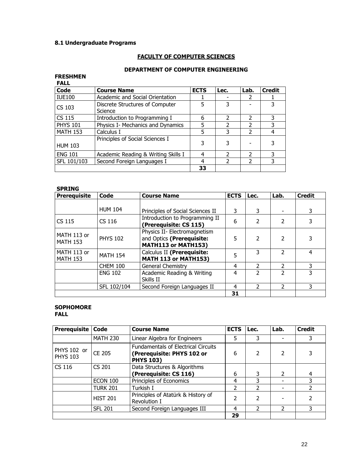# 8.1 Undergraduate Programs

# FACULTY OF COMPUTER SCIENCES

# DEPARTMENT OF COMPUTER ENGINEERING

| <b>FRESHMEN</b><br><b>FALL</b> |                                            |             |               |               |               |
|--------------------------------|--------------------------------------------|-------------|---------------|---------------|---------------|
| Code                           | <b>Course Name</b>                         | <b>ECTS</b> | Lec.          | Lab.          | <b>Credit</b> |
| <b>IUE100</b>                  | Academic and Social Orientation            |             |               | 2             |               |
| CS 103                         | Discrete Structures of Computer<br>Science | 5           | 3             |               |               |
| CS 115                         | Introduction to Programming I              | 6           | 2             | $\mathcal{P}$ | ٦             |
| <b>PHYS 101</b>                | Physics I- Mechanics and Dynamics          | 5           | $\mathcal{P}$ | $\mathcal{P}$ | ٦             |
| <b>MATH 153</b>                | Calculus I                                 | 5           | 3             | $\mathcal{P}$ | 4             |
| <b>HUM 103</b>                 | Principles of Social Sciences I            | 3           | 3             |               |               |
| <b>ENG 101</b>                 | Academic Reading & Writing Skills I        | 4           | $\mathcal{P}$ | $\mathcal{P}$ | ٦             |
| SFL 101/103                    | Second Foreign Languages I                 | 4           | $\mathfrak z$ | $\mathcal{P}$ |               |
|                                |                                            | 33          |               |               |               |

## SPRING

| <b>Prerequisite</b>            | Code            | <b>Course Name</b>                                                               | <b>ECTS</b> | Lec.          | Lab.           | <b>Credit</b> |
|--------------------------------|-----------------|----------------------------------------------------------------------------------|-------------|---------------|----------------|---------------|
|                                |                 |                                                                                  |             |               |                |               |
|                                | <b>HUM 104</b>  | Principles of Social Sciences II                                                 | 3           | 3.            |                | 3             |
| CS 115                         | CS 116          | Introduction to Programming II<br>(Prerequisite: CS 115)                         | 6           | 2             | 2              | 3             |
| MATH 113 or<br><b>MATH 153</b> | <b>PHYS 102</b> | Physics II- Electromagnetism<br>and Optics (Prerequisite:<br>MATH113 or MATH153) | 5           | 2             | 2              | 3             |
| MATH 113 or<br><b>MATH 153</b> | <b>MATH 154</b> | Calculus II (Prerequisite:<br><b>MATH 113 or MATH153)</b>                        | 5           | 3             | 2              | 4             |
|                                | <b>CHEM 100</b> | <b>General Chemistry</b>                                                         | 4           | $\mathcal{P}$ |                | 3             |
|                                | <b>ENG 102</b>  | Academic Reading & Writing<br>Skills II                                          | 4           | 2             | $\mathfrak{p}$ | 3             |
|                                | SFL 102/104     | Second Foreign Languages II                                                      | 4           | 2             |                | 3             |
|                                |                 |                                                                                  | 31          |               |                |               |

#### **SOPHOMORE** FALL

| Prerequisite   Code            |                 | <b>Course Name</b>                                                                           | <b>ECTS</b>   | Lec.          | Lab.          | <b>Credit</b> |
|--------------------------------|-----------------|----------------------------------------------------------------------------------------------|---------------|---------------|---------------|---------------|
|                                | <b>MATH 230</b> | Linear Algebra for Engineers                                                                 | 5             | 3             |               | 3             |
| PHYS 102 or<br><b>PHYS 103</b> | <b>CE 205</b>   | <b>Fundamentals of Electrical Circuits</b><br>(Prerequisite: PHYS 102 or<br><b>PHYS 103)</b> | 6             | 2             | $\mathcal{P}$ | 3             |
| CS 116                         | CS 201          | Data Structures & Algorithms                                                                 |               |               |               |               |
|                                |                 | (Prerequisite: CS 116)                                                                       | 6             | 3             | $\mathcal{P}$ | 4             |
|                                | <b>ECON 100</b> | Principles of Economics                                                                      | 4             | 3             |               | 3             |
|                                | <b>TURK 201</b> | Turkish I                                                                                    | $\mathcal{P}$ | 2             |               | 2             |
|                                | <b>HIST 201</b> | Principles of Atatürk & History of<br>Revolution I                                           | 2             | 2             |               | 2             |
|                                | <b>SFL 201</b>  | Second Foreign Languages III                                                                 | 4             | $\mathcal{P}$ | 2             | 3             |
|                                |                 |                                                                                              | 29            |               |               |               |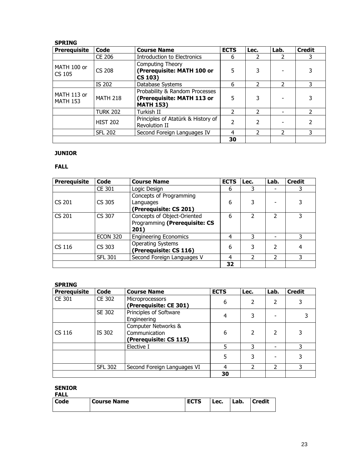| <b>SPRING</b>                  |                 |                                                                                  |             |               |      |               |
|--------------------------------|-----------------|----------------------------------------------------------------------------------|-------------|---------------|------|---------------|
| <b>Prerequisite</b>            | Code            | <b>Course Name</b>                                                               | <b>ECTS</b> | Lec.          | Lab. | <b>Credit</b> |
|                                | CE 206          | <b>Introduction to Electronics</b>                                               | 6           | 2             |      | 3             |
| MATH 100 or<br>CS 105          | <b>CS 208</b>   | Computing Theory<br>(Prerequisite: MATH 100 or<br>CS 103)                        | 5           |               |      | 3             |
|                                | IS 202          | Database Systems                                                                 | 6           | 2             |      | 3             |
| MATH 113 or<br><b>MATH 153</b> | <b>MATH 218</b> | Probability & Random Processes<br>(Prerequisite: MATH 113 or<br><b>MATH 153)</b> | 5           | 3             |      | 3             |
|                                | <b>TURK 202</b> | Turkish II                                                                       | 2           | $\mathcal{P}$ |      | $\mathcal{P}$ |
|                                | <b>HIST 202</b> | Principles of Atatürk & History of<br>Revolution II                              |             | 2             |      |               |
|                                | <b>SFL 202</b>  | Second Foreign Languages IV                                                      | 4           | $\mathcal{P}$ | 2    | 3             |
|                                |                 |                                                                                  | 30          |               |      |               |

## JUNIOR

## FALL

| <b>Prerequisite</b> | Code            | <b>Course Name</b>            | <b>ECTS</b> | Lec. | Lab. | <b>Credit</b> |
|---------------------|-----------------|-------------------------------|-------------|------|------|---------------|
|                     | CE 301          | Logic Design                  | 6           |      |      |               |
|                     |                 | Concepts of Programming       |             |      |      |               |
| CS 201              | CS 305          | Languages                     | 6           | 3    |      | 3             |
|                     |                 | (Prerequisite: CS 201)        |             |      |      |               |
| CS 201              | CS 307          | Concepts of Object-Oriented   | 6           |      |      | 3             |
|                     |                 | Programming (Prerequisite: CS |             |      |      |               |
|                     |                 | 201)                          |             |      |      |               |
|                     | <b>ECON 320</b> | <b>Engineering Economics</b>  | 4           | 3    |      | 3             |
| CS 116              |                 | <b>Operating Systems</b>      | 6           | 3    | っ    | 4             |
|                     | CS 303          | (Prerequisite: CS 116)        |             |      |      |               |
|                     | <b>SFL 301</b>  | Second Foreign Languages V    | 4           |      | フ    | 3             |
|                     |                 |                               | 32          |      |      |               |

## SPRING

| <b>Prerequisite</b> | Code           | <b>Course Name</b>                                             | <b>ECTS</b> | Lec.          | Lab.          | <b>Credit</b> |
|---------------------|----------------|----------------------------------------------------------------|-------------|---------------|---------------|---------------|
| CE 301              | CE 302         | <b>Microprocessors</b><br>(Prerequisite: CE 301)               | 6           |               |               | 3             |
|                     | SE 302         | Principles of Software<br>Engineering                          | 4           |               |               |               |
| CS 116              | IS 302         | Computer Networks &<br>Communication<br>(Prerequisite: CS 115) | 6           |               |               | 3             |
|                     |                | Elective I                                                     | 5           | 3             |               | 3             |
|                     |                |                                                                | 5           | 3             |               |               |
|                     | <b>SFL 302</b> | Second Foreign Languages VI                                    | 4           | $\mathcal{P}$ | $\mathcal{P}$ | 3             |
|                     |                |                                                                | 30          |               |               |               |

## SENIOR

| <b>FALL</b> |                    |             |      |      |               |  |  |  |  |
|-------------|--------------------|-------------|------|------|---------------|--|--|--|--|
| Code        | <b>Course Name</b> | <b>ECTS</b> | Lec. | Lab. | <b>Credit</b> |  |  |  |  |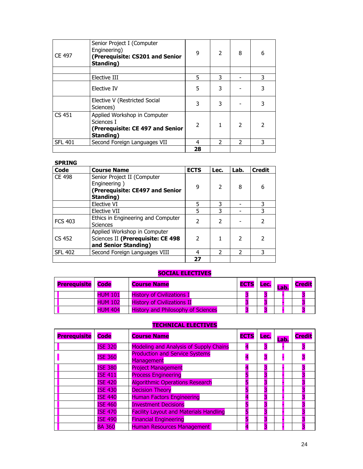| <b>CE 497</b>  | Senior Project I (Computer<br>Engineering)<br>(Prerequisite: CS201 and Senior<br>Standing)  | 9             | $\mathcal{P}$  | 8              | 6              |
|----------------|---------------------------------------------------------------------------------------------|---------------|----------------|----------------|----------------|
|                |                                                                                             |               |                |                |                |
|                | Elective III                                                                                | 5             | 3              |                | 3              |
|                | Elective IV                                                                                 | 5             | 3              |                | 3              |
|                | Elective V (Restricted Social<br>Sciences)                                                  | 3             | 3              |                | 3              |
| CS 451         | Applied Workshop in Computer<br>Sciences I<br>(Prerequisite: CE 497 and Senior<br>Standing) | $\mathcal{P}$ |                | $\mathcal{P}$  | $\mathfrak{p}$ |
| <b>SFL 401</b> | Second Foreign Languages VII                                                                | 4             | $\mathfrak{p}$ | $\mathfrak{p}$ | 3              |
|                |                                                                                             | 28            |                |                |                |

## SPRING

 $\mathbf{r}$ 

| Code           | <b>Course Name</b>                 | <b>ECTS</b>   | Lec.           | Lab. | <b>Credit</b> |
|----------------|------------------------------------|---------------|----------------|------|---------------|
| <b>CE 498</b>  | Senior Project II (Computer        |               |                |      |               |
|                | Engineering)                       | 9             | $\mathcal{P}$  | 8    | 6             |
|                | (Prerequisite: CE497 and Senior    |               |                |      |               |
|                | Standing)                          |               |                |      |               |
|                | Elective VI                        | 5             | ٦              |      | 3             |
|                | Elective VII                       | 5             | 3              |      | 3             |
| <b>FCS 403</b> | Ethics in Engineering and Computer | $\mathfrak z$ | $\mathfrak{p}$ |      |               |
|                | <b>Sciences</b>                    |               |                |      |               |
|                | Applied Workshop in Computer       |               |                |      |               |
| CS 452         | Sciences II (Prerequisite: CE 498  | $\mathcal{P}$ |                | 2    |               |
|                | and Senior Standing)               |               |                |      |               |
| <b>SFL 402</b> | Second Foreign Languages VIII      | 4             | 2              | C.   | 3             |
|                |                                    | 27            |                |      |               |

# SOCIAL ELECTIVES

| <b>Prerequisite   Code</b> |                | <b>Course Name</b>                        | <b>ECTS</b> | Lec. Lab. | <b>Credit</b> |
|----------------------------|----------------|-------------------------------------------|-------------|-----------|---------------|
|                            | <b>HUM 101</b> | <b>History of Civilizations I</b>         |             |           |               |
|                            | <b>HUM 102</b> | <b>History of Civilizations II</b>        |             |           |               |
|                            | <b>HUM 404</b> | <b>History and Philosophy of Sciences</b> |             |           |               |

# TECHNICAL ELECTIVES

| <b>Prerequisite</b> | <b>Code</b>    | <b>Course Name</b>                                  | <b>ECTS</b> | Lec. | Lab. | <b>Credit</b> |
|---------------------|----------------|-----------------------------------------------------|-------------|------|------|---------------|
|                     | <b>ISE 320</b> | <b>Modeling and Analysis of Supply Chains</b>       |             |      |      |               |
|                     | <b>ISE 360</b> | <b>Production and Service Systems</b><br>Management |             |      |      |               |
|                     | <b>ISE 380</b> | <b>Project Management</b>                           |             |      |      |               |
|                     | <b>ISE 411</b> | <b>Process Engineering</b>                          |             |      |      |               |
|                     | <b>ISE 420</b> | <b>Algorithmic Operations Research</b>              |             |      |      |               |
|                     | <b>ISE 430</b> | <b>Decision Theory</b>                              |             |      |      |               |
|                     | <b>ISE 440</b> | <b>Human Factors Engineering</b>                    |             |      |      |               |
|                     | <b>ISE 460</b> | <b>Investment Decisions</b>                         |             |      |      |               |
|                     | <b>ISE 470</b> | <b>Facility Layout and Materials Handling</b>       |             |      |      |               |
|                     | <b>ISE 490</b> | <b>Financial Engineering</b>                        |             |      |      |               |
|                     | <b>BA 360</b>  | <b>Human Resources Management</b>                   |             |      |      |               |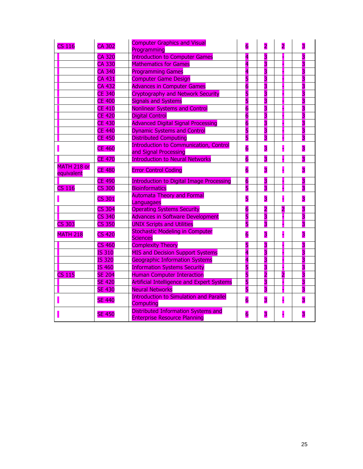| <b>CS 116</b>             | <b>CA 302</b> | <b>Computer Graphics and Visual</b><br>Programming                         | $\overline{6}$          | $\overline{2}$          | 2              | 3                       |
|---------------------------|---------------|----------------------------------------------------------------------------|-------------------------|-------------------------|----------------|-------------------------|
|                           | <b>CA 320</b> | <b>Introduction to Computer Games</b>                                      | 4                       | 3                       |                | 3                       |
|                           | <b>CA 330</b> | <b>Mathematics for Games</b>                                               | 4                       | 3                       |                | 3                       |
|                           | <b>CA 340</b> | <b>Programming Games</b>                                                   | 4                       | 3                       |                | 3                       |
|                           | <b>CA 431</b> | <b>Computer Game Design</b>                                                | 5                       | 3                       |                | 3                       |
|                           | <b>CA 432</b> | <b>Advances in Computer Games</b>                                          | $\overline{6}$          | 3                       |                | 3                       |
|                           | <b>CE 340</b> | <b>Cryptography and Network Security</b>                                   | 5                       | 3                       |                | 3                       |
|                           | <b>CE 400</b> | <b>Signals and Systems</b>                                                 | 5                       | 3                       |                | 3                       |
|                           | <b>CE 410</b> | <b>Nonlinear Systems and Control</b>                                       | $\overline{6}$          | 3                       |                | 3                       |
|                           | <b>CE 420</b> | <b>Digital Control</b>                                                     | $\overline{6}$          | 3                       |                | $\overline{\mathbf{3}}$ |
|                           | <b>CE 430</b> | <b>Advanced Digital Signal Processing</b>                                  | $\overline{6}$          | $\overline{\mathsf{3}}$ |                | 3                       |
|                           | <b>CE 440</b> | <b>Dynamic Systems and Control</b>                                         | 5                       | 3                       |                | $\overline{\mathbf{3}}$ |
|                           | <b>CE 450</b> | <b>Distributed Computing</b>                                               | $\overline{\mathsf{5}}$ | 3                       |                | $\overline{\mathsf{3}}$ |
|                           | <b>CE 460</b> | <b>Introduction to Communication, Control</b>                              | $\overline{6}$          | 3                       |                | 3                       |
|                           |               | and Signal Processing                                                      | $\overline{6}$          |                         |                |                         |
|                           | <b>CE 470</b> | <b>Introduction to Neural Networks</b>                                     |                         | 3                       |                | $\overline{\mathbf{3}}$ |
| MATH 218 or<br>equivalent | <b>CE 480</b> | <b>Error Control Coding</b>                                                | $\overline{6}$          | 3                       |                | 3                       |
|                           | <b>CE 490</b> | <b>Introduction to Digital Image Processing</b>                            | $\overline{6}$          | 3                       |                | 3                       |
| <b>CS 116</b>             | <b>CS 300</b> | <b>Bioinformatics</b>                                                      | 5                       | 3                       |                | 3                       |
|                           | <b>CS 301</b> | <b>Automata Theory and Formal</b><br>Languagaes                            | 5                       | 3                       |                | $\overline{\mathbf{3}}$ |
|                           | <b>CS 304</b> | <b>Operating Systems Security</b>                                          | $\overline{6}$          | 2                       | $\overline{2}$ | 3                       |
|                           | <b>CS 340</b> | <b>Advances in Software Development</b>                                    | 5                       | 3                       |                | $\overline{\mathsf{3}}$ |
| <b>CS 303</b>             | <b>CS 350</b> | <b>UNIX Scripts and Utilities</b>                                          | 5                       | 3                       |                | $\overline{\mathbf{3}}$ |
| <b>MATH 218</b>           | <b>CS 420</b> | <b>Stochastic Modeling in Computer</b><br><b>Sciences</b>                  | $\overline{6}$          | 3                       |                | 3                       |
|                           | <b>CS 460</b> | <b>Complexity Theory</b>                                                   | 5                       | 3                       |                | 3                       |
|                           | <b>IS 310</b> | <b>MIS and Decision Support Systems</b>                                    | 4                       | 3                       |                | 3                       |
|                           | <b>IS 320</b> | <b>Geographic Information Systems</b>                                      | 4                       | 3                       |                | 3                       |
|                           | <b>IS 460</b> | <b>Information Systems Security</b>                                        | 5                       | $\overline{\mathbf{3}}$ |                | $\overline{\mathbf{3}}$ |
| <b>CS 115</b>             | <b>SE 204</b> | <b>Human Computer Interaction</b>                                          | 5                       | $\overline{2}$          | 2              | 3                       |
|                           | <b>SE 420</b> | <b>Artificial Intelligence and Expert Systems</b>                          | 5                       | 3                       |                | $\overline{3}$          |
|                           | <b>SE 430</b> | <b>Neural Networks</b>                                                     | $\overline{\mathbf{5}}$ | 3                       |                | $\overline{\mathsf{3}}$ |
|                           | <b>SE 440</b> | <b>Introduction to Simulation and Parallel</b><br><b>Computing</b>         | $\overline{6}$          | 3                       |                | 3                       |
|                           | <b>SE 450</b> | Distributed Information Systems and<br><b>Enterprise Resource Planning</b> | $\overline{6}$          | 3                       |                | 3                       |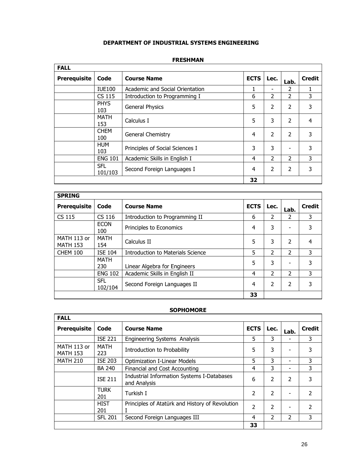# DEPARTMENT OF INDUSTRIAL SYSTEMS ENGINEERING

| <b>FALL</b>         |                       |                                 |             |               |                |               |
|---------------------|-----------------------|---------------------------------|-------------|---------------|----------------|---------------|
| <b>Prerequisite</b> | Code                  | <b>Course Name</b>              | <b>ECTS</b> | Lec.          | Lab.           | <b>Credit</b> |
|                     | <b>IUE100</b>         | Academic and Social Orientation | 1           |               | 2              | 1             |
|                     | CS 115                | Introduction to Programming I   | 6           | 2             | 2              | 3             |
|                     | <b>PHYS</b><br>103    | <b>General Physics</b>          | 5           | 2             | 2              | 3             |
|                     | MATH<br>153           | Calculus I                      | 5           | 3             | 2              | 4             |
|                     | <b>CHEM</b><br>100    | General Chemistry               | 4           | 2             | $\overline{2}$ | 3             |
|                     | <b>HUM</b><br>103     | Principles of Social Sciences I | 3           | 3             |                | 3             |
|                     | <b>ENG 101</b>        | Academic Skills in English I    | 4           | $\mathcal{P}$ | $\mathcal{P}$  | 3             |
|                     | <b>SFL</b><br>101/103 | Second Foreign Languages I      | 4           | 2             | $\overline{2}$ | 3             |
|                     |                       |                                 | 32          |               |                |               |

#### FRESHMAN

| <b>SPRING</b>                  |                       |                                   |             |               |               |               |
|--------------------------------|-----------------------|-----------------------------------|-------------|---------------|---------------|---------------|
| <b>Prerequisite</b>            | Code                  | <b>Course Name</b>                | <b>ECTS</b> | Lec.          | Lab.          | <b>Credit</b> |
| CS 115                         | CS 116                | Introduction to Programming II    | 6           | $\mathcal{P}$ | 2             | 3             |
|                                | <b>ECON</b><br>100    | Principles to Economics           | 4           | 3             |               | 3             |
| MATH 113 or<br><b>MATH 153</b> | <b>MATH</b><br>154    | Calculus II                       | 5           | 3             | 2             | 4             |
| <b>CHEM 100</b>                | <b>ISE 104</b>        | Introduction to Materials Science | 5           | $\mathcal{P}$ | $\mathcal{P}$ | 3             |
|                                | <b>MATH</b><br>230    | Linear Algebra for Engineers      | 5           | 3             |               | 3             |
|                                | <b>ENG 102</b>        | Academic Skills in English II     | 4           | $\mathcal{P}$ | $\mathcal{P}$ | 3             |
|                                | <b>SFL</b><br>102/104 | Second Foreign Languages II       | 4           | $\mathcal{P}$ | $\mathcal{P}$ | 3             |
|                                |                       |                                   | 33          |               |               |               |

## **SOPHOMORE**

| <b>FALL</b>                    |                    |                                                                   |                                                                                                                                                                   |      |      |               |
|--------------------------------|--------------------|-------------------------------------------------------------------|-------------------------------------------------------------------------------------------------------------------------------------------------------------------|------|------|---------------|
| <b>Prerequisite</b>            | Code               | <b>Course Name</b>                                                | <b>ECTS</b>                                                                                                                                                       | Lec. | Lab. | <b>Credit</b> |
|                                | <b>ISE 221</b>     | Engineering Systems Analysis                                      | 5                                                                                                                                                                 | 3    |      | 3             |
| MATH 113 or<br><b>MATH 153</b> | <b>MATH</b><br>223 | Introduction to Probability                                       | 5                                                                                                                                                                 | 3    |      | 3             |
| <b>MATH 210</b>                | <b>ISE 203</b>     | <b>Optimization I-Linear Models</b>                               | 3<br>5<br>3<br>3<br>3<br>4<br>$\mathcal{P}$<br>$\mathcal{P}$<br>3<br>6<br>$\mathcal{P}$<br>$\mathcal{P}$<br>$\mathcal{P}$<br>$\mathfrak{p}$<br>2<br>$\mathcal{P}$ |      |      |               |
|                                | <b>BA 240</b>      | Financial and Cost Accounting                                     |                                                                                                                                                                   |      |      |               |
|                                | <b>ISE 211</b>     | <b>Industrial Information Systems I-Databases</b><br>and Analysis |                                                                                                                                                                   |      |      |               |
|                                | <b>TURK</b><br>201 | Turkish I                                                         |                                                                                                                                                                   |      |      |               |
|                                | <b>HIST</b><br>201 | Principles of Atatürk and History of Revolution                   |                                                                                                                                                                   |      |      |               |
|                                | <b>SFL 201</b>     | Second Foreign Languages III                                      | 4                                                                                                                                                                 | 2    | 2    | 3             |
|                                |                    |                                                                   | 33                                                                                                                                                                |      |      |               |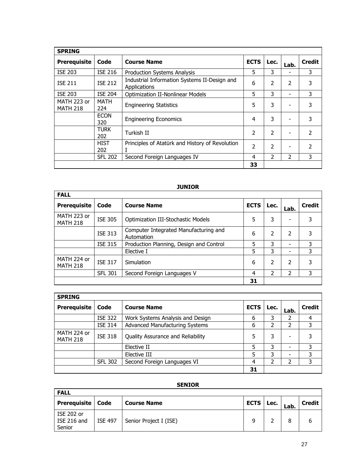| <b>SPRING</b>                  |                    |                                                              |               |               |               |               |
|--------------------------------|--------------------|--------------------------------------------------------------|---------------|---------------|---------------|---------------|
| <b>Prerequisite</b>            | Code               | <b>Course Name</b>                                           | <b>ECTS</b>   | Lec.          | Lab.          | <b>Credit</b> |
| <b>ISE 203</b>                 | <b>ISE 216</b>     | <b>Production Systems Analysis</b>                           | 5             | 3             |               | 3             |
| <b>ISF 211</b>                 | <b>ISE 212</b>     | Industrial Information Systems II-Design and<br>Applications | 6             | $\mathcal{P}$ | $\mathcal{P}$ | 3             |
| <b>ISE 203</b>                 | <b>ISE 204</b>     | <b>Optimization II-Nonlinear Models</b>                      | 5             | 3             |               | 3             |
| MATH 223 or<br><b>MATH 218</b> | <b>MATH</b><br>224 | <b>Engineering Statistics</b>                                | 5             | 3             |               | 3             |
|                                | <b>ECON</b><br>320 | <b>Engineering Economics</b>                                 | 4             | 3             |               | 3             |
|                                | <b>TURK</b><br>202 | Turkish II                                                   | 2             | $\mathcal{P}$ |               | $\mathcal{P}$ |
|                                | HIST<br>202        | Principles of Atatürk and History of Revolution              | $\mathcal{P}$ | $\mathcal{P}$ |               | 2             |
|                                | <b>SFL 202</b>     | Second Foreign Languages IV                                  | 4             | 2             | $\mathcal{P}$ | 3             |
|                                |                    |                                                              | 33            |               |               |               |

# JUNIOR

| <b>FALL</b>                    |                |                                                     |             |      |               |               |
|--------------------------------|----------------|-----------------------------------------------------|-------------|------|---------------|---------------|
| <b>Prerequisite</b>            | Code           | <b>Course Name</b>                                  | <b>ECTS</b> | Lec. | Lab.          | <b>Credit</b> |
| MATH 223 or<br><b>MATH 218</b> | <b>ISE 305</b> | Optimization III-Stochastic Models                  | 5           | 3    |               | 3             |
|                                | <b>ISE 313</b> | Computer Integrated Manufacturing and<br>Automation | 6           | 2    | $\mathcal{P}$ | 3             |
|                                | <b>ISE 315</b> | Production Planning, Design and Control             | 5           | 3    |               | 3             |
|                                |                | Elective I                                          | 5           | 3    |               | 3             |
| MATH 224 or<br><b>MATH 218</b> | <b>ISE 317</b> | Simulation                                          | 6           | 2    | 2             | 3             |
|                                | <b>SFL 301</b> | Second Foreign Languages V                          | 4           |      | 2             | 3             |
|                                |                |                                                     | 31          |      |               |               |

| <b>SPRING</b>                  |                |                                       |             |      |      |               |
|--------------------------------|----------------|---------------------------------------|-------------|------|------|---------------|
| <b>Prerequisite</b>            | Code           | <b>Course Name</b>                    | <b>ECTS</b> | Lec. | Lab. | <b>Credit</b> |
|                                | <b>ISE 322</b> | Work Systems Analysis and Design      | 6           |      | 2    | 4             |
|                                | <b>ISE 314</b> | <b>Advanced Manufacturing Systems</b> | 6           |      | 2    | 3             |
| MATH 224 or<br><b>MATH 218</b> | <b>ISE 318</b> | Quality Assurance and Reliability     | 5           | 3    |      | 3             |
|                                |                | Elective II                           | 5           | 3    |      | 3             |
|                                |                | Elective III                          | 5           | 3    |      | 3             |
|                                | <b>SFL 302</b> | Second Foreign Languages VI           | 4           |      | 2    | 3             |
|                                |                |                                       | 31          |      |      |               |

## SENIOR

| <b>FALL</b>                         |                |                        |             |                                    |      |        |  |
|-------------------------------------|----------------|------------------------|-------------|------------------------------------|------|--------|--|
| <b>Prerequisite</b>                 | Code           | <b>Course Name</b>     | <b>ECTS</b> | $\blacksquare$ Lec. $\blacksquare$ | Lab. | Credit |  |
| ISE 202 or<br>ISE 216 and<br>Senior | <b>ISE 497</b> | Senior Project I (ISE) | 9           |                                    |      | b      |  |

ä,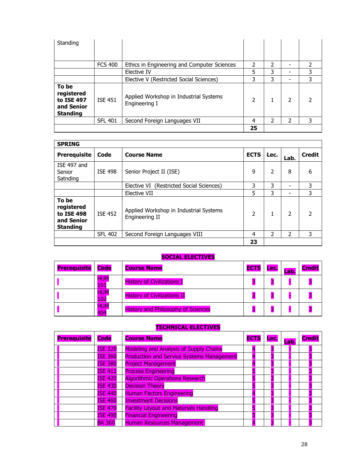| Standing                                                           |                |                                                         |               |   |               |   |
|--------------------------------------------------------------------|----------------|---------------------------------------------------------|---------------|---|---------------|---|
|                                                                    | <b>FCS 400</b> | Ethics in Engineering and Computer Sciences             | $\mathcal{P}$ | 2 |               | 2 |
|                                                                    |                | Elective IV                                             | 5             | ٦ |               | ٦ |
|                                                                    |                | Elective V (Restricted Social Sciences)                 | 3             | 3 |               | 3 |
| To be<br>registered<br>to ISE 497<br>and Senior<br><b>Standing</b> | <b>ISE 451</b> | Applied Workshop in Industrial Systems<br>Engineering I | $\mathcal{P}$ |   | $\mathcal{P}$ |   |
|                                                                    | <b>SFL 401</b> | Second Foreign Languages VII                            | 4             |   | 2             | ٦ |
|                                                                    |                |                                                         | 25            |   |               |   |

| <b>SPRING</b>                                                      |                |                                                          |               |      |               |               |
|--------------------------------------------------------------------|----------------|----------------------------------------------------------|---------------|------|---------------|---------------|
| <b>Prerequisite</b>                                                | Code           | <b>Course Name</b>                                       | <b>ECTS</b>   | Lec. | Lab.          | <b>Credit</b> |
| ISE 497 and<br>Senior<br>Satnding                                  | <b>ISE 498</b> | Senior Project II (ISE)                                  | 9             | 2    | 8             | 6             |
|                                                                    |                | Elective VI (Restricted Social Sciences)                 | 3             | 3    |               | 3             |
|                                                                    |                | Elective VII                                             | 5             | 3    |               | 3             |
| To be<br>registered<br>to ISE 498<br>and Senior<br><b>Standing</b> | <b>ISE 452</b> | Applied Workshop in Industrial Systems<br>Engineering II | $\mathcal{P}$ |      | $\mathcal{P}$ | $\mathcal{P}$ |
|                                                                    | <b>SFL 402</b> | Second Foreign Languages VIII                            | 4             | 2    | $\mathcal{P}$ | 3             |
|                                                                    |                |                                                          | 23            |      |               |               |

# SOCIAL ELECTIVES

| <b>Prerequisite</b> | <b>Code</b>       | <b>Course Name</b>                        | <b>ECTS</b> | $\parallel$ Lec. $\parallel$ | <b>Lab</b> | <b>Credit</b> |
|---------------------|-------------------|-------------------------------------------|-------------|------------------------------|------------|---------------|
|                     | <b>HUM</b><br>101 | <b>History of Civilizations I</b>         |             |                              |            |               |
|                     | <b>HUM</b><br>102 | <b>History of Civilizations II</b>        |             |                              |            |               |
|                     | <b>HUM</b><br>404 | <b>History and Philosophy of Sciences</b> |             |                              |            |               |

# TECHNICAL ELECTIVES

| <b>Prerequisite</b> | <b>Code</b>    | <b>Course Name</b>                               | <b>ECTS</b> | <mark>Lec.</mark>   <sub>Lab.</sub> | <b>Credit</b> |
|---------------------|----------------|--------------------------------------------------|-------------|-------------------------------------|---------------|
|                     | <b>ISE 320</b> | <b>Modeling and Analysis of Supply Chains</b>    |             |                                     |               |
|                     | <b>ISE 360</b> | <b>Production and Service Systems Management</b> |             |                                     |               |
|                     | <b>ISE 380</b> | <b>Project Management</b>                        |             |                                     |               |
|                     | <b>ISE 411</b> | <b>Process Engineering</b>                       |             |                                     |               |
|                     | <b>ISE 420</b> | <b>Algorithmic Operations Research</b>           |             |                                     |               |
|                     | <b>ISE 430</b> | <b>Decision Theory</b>                           |             |                                     |               |
|                     | <b>ISE 440</b> | <b>Human Factors Engineering</b>                 |             |                                     |               |
|                     | <b>ISE 460</b> | <b>Investment Decisions</b>                      |             |                                     |               |
|                     | <b>ISE 470</b> | <b>Facility Layout and Materials Handling</b>    |             |                                     |               |
|                     | <b>ISE 490</b> | <b>Financial Engineering</b>                     |             |                                     |               |
|                     | <b>BA 360</b>  | <b>Human Resources Management</b>                |             |                                     |               |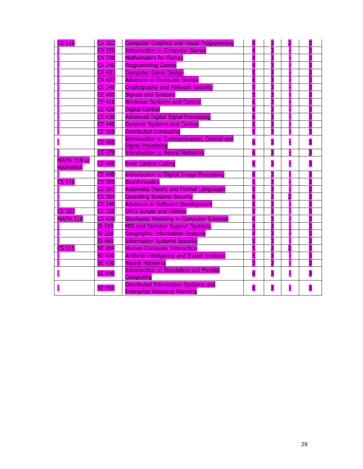| <b>CS 116</b>             | <b>CA 302</b> | <b>Computer Graphics and Visual Programming</b>                    | 6              | 2                       | 2 | 3                       |
|---------------------------|---------------|--------------------------------------------------------------------|----------------|-------------------------|---|-------------------------|
|                           | <b>CA 320</b> | <b>Introduction to Computer Games</b>                              | 4              | 3                       |   | 3                       |
|                           | CA 330        | <b>Mathematics for Games</b>                                       | ⊿              | 3                       |   | 3                       |
|                           | <b>CA 340</b> | <b>Programming Games</b>                                           | 4              | 3                       |   | 3                       |
|                           | <b>CA 431</b> | <b>Computer Game Design</b>                                        | 5              | 3                       |   | 3                       |
|                           | <b>CA 432</b> | <b>Advances in Computer Games</b>                                  | 6              | $\overline{\mathbf{3}}$ |   | 3                       |
|                           | <b>CE 340</b> | <b>Cryptography and Network Security</b>                           | 5              | 3                       |   | 3                       |
|                           | <b>CE 400</b> | <b>Signals and Systems</b>                                         | 5              | 3                       |   | 3                       |
|                           | <b>CE 410</b> | <b>Nonlinear Systems and Control</b>                               | 6              | 3                       |   | 3                       |
|                           | <b>CE 420</b> | <b>Digital Control</b>                                             | $\overline{6}$ | 3                       |   | 3                       |
|                           | <b>CE 430</b> | <b>Advanced Digital Signal Processing</b>                          | $\overline{6}$ | $\overline{\mathbf{3}}$ |   | 3                       |
|                           | <b>CE 440</b> | <b>Dynamic Systems and Control</b>                                 | 5              | $\overline{\mathsf{3}}$ |   | $\overline{\mathsf{3}}$ |
|                           | <b>CE 450</b> | <b>Distributed Computing</b>                                       | 5              | 3                       |   | 3                       |
|                           | <b>CE 460</b> | <b>Introduction to Communication, Control and</b>                  | $\overline{6}$ | $\overline{\mathbf{3}}$ |   | 3                       |
|                           |               | <b>Signal Processing</b>                                           |                |                         |   |                         |
|                           | <b>CE 470</b> | <b>Introduction to Neural Networks</b>                             | $\overline{6}$ | 3                       |   | 3                       |
| MATH 218 or<br>equivalent | <b>CE 480</b> | <b>Error Control Coding</b>                                        | $\overline{6}$ | 3                       |   | 3                       |
|                           |               | <b>Introduction to Digital Image Processing</b>                    | $\overline{6}$ | 3                       |   | 3                       |
|                           | <b>CE 490</b> |                                                                    |                |                         |   |                         |
| $CS$ 116                  | <b>CS 300</b> | <b>Bioinformatics</b>                                              | 5              | 3                       |   | 3                       |
|                           | <b>CS 301</b> | <b>Automata Theory and Formal Languages</b>                        | 5              | $\overline{\mathbf{3}}$ |   | 3                       |
|                           | <b>CS 304</b> | <b>Operating Systems Security</b>                                  | $\overline{6}$ | 2                       | 2 | 3                       |
|                           | <b>CS 340</b> | <b>Advances in Software Development</b>                            | 5              | 3                       |   | 3                       |
| <b>CS 303</b>             | <b>CS 350</b> | <b>UNIX Scripts and Utilities</b>                                  | 5              | 3                       |   | 3                       |
| <b>MATH 218</b>           | <b>CS 420</b> | <b>Stochastic Modeling in Computer Sciences</b>                    | $\overline{6}$ | $\overline{\mathsf{3}}$ |   | 3                       |
|                           | <b>IS 310</b> | <b>MIS and Decision Support Systems</b>                            | 4              | $\overline{\mathbf{3}}$ |   | 3                       |
|                           | <b>IS 320</b> | <b>Geographic Information Systems</b>                              | 4              | 3                       |   | 3                       |
|                           | <b>IS 460</b> | <b>Information Systems Security</b>                                | 5              | 3                       |   | 3                       |
| $CS$ 115                  | <b>SE 204</b> | <b>Human Computer Interaction</b>                                  | 5              | 2                       | 2 | 3                       |
|                           | <b>SE 420</b> | <b>Artificial Intelligence and Expert Systems</b>                  | 5              | 3                       |   | 3                       |
|                           | <b>SE 430</b> | <b>Neural Networks</b>                                             | 5              | $\overline{\mathbf{3}}$ |   | $\overline{\mathbf{3}}$ |
|                           | <b>SE 440</b> | <b>Introduction to Simulation and Parallel</b><br><b>Computing</b> | $\overline{6}$ | 3                       |   | 3                       |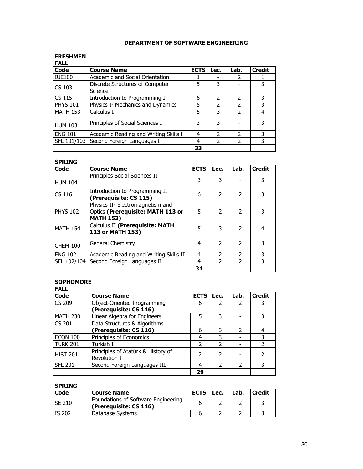# DEPARTMENT OF SOFTWARE ENGINEERING

## FRESHMEN

| <b>FALL</b>     |                                       |             |                |                |               |
|-----------------|---------------------------------------|-------------|----------------|----------------|---------------|
| Code            | <b>Course Name</b>                    | <b>ECTS</b> | Lec.           | Lab.           | <b>Credit</b> |
| <b>IUE100</b>   | Academic and Social Orientation       |             |                | 2              |               |
| CS 103          | Discrete Structures of Computer       | 5           | 3              |                |               |
|                 | Science                               |             |                |                |               |
| CS 115          | Introduction to Programming I         | 6           | 2              | 2              | 3             |
| <b>PHYS 101</b> | Physics I- Mechanics and Dynamics     | 5           | 2              | 2              | 3             |
| <b>MATH 153</b> | Calculus I                            | 5           | 3              | $\mathfrak{p}$ | 4             |
| <b>HUM 103</b>  | Principles of Social Sciences I       | 3           | 3              |                | 3             |
| <b>ENG 101</b>  | Academic Reading and Writing Skills I | 4           | $\mathfrak{p}$ | $\mathfrak{p}$ | 3             |
| SFL 101/103     | Second Foreign Languages I            | 4           | $\mathcal{P}$  | 2              | 3             |
|                 |                                       | 33          |                |                |               |

# SPRING

| Code            | <b>Course Name</b>                                                                        | <b>ECTS</b> | Lec.           | Lab.          | <b>Credit</b> |
|-----------------|-------------------------------------------------------------------------------------------|-------------|----------------|---------------|---------------|
| <b>HUM 104</b>  | Principles Social Sciences II                                                             | 3           | 3              |               |               |
| CS 116          | Introduction to Programming II<br>(Prerequisite: CS 115)                                  | 6           | 2              | $\mathcal{P}$ | 3             |
| <b>PHYS 102</b> | Physics II- Electromagnetism and<br>Optics (Prerequisite: MATH 113 or<br><b>MATH 153)</b> | 5           | $\mathfrak{p}$ | $\mathcal{P}$ | 3             |
| <b>MATH 154</b> | Calculus II (Prerequisite: MATH<br>113 or MATH 153)                                       | 5           | 3              | $\mathcal{P}$ | 4             |
| <b>CHEM 100</b> | <b>General Chemistry</b>                                                                  | 4           | 2              | $\mathcal{P}$ | 3             |
| <b>ENG 102</b>  | Academic Reading and Writing Skills II                                                    | 4           | $\mathcal{P}$  | $\mathcal{P}$ | 3             |
|                 | SFL 102/104 Second Foreign Languages II                                                   | 4           | $\mathfrak{p}$ |               | 3             |
|                 |                                                                                           | 31          |                |               |               |

## SOPHOMORE

| <b>FALL</b>     |                                    |                |                |               |                |
|-----------------|------------------------------------|----------------|----------------|---------------|----------------|
| Code            | <b>Course Name</b>                 | <b>ECTS</b>    | Lec.           | Lab.          | <b>Credit</b>  |
| CS 209          | Object-Oriented Programming        | 6              | 2              |               |                |
|                 | (Prerequisite: CS 116)             |                |                |               |                |
| <b>MATH 230</b> | Linear Algebra for Engineers       | 5              | 3              |               | 3              |
| CS 201          | Data Structures & Algorithms       |                |                |               |                |
|                 | (Prerequisite: CS 116)             | 6              | 3              | $\mathcal{P}$ | 4              |
| <b>ECON 100</b> | Principles of Economics            | 4              | 3              |               | 3              |
| <b>TURK 201</b> | Turkish I                          | $\mathfrak{p}$ | $\mathfrak{p}$ |               | $\mathfrak{p}$ |
| <b>HIST 201</b> | Principles of Atatürk & History of | 2              | 2              |               |                |
|                 | Revolution I                       |                |                |               |                |
| <b>SFL 201</b>  | Second Foreign Languages III       | 4              | $\mathcal{P}$  | 2             | 3              |
|                 |                                    | 29             |                |               |                |

## SPRING

| <b>Code</b>   | <b>Course Name</b>                                            | <b>ECTS</b> | Lec. | Lab. | <b>Credit</b> |
|---------------|---------------------------------------------------------------|-------------|------|------|---------------|
| <b>SE 210</b> | Foundations of Software Engineering<br>(Prerequisite: CS 116) |             |      |      |               |
| l IS 202      | Database Systems                                              |             |      |      |               |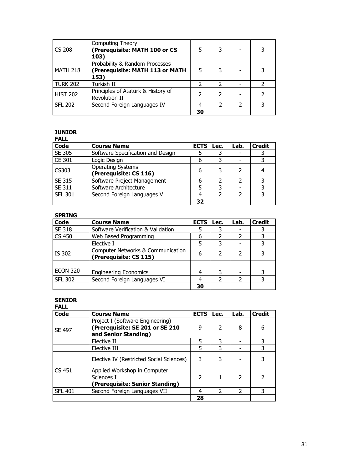| $\textsf{CS}\,208$ | <b>Computing Theory</b><br>(Prerequisite: MATH 100 or CS<br>103)          | 5  | 3             |               |
|--------------------|---------------------------------------------------------------------------|----|---------------|---------------|
| <b>MATH 218</b>    | Probability & Random Processes<br>(Prerequisite: MATH 113 or MATH<br>153) | 5  | 3             |               |
| TURK 202           | Turkish II                                                                | 2  | $\mathcal{P}$ | $\mathcal{P}$ |
| <b>HIST 202</b>    | Principles of Atatürk & History of<br><b>Revolution II</b>                | 2  |               |               |
| <b>SFL 202</b>     | Second Foreign Languages IV                                               | 4  |               | 3             |
|                    |                                                                           | 30 |               |               |

## JUNIOR

| <b>FALL</b>    |                                                    |             |      |      |               |
|----------------|----------------------------------------------------|-------------|------|------|---------------|
| <b>Code</b>    | <b>Course Name</b>                                 | <b>ECTS</b> | Lec. | Lab. | <b>Credit</b> |
| SE 305         | Software Specification and Design                  |             |      |      |               |
| CE 301         | Logic Design                                       | 6           | 3    |      |               |
| CS303          | <b>Operating Systems</b><br>(Prerequisite: CS 116) | 6           | 3    |      |               |
| SE 315         | Software Project Management                        | 6           |      |      |               |
| SE 311         | Software Architecture                              |             |      |      |               |
| <b>SFL 301</b> | Second Foreign Languages V                         |             | ∍    |      |               |
|                |                                                    | 32          |      |      |               |

# SPRING

| Code            | <b>Course Name</b>                                                     | <b>ECTS</b> | Lec.          | Lab. | <b>Credit</b> |
|-----------------|------------------------------------------------------------------------|-------------|---------------|------|---------------|
| SE 318          | Software Verification & Validation                                     |             |               |      |               |
| <b>CS 450</b>   | Web Based Programming                                                  | 6           | 2             |      |               |
|                 | Elective I                                                             | 5           | 3             |      |               |
| IS 302          | <b>Computer Networks &amp; Communication</b><br>(Prerequisite: CS 115) | 6           | $\mathcal{P}$ |      | 3             |
| <b>ECON 320</b> | <b>Engineering Economics</b>                                           | 4           | 3             |      | 3             |
| <b>SFL 302</b>  | Second Foreign Languages VI                                            |             | 2             |      | 3             |
|                 |                                                                        | 30          |               |      |               |

# SENIOR

FALL<br>Code Course Name ECTS Lec. Lab. Credit SE 497 Project I (Software Engineering) (Prerequisite: SE 201 or SE 210 and Senior Standing) 9 2 8 6 Elective II 5 3 - 3 Elective III 5 3 - 3 Elective IV (Restricted Social Sciences)  $\begin{array}{|c|c|c|c|c|c|c|c|c|} \hline 3 & 3 & - & - & 3 \\\hline \end{array}$ CS 451 Applied Workshop in Computer Sciences I (Prerequisite: Senior Standing) 2 1 2 2 SFL 401 Second Foreign Languages VII 4 2 2 3 28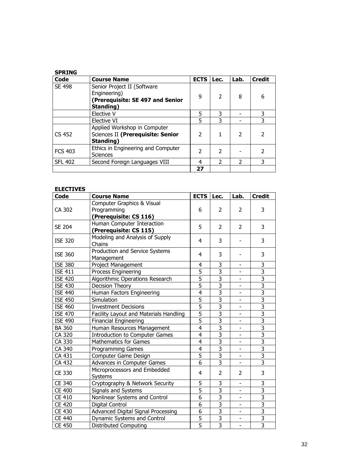| <b>SPRING</b>  |                                    |               |               |               |                |  |  |  |  |  |
|----------------|------------------------------------|---------------|---------------|---------------|----------------|--|--|--|--|--|
| Code           | <b>Course Name</b>                 | <b>ECTS</b>   | Lec.          | Lab.          | <b>Credit</b>  |  |  |  |  |  |
| <b>SE 498</b>  | Senior Project II (Software        |               |               |               |                |  |  |  |  |  |
|                | Engineering)                       | 9             | $\mathcal{P}$ | 8             | 6              |  |  |  |  |  |
|                | (Prerequisite: SE 497 and Senior   |               |               |               |                |  |  |  |  |  |
|                | Standing)                          |               |               |               |                |  |  |  |  |  |
|                | Elective V                         | 5             | 3             |               | 3              |  |  |  |  |  |
|                | Elective VI                        | 5             | 3             |               | 3              |  |  |  |  |  |
|                | Applied Workshop in Computer       |               |               |               |                |  |  |  |  |  |
| CS 452         | Sciences II (Prerequisite: Senior  | $\mathcal{P}$ |               | $\mathcal{P}$ | $\mathcal{P}$  |  |  |  |  |  |
|                | <b>Standing</b> )                  |               |               |               |                |  |  |  |  |  |
| <b>FCS 403</b> | Ethics in Engineering and Computer | $\mathcal{P}$ | $\mathcal{P}$ |               | $\mathfrak{p}$ |  |  |  |  |  |
|                | <b>Sciences</b>                    |               |               |               |                |  |  |  |  |  |
| <b>SFL 402</b> | Second Foreign Languages VIII      | 4             | $\mathcal{P}$ | $\mathcal{P}$ | 3              |  |  |  |  |  |
|                |                                    | 27            |               |               |                |  |  |  |  |  |

## ELECTIVES

| Code           | <b>Course Name</b>                        | <b>ECTS</b>    | Lec.                    | Lab.                     | <b>Credit</b>           |
|----------------|-------------------------------------------|----------------|-------------------------|--------------------------|-------------------------|
|                | Computer Graphics & Visual                |                |                         |                          |                         |
| CA 302         | Programming                               | 6              | 2                       | 2                        | 3                       |
|                | (Prerequisite: CS 116)                    |                |                         |                          |                         |
| SE 204         | Human Computer Interaction                | 5              | 2                       | 2                        | 3                       |
|                | (Prerequisite: CS 115)                    |                |                         |                          |                         |
| <b>ISE 320</b> | Modeling and Analysis of Supply<br>Chains | 4              | 3                       |                          | 3                       |
|                | Production and Service Systems            |                |                         |                          |                         |
| <b>ISE 360</b> | Management                                | 4              | 3                       |                          | 3                       |
| <b>ISE 380</b> | Project Management                        | 4              | 3                       | $\blacksquare$           | 3                       |
| <b>ISE 411</b> | Process Engineering                       | $\overline{5}$ | $\overline{3}$          |                          | $\overline{3}$          |
| <b>ISE 420</b> | Algorithmic Operations Research           | $\overline{5}$ | $\overline{3}$          | $\blacksquare$           | $\overline{3}$          |
| <b>ISE 430</b> | Decision Theory                           | 5              | $\overline{3}$          | ÷.                       | $\overline{3}$          |
| <b>ISE 440</b> | Human Factors Engineering                 | 4              | $\overline{\mathbf{3}}$ |                          | $\overline{3}$          |
| <b>ISE 450</b> | Simulation                                | $\overline{5}$ | $\overline{3}$          |                          | $\overline{3}$          |
| <b>ISE 460</b> | <b>Investment Decisions</b>               | $\overline{5}$ | $\overline{3}$          | ÷                        | $\overline{3}$          |
| <b>ISE 470</b> | Facility Layout and Materials Handling    | $\overline{5}$ | $\overline{3}$          | $\overline{\phantom{0}}$ | $\overline{3}$          |
| <b>ISE 490</b> | <b>Financial Engineering</b>              | $\overline{5}$ | $\overline{3}$          |                          | $\overline{3}$          |
| <b>BA 360</b>  | Human Resources Management                | 4              | $\overline{3}$          |                          | $\overline{3}$          |
| CA 320         | <b>Introduction to Computer Games</b>     | 4              | $\overline{\mathbf{3}}$ |                          | $\overline{3}$          |
| CA 330         | <b>Mathematics for Games</b>              | 4              | $\overline{3}$          | ÷                        | $\overline{3}$          |
| CA 340         | <b>Programming Games</b>                  | 4              | $\overline{3}$          | $\overline{\phantom{a}}$ | $\overline{3}$          |
| CA 431         | Computer Game Design                      | 5              | $\overline{3}$          |                          | $\overline{3}$          |
| CA 432         | Advances in Computer Games                | 6              | $\overline{3}$          |                          | $\overline{3}$          |
| CE 330         | Microprocessors and Embedded<br>Systems   | 4              | $\overline{2}$          | $\overline{2}$           | 3                       |
| CE 340         | Cryptography & Network Security           | 5              | 3                       | ÷,                       | 3                       |
| <b>CE 400</b>  | Signals and Systems                       | 5              | $\overline{3}$          | -                        | $\overline{3}$          |
| <b>CE 410</b>  | Nonlinear Systems and Control             | $\overline{6}$ | $\overline{3}$          |                          | $\overline{\mathbf{3}}$ |
| <b>CE 420</b>  | Digital Control                           | 6              | $\overline{3}$          | $\blacksquare$           | $\overline{3}$          |
| CE 430         | Advanced Digital Signal Processing        | 6              | $\overline{3}$          |                          | $\overline{3}$          |
| <b>CE 440</b>  | Dynamic Systems and Control               | 5              | $\overline{3}$          | $\blacksquare$           | $\overline{3}$          |
| <b>CE 450</b>  | <b>Distributed Computing</b>              | $\overline{5}$ | $\overline{3}$          | $\blacksquare$           | $\overline{3}$          |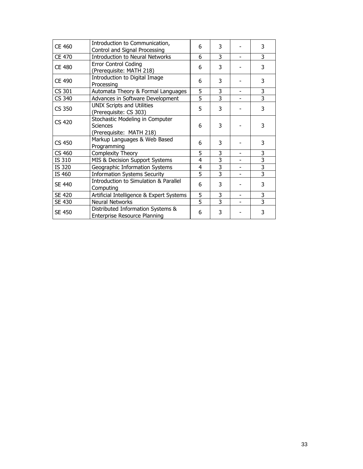| CE 460        | Introduction to Communication,<br>Control and Signal Processing          | 6              | 3                       |                | 3                       |
|---------------|--------------------------------------------------------------------------|----------------|-------------------------|----------------|-------------------------|
| CE 470        | <b>Introduction to Neural Networks</b>                                   | 6              | 3                       |                | 3                       |
| <b>CE 480</b> | <b>Error Control Coding</b><br>(Prerequisite: MATH 218)                  |                | 3                       |                | 3                       |
| CE 490        | Introduction to Digital Image<br>Processing                              | 6              | 3                       |                | 3                       |
| CS 301        | Automata Theory & Formal Languages                                       | 5              | 3                       | $\overline{a}$ | 3                       |
| CS 340        | Advances in Software Development                                         | $\overline{5}$ | $\overline{3}$          |                | $\overline{3}$          |
| CS 350        | <b>UNIX Scripts and Utilities</b><br>(Prerequisite: CS 303)              | 5              | 3                       |                | 3                       |
| <b>CS 420</b> | Stochastic Modeling in Computer<br>Sciences<br>(Prerequisite: MATH 218)  | 6              | 3                       |                | 3                       |
| CS 450        | Markup Languages & Web Based<br>Programming                              | 6              | 3                       |                | 3                       |
| CS 460        | Complexity Theory                                                        | $\overline{5}$ | 3                       | ÷              | 3                       |
| IS 310        | MIS & Decision Support Systems                                           | 4              | 3                       |                | 3                       |
| IS 320        | Geographic Information Systems                                           | 4              | $\overline{\mathbf{3}}$ |                | 3                       |
| IS 460        | <b>Information Systems Security</b>                                      | 5              | $\overline{3}$          |                | $\overline{\mathbf{3}}$ |
| <b>SE 440</b> | Introduction to Simulation & Parallel<br>Computing                       | 6              | 3                       |                | 3                       |
| <b>SE 420</b> | Artificial Intelligence & Expert Systems                                 | 5              | 3                       |                | 3                       |
| SE 430        | <b>Neural Networks</b>                                                   | $\overline{5}$ | 3                       |                | 3                       |
| <b>SE 450</b> | Distributed Information Systems &<br><b>Enterprise Resource Planning</b> | 6              | 3                       |                | 3                       |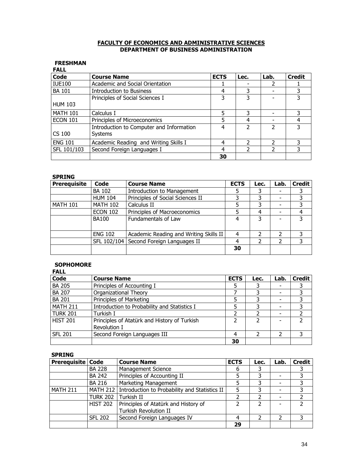#### FACULTY OF ECONOMICS AND ADMINISTRATIVE SCIENCES DEPARTMENT OF BUSINESS ADMINISTRATION

# FRESHMAN

| <b>FALL</b>     |                                          |             |      |      |               |
|-----------------|------------------------------------------|-------------|------|------|---------------|
| Code            | <b>Course Name</b>                       | <b>ECTS</b> | Lec. | Lab. | <b>Credit</b> |
| <b>IUE100</b>   | Academic and Social Orientation          |             |      |      |               |
| <b>BA 101</b>   | Introduction to Business                 | 4           | 3    |      |               |
|                 | Principles of Social Sciences I          | 3           | 3    |      |               |
| <b>HUM 103</b>  |                                          |             |      |      |               |
| <b>MATH 101</b> | Calculus I                               | 5           | ٦    |      |               |
| <b>ECON 101</b> | Principles of Microeconomics             | 5           | 4    |      |               |
|                 | Introduction to Computer and Information | 4           | 2    | 2    |               |
| CS 100          | <b>Systems</b>                           |             |      |      |               |
| <b>ENG 101</b>  | Academic Reading and Writing Skills I    | 4           | 2    | 2    |               |
| SFL 101/103     | Second Foreign Languages I               | 4           | 2    |      |               |
|                 |                                          | 30          |      |      |               |

## SPRING

| <b>Prerequisite</b> | Code            | <b>Course Name</b>                      | <b>ECTS</b> | Lec. | Lab. | <b>Credit</b> |
|---------------------|-----------------|-----------------------------------------|-------------|------|------|---------------|
|                     | <b>BA 102</b>   | <b>Introduction to Management</b>       |             |      |      |               |
|                     | <b>HUM 104</b>  | Principles of Social Sciences II        |             |      |      | 3             |
| <b>MATH 101</b>     | <b>MATH 102</b> | Calculus II                             |             |      |      |               |
|                     | <b>ECON 102</b> | Principles of Macroeconomics            |             | 4    |      |               |
|                     | <b>BA100</b>    | Fundamentals of Law                     |             |      |      | 3             |
|                     | <b>ENG 102</b>  | Academic Reading and Writing Skills II  | 4           |      | 2    | 3             |
|                     |                 | SFL 102/104 Second Foreign Languages II |             |      |      |               |
|                     |                 |                                         | 30          |      |      |               |

## **SOPHOMORE**

FALL

| Code            | <b>Course Name</b>                                           | <b>ECTS</b> | Lec. | Lab. | <b>Credit</b> |
|-----------------|--------------------------------------------------------------|-------------|------|------|---------------|
| <b>BA 205</b>   | Principles of Accounting I                                   | 5           |      |      |               |
| <b>BA 207</b>   | Organizational Theory                                        |             |      |      |               |
| <b>BA 201</b>   | Principles of Marketing                                      |             |      |      |               |
| <b>MATH 211</b> | Introduction to Probability and Statistics I                 | 5           |      |      |               |
| <b>TURK 201</b> | Turkish I                                                    |             |      |      |               |
| <b>HIST 201</b> | Principles of Atatürk and History of Turkish<br>Revolution I |             |      |      |               |
| <b>SFL 201</b>  | Second Foreign Languages III                                 | 4           |      |      |               |
|                 |                                                              | 30          |      |      |               |

## SPRING

| <b>Prerequisite Code</b> |                 | <b>Course Name</b>                            | <b>ECTS</b> | Lec. | Lab. | <b>Credit</b> |
|--------------------------|-----------------|-----------------------------------------------|-------------|------|------|---------------|
|                          | <b>BA 228</b>   | <b>Management Science</b>                     |             | 3    |      |               |
|                          | <b>BA 242</b>   | Principles of Accounting II                   |             | 3    |      | ٦             |
|                          | <b>BA 216</b>   | Marketing Management                          |             |      |      | ર             |
| <b>MATH 211</b>          | <b>MATH 212</b> | Introduction to Probability and Statistics II |             | 3    |      | 3             |
|                          | <b>TURK 202</b> | Turkish II                                    |             | 2    |      |               |
|                          | <b>HIST 202</b> | Principles of Atatürk and History of          | ∍           | 2    |      | າ             |
|                          |                 | <b>Turkish Revolution II</b>                  |             |      |      |               |
|                          | <b>SFL 202</b>  | Second Foreign Languages IV                   |             |      |      |               |
|                          |                 |                                               | 29          |      |      |               |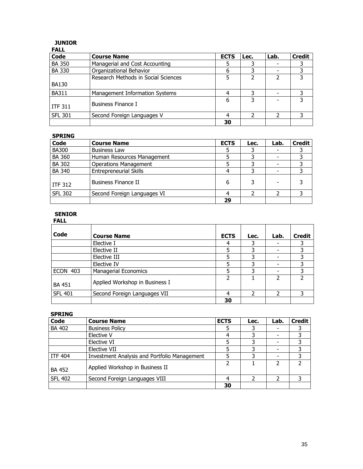#### JUNIOR  $\overline{a}$

| FALL           |                                     |             |      |      |               |
|----------------|-------------------------------------|-------------|------|------|---------------|
| Code           | <b>Course Name</b>                  | <b>ECTS</b> | Lec. | Lab. | <b>Credit</b> |
| <b>BA 350</b>  | Managerial and Cost Accounting      |             |      |      |               |
| <b>BA 330</b>  | Organizational Behavior             | 6           |      |      |               |
|                | Research Methods in Social Sciences |             | 2    |      |               |
| <b>BA130</b>   |                                     |             |      |      |               |
| <b>BA311</b>   | Management Information Systems      | 4           |      |      |               |
| <b>ITF 311</b> | <b>Business Finance I</b>           | 6           | ٦    |      |               |
| <b>SFL 301</b> | Second Foreign Languages V          |             |      |      |               |
|                |                                     | 30          |      |      |               |

## SPRING

| <b>Code</b>    | <b>Course Name</b>            | <b>ECTS</b> | Lec. | Lab. | <b>Credit</b> |
|----------------|-------------------------------|-------------|------|------|---------------|
| <b>BA300</b>   | <b>Business Law</b>           |             |      |      |               |
| <b>BA 360</b>  | Human Resources Management    |             |      |      |               |
| <b>BA 302</b>  | <b>Operations Management</b>  |             |      |      |               |
| <b>BA 340</b>  | <b>Entrepreneurial Skills</b> |             |      |      |               |
| <b>ITF 312</b> | <b>Business Finance II</b>    | 6           |      |      |               |
| <b>SFL 302</b> | Second Foreign Languages VI   |             |      |      | 3             |
|                |                               | 29          |      |      |               |

#### SENIOR FALL

| .               |                                |             |      |                              |               |
|-----------------|--------------------------------|-------------|------|------------------------------|---------------|
| Code            | <b>Course Name</b>             | <b>ECTS</b> | Lec. | Lab.                         | <b>Credit</b> |
|                 | Elective I                     |             | 3    |                              |               |
|                 | Elective II                    | 5           |      | $\overline{\phantom{0}}$     |               |
|                 | Elective III                   | 5           | 3    | $\qquad \qquad \blacksquare$ | ٦             |
|                 | Elective IV                    | 5           | 3    |                              | ٦             |
| <b>ECON 403</b> | <b>Managerial Economics</b>    | 5           | 3    |                              | ٦             |
| <b>BA 451</b>   | Applied Workshop in Business I | 2           |      | 2                            | 2             |
| <b>SFL 401</b>  | Second Foreign Languages VII   | 4           | 2    | 2                            | ٦             |
|                 |                                | 30          |      |                              |               |

## SPRING

| <b>Code</b>    | <b>Course Name</b>                                  | <b>ECTS</b> | Lec. | Lab. | <b>Credit</b> |
|----------------|-----------------------------------------------------|-------------|------|------|---------------|
| <b>BA 402</b>  | <b>Business Policy</b>                              |             |      |      |               |
|                | Elective V                                          |             |      |      |               |
|                | Elective VI                                         |             |      |      |               |
|                | Elective VII                                        |             |      |      |               |
| <b>ITF 404</b> | <b>Investment Analysis and Portfolio Management</b> |             |      |      |               |
| <b>BA 452</b>  | Applied Workshop in Business II                     |             |      |      |               |
| <b>SFL 402</b> | Second Foreign Languages VIII                       |             |      |      |               |
|                |                                                     | 30          |      |      |               |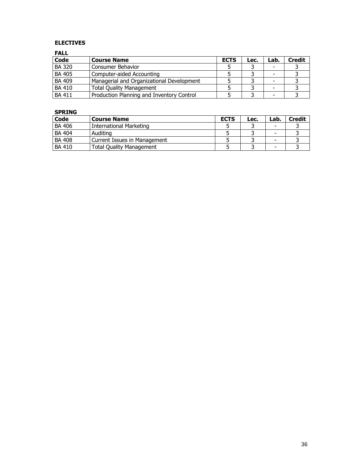# ELECTIVES

# FALL

| -----         |                                           |             |      |      |               |
|---------------|-------------------------------------------|-------------|------|------|---------------|
| Code          | <b>Course Name</b>                        | <b>ECTS</b> | Lec. | Lab. | <b>Credit</b> |
| <b>BA 320</b> | Consumer Behavior                         |             |      |      |               |
| <b>BA 405</b> | Computer-aided Accounting                 |             |      |      |               |
| <b>BA 409</b> | Managerial and Organizational Development |             |      |      |               |
| <b>BA 410</b> | <b>Total Quality Management</b>           |             |      |      |               |
| <b>BA 411</b> | Production Planning and Inventory Control |             |      |      |               |

| Code          | <b>Course Name</b>              | <b>ECTS</b> | Lec. | Lab. | <b>Credit</b> |
|---------------|---------------------------------|-------------|------|------|---------------|
| <b>BA 406</b> | International Marketing         |             |      |      |               |
| <b>BA 404</b> | Auditing                        |             |      |      |               |
| <b>BA 408</b> | Current Issues in Management    |             |      |      |               |
| <b>BA 410</b> | <b>Total Quality Management</b> |             |      |      |               |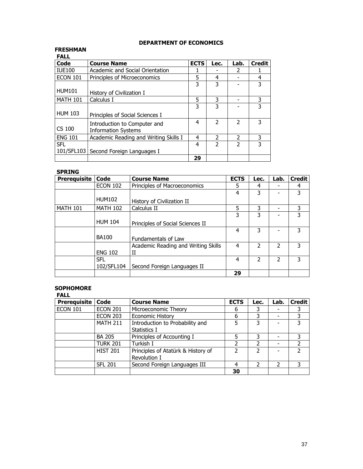### DEPARTMENT OF ECONOMICS

# FRESHMAN

| <b>FALL</b>     |                                         |             |               |               |               |
|-----------------|-----------------------------------------|-------------|---------------|---------------|---------------|
| Code            | <b>Course Name</b>                      | <b>ECTS</b> | Lec.          | Lab.          | <b>Credit</b> |
| <b>IUE100</b>   | Academic and Social Orientation         |             |               | 2             |               |
| <b>ECON 101</b> | Principles of Microeconomics            | 5           | 4             |               | 4             |
|                 |                                         | 3           | 3             |               | 3             |
| <b>HUM101</b>   | History of Civilization I               |             |               |               |               |
| <b>MATH 101</b> | Calculus I                              | 5           | 3             |               | 3             |
|                 |                                         | 3           | 3             |               | 3             |
| <b>HUM 103</b>  | Principles of Social Sciences I         |             |               |               |               |
|                 | Introduction to Computer and            | 4           | $\mathcal{P}$ | $\mathcal{P}$ | ٦             |
| CS 100          | <b>Information Systems</b>              |             |               |               |               |
| <b>ENG 101</b>  | Academic Reading and Writing Skills I   | 4           | 2             | 2             | 3             |
| <b>SFL</b>      |                                         | 4           | $\mathcal{P}$ | 2             | 3             |
|                 | 101/SFL103   Second Foreign Languages I |             |               |               |               |
|                 |                                         | 29          |               |               |               |

#### SPRING

| <b>Prerequisite</b> | Code            | <b>Course Name</b>                  | <b>ECTS</b> | Lec.          | Lab.          | Credit |
|---------------------|-----------------|-------------------------------------|-------------|---------------|---------------|--------|
|                     | <b>ECON 102</b> | Principles of Macroeconomics        | 5.          | 4             |               | 4      |
|                     |                 |                                     | 4           | 3             |               | 3      |
|                     | <b>HUM102</b>   | History of Civilization II          |             |               |               |        |
| <b>MATH 101</b>     | <b>MATH 102</b> | Calculus II                         | 5           | 3             |               | 3      |
|                     |                 |                                     | 3           | 3             |               | 3      |
|                     | <b>HUM 104</b>  | Principles of Social Sciences II    |             |               |               |        |
|                     |                 |                                     | 4           | 3             |               | ٦      |
|                     | <b>BA100</b>    | Fundamentals of Law                 |             |               |               |        |
|                     |                 | Academic Reading and Writing Skills | 4           | $\mathcal{P}$ | $\mathcal{P}$ | 3      |
|                     | <b>ENG 102</b>  | Н                                   |             |               |               |        |
|                     | <b>SFL</b>      |                                     | 4           | $\mathcal{P}$ | $\mathcal{P}$ | ٦      |
|                     | 102/SFL104      | Second Foreign Languages II         |             |               |               |        |
|                     |                 |                                     | 29          |               |               |        |

# **SOPHOMORE**

#### FALL **Prerequisite Code Course Name ECTS Lec. Lab. Credit**<br>ECON 101 ECON 201 Microeconomic Theory 6 3 - 3 ECON 101 ECON 201 Microeconomic Theory 6 3 - 3<br>ECON 203 Economic History 6 3 - 3 ECON 203 Economic History<br>MATH 211 Introduction to Probability and  $\begin{array}{|c|c|c|c|c|c|}\n\hline\n5 & 3 & - & 3 \\
\hline\n\end{array}$ Introduction to Probability and Statistics I 5 3 - 3 BA 205 Principles of Accounting I 5 3 - 3<br>
TURK 201 Turkish I 2 2 - 2 TURK 201 Turkish I<br>
HIST 201 Principles of Atatürk & History of 2 2 2 - 2 Principles of Atatürk & History of Revolution I 2 2 - 2 SFL 201 Second Foreign Languages III 4 2 2 3 30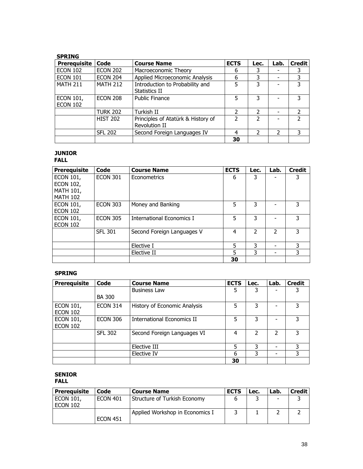| <b>SPRING</b>                       |                 |                                                     |             |               |               |               |
|-------------------------------------|-----------------|-----------------------------------------------------|-------------|---------------|---------------|---------------|
| <b>Prerequisite</b>                 | Code            | <b>Course Name</b>                                  | <b>ECTS</b> | Lec.          | Lab.          | Credit        |
| <b>ECON 102</b>                     | <b>ECON 202</b> | Macroeconomic Theory                                | 6           | 3             |               | 3             |
| <b>ECON 101</b>                     | <b>ECON 204</b> | Applied Microeconomic Analysis                      | 6           | 3             |               | 3             |
| <b>MATH 211</b>                     | <b>MATH 212</b> | Introduction to Probability and<br>Statistics II    | 5           | 3             |               | 3             |
| <b>ECON 101,</b><br><b>ECON 102</b> | <b>ECON 208</b> | <b>Public Finance</b>                               | 5           | 3             |               | 3             |
|                                     | <b>TURK 202</b> | Turkish II                                          | 7           | 2             |               | $\mathcal{P}$ |
|                                     | <b>HIST 202</b> | Principles of Atatürk & History of<br>Revolution II | 2           | 2             |               | $\mathcal{P}$ |
|                                     | <b>SFL 202</b>  | Second Foreign Languages IV                         | 4           | $\mathcal{P}$ | $\mathcal{P}$ | 3             |
|                                     |                 |                                                     | 30          |               |               |               |

# JUNIOR

# FALL

| <b>Prerequisite</b> | Code            | <b>Course Name</b>         | <b>ECTS</b> | Lec.          | Lab.          | <b>Credit</b> |
|---------------------|-----------------|----------------------------|-------------|---------------|---------------|---------------|
| <b>ECON 101,</b>    | <b>ECON 301</b> | Econometrics               | 6           | 3             |               |               |
| <b>ECON 102,</b>    |                 |                            |             |               |               |               |
| <b>MATH 101,</b>    |                 |                            |             |               |               |               |
| MATH 102            |                 |                            |             |               |               |               |
| <b>ECON 101,</b>    | <b>ECON 303</b> | Money and Banking          | 5           | 3             |               | 3             |
| <b>ECON 102</b>     |                 |                            |             |               |               |               |
| <b>ECON 101,</b>    | <b>ECON 305</b> | International Economics I  | 5           | 3             |               | 3             |
| <b>ECON 102</b>     |                 |                            |             |               |               |               |
|                     | <b>SFL 301</b>  | Second Foreign Languages V | 4           | $\mathcal{P}$ | $\mathcal{P}$ | 3             |
|                     |                 |                            |             |               |               |               |
|                     |                 | Elective I                 | 5           | 3             |               | 3             |
|                     |                 | Elective II                | 5           | 3             | -             | 3             |
|                     |                 |                            | 30          |               |               |               |

# SPRING

| <b>Prerequisite</b> | Code            | <b>Course Name</b>           | <b>ECTS</b> | Lec.          | Lab. | <b>Credit</b> |
|---------------------|-----------------|------------------------------|-------------|---------------|------|---------------|
|                     |                 | <b>Business Law</b>          | 5           | 3             |      |               |
|                     | <b>BA 300</b>   |                              |             |               |      |               |
| <b>ECON 101,</b>    | <b>ECON 314</b> | History of Economic Analysis | 5           | 3             |      | ٦             |
| <b>ECON 102</b>     |                 |                              |             |               |      |               |
| <b>ECON 101,</b>    | <b>ECON 306</b> | International Economics II   | 5           | 3             |      | ٦             |
| <b>ECON 102</b>     |                 |                              |             |               |      |               |
|                     | <b>SFL 302</b>  | Second Foreign Languages VI  | 4           | $\mathcal{P}$ | 2    | ٦             |
|                     |                 |                              |             |               |      |               |
|                     |                 | Elective III                 | 5           | 3             |      | 3             |
|                     |                 | Elective IV                  | 6           | 3             |      |               |
|                     |                 |                              | 30          |               |      |               |

#### SENIOR FALL

| <b>Prerequisite</b> | Code            | <b>Course Name</b>              | <b>ECTS</b> | Lec. | Lab.                     | <b>Credit</b> |
|---------------------|-----------------|---------------------------------|-------------|------|--------------------------|---------------|
| <b>ECON 101,</b>    | <b>ECON 401</b> | Structure of Turkish Economy    |             |      | $\overline{\phantom{a}}$ |               |
| <b>ECON 102</b>     |                 |                                 |             |      |                          |               |
|                     |                 | Applied Workshop in Economics I |             |      |                          |               |
|                     | <b>ECON 451</b> |                                 |             |      |                          |               |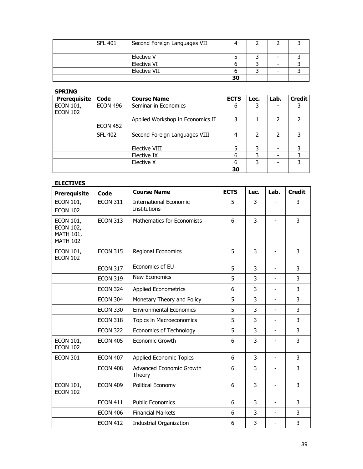| <b>SFL 401</b> | Second Foreign Languages VII |    |  |  |
|----------------|------------------------------|----|--|--|
|                | Elective V                   |    |  |  |
|                | Elective VI                  |    |  |  |
|                | Elective VII                 |    |  |  |
|                |                              | 30 |  |  |

# SPRING

| <b>Prerequisite</b>                 | Code            | <b>Course Name</b>               | <b>ECTS</b> | Lec. | Lab.          | <b>Credit</b> |
|-------------------------------------|-----------------|----------------------------------|-------------|------|---------------|---------------|
| <b>ECON 101,</b><br><b>ECON 102</b> | <b>ECON 496</b> | Seminar in Economics             | 6           | 3    |               |               |
|                                     | <b>ECON 452</b> | Applied Workshop in Economics II | 3           |      | $\mathcal{P}$ |               |
|                                     | <b>SFL 402</b>  | Second Foreign Languages VIII    | 4           |      | $\mathcal{P}$ | 3             |
|                                     |                 | Elective VIII                    |             | 3    |               |               |
|                                     |                 | Elective IX                      | 6           | 3    |               |               |
|                                     |                 | Elective X                       | 6           | 3    |               | 3             |
|                                     |                 |                                  | 30          |      |               |               |

# ELECTIVES

| <b>Prerequisite</b>                                                         | Code            | <b>Course Name</b>                                   | <b>ECTS</b> | Lec.           | Lab.                         | <b>Credit</b> |
|-----------------------------------------------------------------------------|-----------------|------------------------------------------------------|-------------|----------------|------------------------------|---------------|
| <b>ECON 101,</b><br><b>ECON 102</b>                                         | <b>ECON 311</b> | <b>International Economic</b><br><b>Institutions</b> | 5           | 3              |                              | 3             |
| <b>ECON 101,</b><br><b>ECON 102,</b><br><b>MATH 101,</b><br><b>MATH 102</b> | <b>ECON 313</b> | <b>Mathematics for Economists</b>                    | 6           | $\overline{3}$ |                              | 3             |
| <b>ECON 101,</b><br><b>ECON 102</b>                                         | <b>ECON 315</b> | Regional Economics                                   | 5           | 3              |                              | 3             |
|                                                                             | <b>ECON 317</b> | Economics of EU                                      | 5           | 3              | $\overline{\phantom{a}}$     | 3             |
|                                                                             | <b>ECON 319</b> | <b>New Economics</b>                                 | 5           | 3              | $\blacksquare$               | 3             |
|                                                                             | <b>ECON 324</b> | <b>Applied Econometrics</b>                          | 6           | 3              | L.                           | 3             |
|                                                                             | <b>ECON 304</b> | Monetary Theory and Policy                           | 5           | 3              | $\qquad \qquad \blacksquare$ | 3             |
|                                                                             | <b>ECON 330</b> | <b>Environmental Economics</b>                       | 5           | 3              | $\overline{a}$               | 3             |
|                                                                             | <b>ECON 318</b> | Topics in Macroeconomics                             | 5           | 3              | $\blacksquare$               | 3             |
|                                                                             | <b>ECON 322</b> | <b>Economics of Technology</b>                       | 5           | 3              | $\blacksquare$               | 3             |
| <b>ECON 101,</b><br><b>ECON 102</b>                                         | <b>ECON 405</b> | <b>Economic Growth</b>                               | 6           | 3              |                              | 3             |
| <b>ECON 301</b>                                                             | <b>ECON 407</b> | <b>Applied Economic Topics</b>                       | 6           | 3              |                              | 3             |
|                                                                             | <b>ECON 408</b> | Advanced Economic Growth<br>Theory                   | 6           | 3              |                              | 3             |
| <b>ECON 101,</b><br><b>ECON 102</b>                                         | <b>ECON 409</b> | Political Economy                                    | 6           | 3              |                              | 3             |
|                                                                             | <b>ECON 411</b> | <b>Public Economics</b>                              | 6           | $\overline{3}$ | $\overline{a}$               | 3             |
|                                                                             | <b>ECON 406</b> | <b>Financial Markets</b>                             | 6           | 3              | $\overline{\phantom{0}}$     | 3             |
|                                                                             | <b>ECON 412</b> | <b>Industrial Organization</b>                       | 6           | 3              |                              | 3             |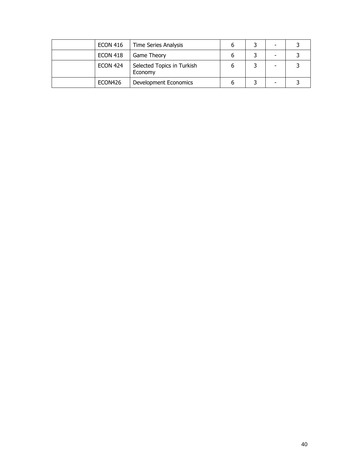| <b>ECON 416</b> | Time Series Analysis                  |  | - |  |
|-----------------|---------------------------------------|--|---|--|
| <b>ECON 418</b> | Game Theory                           |  | - |  |
| <b>ECON 424</b> | Selected Topics in Turkish<br>Economy |  |   |  |
| ECON426         | Development Economics                 |  | - |  |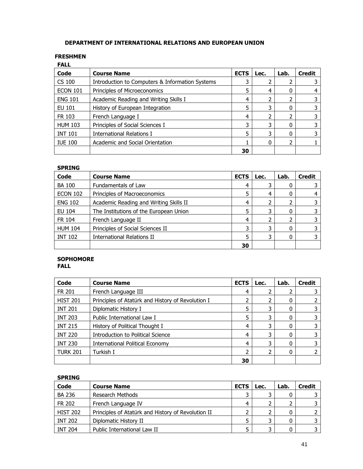# DEPARTMENT OF INTERNATIONAL RELATIONS AND EUROPEAN UNION

# FRESHMEN

| <b>FALL</b>     |                                                 |             |      |      |               |
|-----------------|-------------------------------------------------|-------------|------|------|---------------|
| Code            | <b>Course Name</b>                              | <b>ECTS</b> | Lec. | Lab. | <b>Credit</b> |
| CS 100          | Introduction to Computers & Information Systems |             |      |      |               |
| <b>ECON 101</b> | Principles of Microeconomics                    | 5           | 4    | 0    |               |
| <b>ENG 101</b>  | Academic Reading and Writing Skills I           | 4           | 2    |      |               |
| EU 101          | History of European Integration                 | 5           | 3    | 0    |               |
| FR 103          | French Language I                               | 4           | 2    | ว    |               |
| <b>HUM 103</b>  | Principles of Social Sciences I                 | 3           | 3    | 0    |               |
| <b>INT 101</b>  | <b>International Relations I</b>                | 5           | 3    | 0    |               |
| <b>IUE 100</b>  | Academic and Social Orientation                 |             | 0    | า    |               |
|                 |                                                 | 30          |      |      |               |

# SPRING

| <b>Code</b>     | <b>Course Name</b>                     | <b>ECTS</b> | Lec. | Lab.     | <b>Credit</b> |
|-----------------|----------------------------------------|-------------|------|----------|---------------|
| <b>BA 100</b>   | Fundamentals of Law                    | 4           | 3    | 0        |               |
| <b>ECON 102</b> | Principles of Macroeconomics           | .5          | 4    | 0        |               |
| <b>ENG 102</b>  | Academic Reading and Writing Skills II | 4           |      |          |               |
| EU 104          | The Institutions of the European Union | 5           | 3    | 0        |               |
| FR 104          | French Language II                     | 4           |      |          |               |
| <b>HUM 104</b>  | Principles of Social Sciences II       | 3           | 3    | 0        |               |
| <b>INT 102</b>  | <b>International Relations II</b>      |             | 3    | $\Omega$ |               |
|                 |                                        | 30          |      |          |               |

# **SOPHOMORE**

|--|

| Code            | <b>Course Name</b>                                | <b>ECTS</b> | Lec.          | Lab. | <b>Credit</b> |
|-----------------|---------------------------------------------------|-------------|---------------|------|---------------|
| <b>FR 201</b>   | French Language III                               | 4           |               |      |               |
| <b>HIST 201</b> | Principles of Atatürk and History of Revolution I |             |               | 0    |               |
| <b>INT 201</b>  | Diplomatic History I                              | 5           | 3             | 0    |               |
| <b>INT 203</b>  | Public International Law I                        | 5           | 3             | 0    |               |
| <b>INT 215</b>  | History of Political Thought I                    | 4           | 3             | 0    |               |
| <b>INT 220</b>  | Introduction to Political Science                 | 4           | 3             | 0    |               |
| <b>INT 230</b>  | <b>International Political Economy</b>            | 4           | 3             | 0    |               |
| <b>TURK 201</b> | Turkish I                                         | 2           | $\mathcal{P}$ | 0    |               |
|                 |                                                   | 30          |               |      |               |

| Code            | <b>Course Name</b>                                 | <b>ECTS</b> | Lec. | Lab. | <b>Credit</b> |
|-----------------|----------------------------------------------------|-------------|------|------|---------------|
| <b>BA 236</b>   | Research Methods                                   |             |      |      |               |
| FR 202          | French Language IV                                 | 4           |      |      |               |
| <b>HIST 202</b> | Principles of Atatürk and History of Revolution II |             |      | 0    |               |
| <b>INT 202</b>  | Diplomatic History II                              |             | っ    | 0    |               |
| <b>INT 204</b>  | Public International Law II                        | 5           | ∍    |      |               |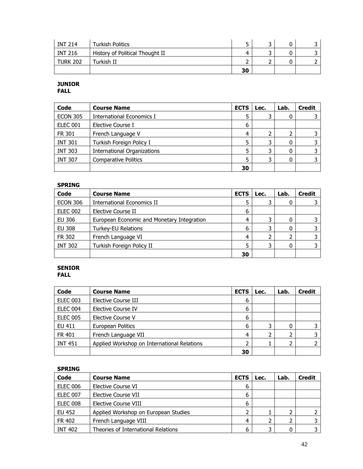| <b>INT 214</b>  | <b>Turkish Politics</b>         |    | ∽<br>ັ |  |
|-----------------|---------------------------------|----|--------|--|
| <b>INT 216</b>  | History of Political Thought II |    |        |  |
| <b>TURK 202</b> | Turkish II                      |    | ∼      |  |
|                 |                                 | 30 |        |  |

#### JUNIOR FALL

| Code            | <b>Course Name</b>                 | <b>ECTS</b> | Lec. | Lab. | <b>Credit</b> |
|-----------------|------------------------------------|-------------|------|------|---------------|
| <b>ECON 305</b> | <b>International Economics I</b>   | 5           | 3    | 0    |               |
| <b>ELEC 001</b> | Elective Course I                  | 6           |      |      |               |
| FR 301          | French Language V                  | 4           | 2    | 2    |               |
| <b>INT 301</b>  | Turkish Foreign Policy I           |             | 3    | 0    |               |
| <b>INT 303</b>  | <b>International Organizations</b> |             | 3    | 0    |               |
| <b>INT 307</b>  | <b>Comparative Politics</b>        |             | 3    | 0    |               |
|                 |                                    | 30          |      |      |               |

# SPRING

| Code            | <b>Course Name</b>                         | <b>ECTS</b> | Lec. | Lab. | <b>Credit</b> |
|-----------------|--------------------------------------------|-------------|------|------|---------------|
| <b>ECON 306</b> | <b>International Economics II</b>          |             | 3    | 0    |               |
| <b>ELEC 002</b> | Elective Course II                         | 6           |      |      |               |
| EU 306          | European Economic and Monetary Integration | 4           | 3    | 0    |               |
| <b>EU 308</b>   | Turkey-EU Relations                        | 6           | 3    | 0    |               |
| FR 302          | French Language VI                         | 4           |      |      |               |
| <b>INT 302</b>  | Turkish Foreign Policy II                  |             | 3    | 0    |               |
|                 |                                            | 30          |      |      |               |

### SENIOR FALL

| Code            | <b>Course Name</b>                          | <b>ECTS</b> | Lec. | Lab. | <b>Credit</b> |
|-----------------|---------------------------------------------|-------------|------|------|---------------|
| <b>ELEC 003</b> | Elective Course III                         | 6           |      |      |               |
| <b>ELEC 004</b> | <b>Elective Course IV</b>                   | 6           |      |      |               |
| <b>ELEC 005</b> | Elective Course V                           | 6           |      |      |               |
| EU 411          | <b>European Politics</b>                    | 6           | 3    | 0    |               |
| FR 401          | French Language VII                         | 4           |      |      |               |
| <b>INT 451</b>  | Applied Workshop on International Relations | 2           |      | ำ    |               |
|                 |                                             | 30          |      |      |               |

| Code            | <b>Course Name</b>                   | <b>ECTS</b>    | Lec. | Lab. | <b>Credit</b> |
|-----------------|--------------------------------------|----------------|------|------|---------------|
| <b>ELEC 006</b> | Elective Course VI                   | 6              |      |      |               |
| <b>ELEC 007</b> | Elective Course VII                  | 6              |      |      |               |
| <b>ELEC 008</b> | Elective Course VIII                 | 6              |      |      |               |
| EU 452          | Applied Workshop on European Studies |                |      | っ    |               |
| FR 402          | French Language VIII                 | $\overline{a}$ |      |      |               |
| <b>INT 402</b>  | Theories of International Relations  | 6              | 3    | 0    |               |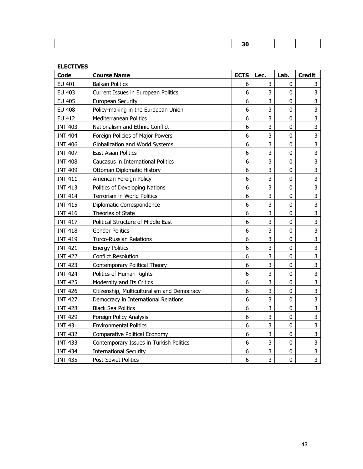| <b>ELECTIVES</b> |                                             |             |      |             |                |
|------------------|---------------------------------------------|-------------|------|-------------|----------------|
| Code             | <b>Course Name</b>                          | <b>ECTS</b> | Lec. | Lab.        | <b>Credit</b>  |
| EU 401           | <b>Balkan Politics</b>                      | 6           | 3    | 0           | 3              |
| EU 403           | Current Issues in European Politics         | 6           | 3    | 0           | 3              |
| <b>EU 405</b>    | <b>European Security</b>                    | 6           | 3    | $\mathbf 0$ | 3              |
| <b>EU 408</b>    | Policy-making in the European Union         | 6           | 3    | $\mathbf 0$ | 3              |
| <b>EU 412</b>    | Mediterranean Politics                      | 6           | 3    | $\mathbf 0$ | 3              |
| <b>INT 403</b>   | Nationalism and Ethnic Conflict             | 6           | 3    | $\pmb{0}$   | 3              |
| <b>INT 404</b>   | Foreign Policies of Major Powers            | 6           | 3    | 0           | $\overline{3}$ |
| <b>INT 406</b>   | Globalization and World Systems             | 6           | 3    | 0           | 3              |
| <b>INT 407</b>   | <b>East Asian Politics</b>                  | 6           | 3    | $\pmb{0}$   | $\overline{3}$ |
| <b>INT 408</b>   | Caucasus in International Politics          | 6           | 3    | $\mathbf 0$ | $\overline{3}$ |
| <b>INT 409</b>   | Ottoman Diplomatic History                  | 6           | 3    | 0           | $\overline{3}$ |
| <b>INT 411</b>   | American Foreign Policy                     | 6           | 3    | $\pmb{0}$   | $\overline{3}$ |
| <b>INT 413</b>   | Politics of Developing Nations              | 6           | 3    | 0           | 3              |
| <b>INT 414</b>   | Terrorism in World Politics                 | 6           | 3    | $\mathbf 0$ | 3              |
| <b>INT 415</b>   | Diplomatic Correspondence                   | 6           | 3    | $\pmb{0}$   | $\overline{3}$ |
| <b>INT 416</b>   | Theories of State                           | 6           | 3    | 0           | 3              |
| <b>INT 417</b>   | Political Structure of Middle East          | 6           | 3    | $\mathbf 0$ | $\overline{3}$ |
| <b>INT 418</b>   | <b>Gender Politics</b>                      | 6           | 3    | $\mathbf 0$ | 3              |
| <b>INT 419</b>   | Turco-Russian Relations                     | 6           | 3    | $\pmb{0}$   | 3              |
| <b>INT 421</b>   | <b>Energy Politics</b>                      | 6           | 3    | $\mathbf 0$ | 3              |
| <b>INT 422</b>   | <b>Conflict Resolution</b>                  | 6           | 3    | $\mathbf 0$ | $\overline{3}$ |
| <b>INT 423</b>   | Contemporary Political Theory               | 6           | 3    | $\pmb{0}$   | $\overline{3}$ |
| <b>INT 424</b>   | Politics of Human Rights                    | 6           | 3    | $\pmb{0}$   | $\overline{3}$ |
| <b>INT 425</b>   | Modernity and Its Critics                   | 6           | 3    | $\mathbf 0$ | $\overline{3}$ |
| <b>INT 426</b>   | Citizenship, Multiculturalism and Democracy | 6           | 3    | $\mathbf 0$ | 3              |
| <b>INT 427</b>   | Democracy in International Relations        | 6           | 3    | $\mathbf 0$ | 3              |
| <b>INT 428</b>   | <b>Black Sea Politics</b>                   | 6           | 3    | 0           | 3              |
| <b>INT 429</b>   | Foreign Policy Analysis                     | 6           | 3    | $\mathbf 0$ | $\overline{3}$ |
| <b>INT 431</b>   | <b>Environmental Politics</b>               | 6           | 3    | $\mathbf 0$ | $\overline{3}$ |
| <b>INT 432</b>   | Comparative Political Economy               | 6           | 3    | 0           | 3              |
| <b>INT 433</b>   | Contemporary Issues in Turkish Politics     | 6           | 3    | $\mathbf 0$ | 3              |
| <b>INT 434</b>   | <b>International Security</b>               | 6           | 3    | $\pmb{0}$   | 3              |
| <b>INT 435</b>   | <b>Post-Soviet Politics</b>                 | 6           | 3    | $\mathbf 0$ | 3              |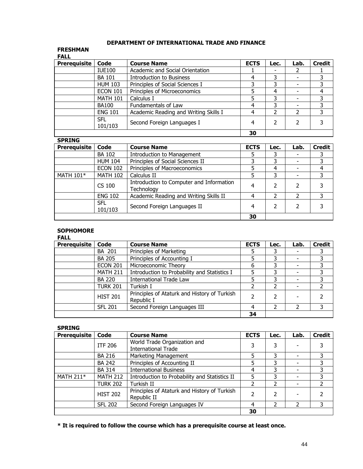# DEPARTMENT OF INTERNATIONAL TRADE AND FINANCE

# FRESHMAN

| <b>FALL</b><br><b>Prerequisite</b> | Code                  | <b>Course Name</b>                    | <b>ECTS</b> | Lec. | Lab. | <b>Credit</b> |
|------------------------------------|-----------------------|---------------------------------------|-------------|------|------|---------------|
|                                    | <b>IUE100</b>         | Academic and Social Orientation       |             |      |      |               |
|                                    | <b>BA 101</b>         | <b>Introduction to Business</b>       |             | 3    |      | 3             |
|                                    | <b>HUM 103</b>        | Principles of Social Sciences I       |             |      |      | 3             |
|                                    | <b>ECON 101</b>       | Principles of Microeconomics          |             |      |      | 4             |
|                                    | <b>MATH 101</b>       | Calculus I                            |             | 3    |      | 3             |
|                                    | <b>BA100</b>          | Fundamentals of Law                   |             | 3    |      | 3             |
|                                    | <b>ENG 101</b>        | Academic Reading and Writing Skills I |             |      |      | 3             |
|                                    | <b>SFL</b><br>101/103 | Second Foreign Languages I            |             |      |      |               |
|                                    |                       |                                       | 30          |      |      |               |

### **SPRING**

| <b>Prerequisite</b> | Code                  | <b>Course Name</b>                                     | <b>ECTS</b> | Lec. | Lab. | <b>Credit</b> |
|---------------------|-----------------------|--------------------------------------------------------|-------------|------|------|---------------|
|                     | <b>BA 102</b>         | Introduction to Management                             |             |      |      |               |
|                     | <b>HUM 104</b>        | Principles of Social Sciences II                       |             |      |      | 3             |
|                     | <b>ECON 102</b>       | Principles of Macroeconomics                           |             |      |      | 4             |
| MATH 101*           | <b>MATH 102</b>       | Calculus II                                            |             |      |      | 3             |
|                     | CS 100                | Introduction to Computer and Information<br>Technology |             |      |      | 3             |
|                     | <b>ENG 102</b>        | Academic Reading and Writing Skills II                 |             |      |      | 3             |
|                     | <b>SFL</b><br>101/103 | Second Foreign Languages II                            | 4           |      |      | 3             |
|                     |                       |                                                        | 30          |      |      |               |

#### **SOPHOMORE**

#### FALL

| <b>Prerequisite</b> | Code            | <b>Course Name</b>                                         | <b>ECTS</b> | Lec. | Lab. | <b>Credit</b> |
|---------------------|-----------------|------------------------------------------------------------|-------------|------|------|---------------|
|                     | BA 201          | Principles of Marketing                                    |             |      |      |               |
|                     | <b>BA 205</b>   | Principles of Accounting I                                 |             | 3    |      | 3             |
|                     | <b>ECON 201</b> | Microeconomic Theory                                       | 6           | 3    |      | 3             |
|                     | <b>MATH 211</b> | Introduction to Probability and Statistics I               |             | 3    |      |               |
|                     | <b>BA 220</b>   | <b>International Trade Law</b>                             |             | 3    |      | 3             |
|                     | <b>TURK 201</b> | Turkish I                                                  |             |      |      |               |
|                     | <b>HIST 201</b> | Principles of Ataturk and History of Turkish<br>Republic I |             |      |      |               |
|                     | <b>SFL 201</b>  | Second Foreign Languages III                               | 4           |      |      | 3             |
|                     |                 |                                                            | 34          |      |      |               |

### **SPRING**

| <b>Prerequisite</b> | Code            | <b>Course Name</b>                                          | <b>ECTS</b> | Lec.          | Lab. | <b>Credit</b> |
|---------------------|-----------------|-------------------------------------------------------------|-------------|---------------|------|---------------|
|                     | <b>ITF 206</b>  | World Trade Organization and<br><b>International Trade</b>  |             | 3             |      |               |
|                     | <b>BA 216</b>   | Marketing Management                                        |             | 3             |      |               |
|                     | <b>BA 242</b>   | Principles of Accounting II                                 |             | 3             |      |               |
|                     | <b>BA 314</b>   | <b>International Business</b>                               | 4           | 3             |      |               |
| MATH 211*           | <b>MATH 212</b> | Introduction to Probability and Statistics II               |             | 3             |      | 3             |
|                     | <b>TURK 202</b> | Turkish II                                                  |             | $\mathcal{P}$ |      |               |
|                     | <b>HIST 202</b> | Principles of Ataturk and History of Turkish<br>Republic II |             | 2             |      |               |
|                     | <b>SFL 202</b>  | Second Foreign Languages IV                                 | 4           | 2             |      |               |
|                     |                 |                                                             | 30          |               |      |               |

\* It is required to follow the course which has a prerequisite course at least once.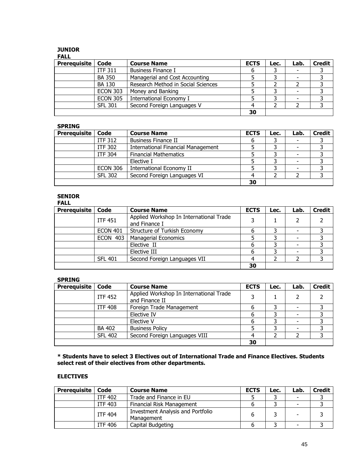#### JUNIOR FALL

| FALL                |                 |                                    |             |      |      |               |
|---------------------|-----------------|------------------------------------|-------------|------|------|---------------|
| <b>Prerequisite</b> | Code            | <b>Course Name</b>                 | <b>ECTS</b> | Lec. | Lab. | <b>Credit</b> |
|                     | <b>ITF 311</b>  | <b>Business Finance I</b>          |             |      |      |               |
|                     | <b>BA 350</b>   | Managerial and Cost Accounting     |             |      |      |               |
|                     | <b>BA 130</b>   | Research Method in Social Sciences |             |      |      |               |
|                     | <b>ECON 303</b> | Money and Banking                  |             |      |      |               |
|                     | <b>ECON 305</b> | <b>International Economy I</b>     |             |      |      |               |
|                     | <b>SFL 301</b>  | Second Foreign Languages V         |             |      |      |               |
|                     |                 |                                    | 30          |      |      |               |

### SPRING

| <b>Prerequisite</b> | Code            | <b>Course Name</b>                        | <b>ECTS</b> | Lec. | Lab. | <b>Credit</b> |
|---------------------|-----------------|-------------------------------------------|-------------|------|------|---------------|
|                     | <b>ITF 312</b>  | <b>Business Finance II</b>                |             |      |      |               |
|                     | <b>ITF 302</b>  | <b>International Financial Management</b> |             |      |      |               |
|                     | <b>ITF 304</b>  | <b>Financial Mathematics</b>              |             |      |      |               |
|                     |                 | Elective I                                |             |      |      |               |
|                     | <b>ECON 306</b> | <b>International Economy II</b>           |             |      |      |               |
|                     | <b>SFL 302</b>  | Second Foreign Languages VI               |             |      |      |               |
|                     |                 |                                           | 30          |      |      |               |

#### SENIOR FALL

| .            |                 |                                                          |             |      |      |               |
|--------------|-----------------|----------------------------------------------------------|-------------|------|------|---------------|
| Prerequisite | Code            | <b>Course Name</b>                                       | <b>ECTS</b> | Lec. | Lab. | <b>Credit</b> |
|              | <b>ITF 451</b>  | Applied Workshop In International Trade<br>and Finance I |             |      |      |               |
|              | <b>ECON 401</b> | Structure of Turkish Economy                             |             |      |      |               |
|              | ECON 403        | <b>Managerial Economics</b>                              |             |      |      |               |
|              |                 | Elective II                                              |             |      |      |               |
|              |                 | Elective III                                             |             |      |      |               |
|              | <b>SFL 401</b>  | Second Foreign Languages VII                             |             |      |      |               |
|              |                 |                                                          | 30          |      |      |               |

### SPRING

| <b>Prerequisite   Code</b> |                | <b>Course Name</b>                                        | <b>ECTS</b> | Lec. | Lab. | <b>Credit</b> |
|----------------------------|----------------|-----------------------------------------------------------|-------------|------|------|---------------|
|                            | <b>ITF 452</b> | Applied Workshop In International Trade<br>and Finance II |             |      |      |               |
|                            | <b>ITF 408</b> | Foreign Trade Management                                  |             |      |      |               |
|                            |                | Elective IV                                               |             |      |      | っ             |
|                            |                | Elective V                                                |             |      |      |               |
|                            | <b>BA 402</b>  | <b>Business Policy</b>                                    |             |      |      |               |
|                            | <b>SFL 402</b> | Second Foreign Languages VIII                             |             |      |      |               |
|                            |                |                                                           | 30          |      |      |               |

\* Students have to select 3 Electives out of International Trade and Finance Electives. Students select rest of their electives from other departments.

## ELECTIVES

| <b>Prerequisite   Code</b> |                | <b>Course Name</b>                                     | <b>ECTS</b> | Lec. | Lab.                     | <b>Credit</b> |
|----------------------------|----------------|--------------------------------------------------------|-------------|------|--------------------------|---------------|
|                            | <b>ITF 402</b> | Trade and Finance in EU                                |             |      | $\equiv$                 |               |
|                            | <b>ITF 403</b> | Financial Risk Management                              |             |      | $\overline{\phantom{0}}$ |               |
|                            | <b>ITF 404</b> | <b>Investment Analysis and Portfolio</b><br>Management |             |      |                          |               |
|                            | <b>ITF 406</b> | Capital Budgeting                                      |             |      | $\,$                     |               |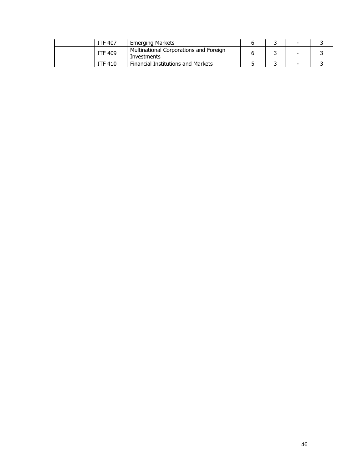| <b>ITF 407</b> | <b>Emerging Markets</b>                               |  | -                        |  |
|----------------|-------------------------------------------------------|--|--------------------------|--|
| <b>ITF 409</b> | Multinational Corporations and Foreign<br>Investments |  | -                        |  |
| <b>ITF 410</b> | <b>Financial Institutions and Markets</b>             |  | $\overline{\phantom{0}}$ |  |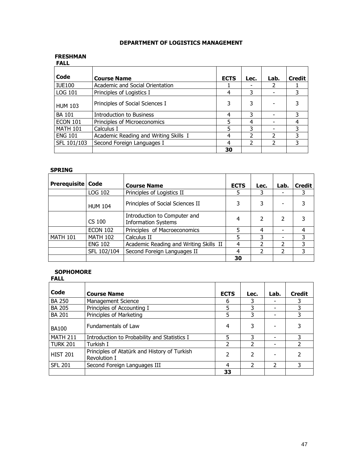# DEPARTMENT OF LOGISTICS MANAGEMENT

# FRESHMAN

| <b>FALL</b>     |                                       |             |      |               |        |
|-----------------|---------------------------------------|-------------|------|---------------|--------|
| Code            | <b>Course Name</b>                    | <b>ECTS</b> | Lec. | Lab.          | Credit |
| <b>IUE100</b>   | Academic and Social Orientation       |             |      |               |        |
| LOG 101         | Principles of Logistics I             | 4           | 3    |               | 3      |
| <b>HUM 103</b>  | Principles of Social Sciences I       | 3           | 3    |               |        |
| <b>BA 101</b>   | Introduction to Business              | 4           | 3    |               | 3      |
| <b>ECON 101</b> | Principles of Microeconomics          | 5           | 4    |               | 4      |
| <b>MATH 101</b> | Calculus I                            | 5           | 3    |               | 3      |
| <b>ENG 101</b>  | Academic Reading and Writing Skills I | 4           | 2    | $\mathcal{P}$ | 3      |
| SFL 101/103     | Second Foreign Languages I            | 4           | 2    | 2             | 3      |
|                 |                                       | 30          |      |               |        |

# SPRING

| <b>Prerequisite   Code</b> |                 | <b>Course Name</b>                                         | <b>ECTS</b> | Lec. | Lab. | <b>Credit</b> |
|----------------------------|-----------------|------------------------------------------------------------|-------------|------|------|---------------|
|                            | LOG 102         | Principles of Logistics II                                 | 5           | 3    |      | 3             |
|                            | <b>HUM 104</b>  | Principles of Social Sciences II                           | 3           |      |      |               |
|                            | CS 100          | Introduction to Computer and<br><b>Information Systems</b> | 4           |      | 2    |               |
|                            | <b>ECON 102</b> | Principles of Macroeconomics                               | 5           | 4    |      | 4             |
| <b>MATH 101</b>            | <b>MATH 102</b> | Calculus II                                                | 5           | ٦    |      | 3             |
|                            | <b>ENG 102</b>  | Academic Reading and Writing Skills II                     | 4           |      | 2    | 3             |
|                            | SFL 102/104     | Second Foreign Languages II                                | 4           | 2    | 2    | 3             |
|                            |                 |                                                            | 30          |      |      |               |

# **SOPHOMORE**

|--|

| Code                                                                            | <b>Course Name</b>                           | <b>ECTS</b>   | Lec. | Lab. | <b>Credit</b> |
|---------------------------------------------------------------------------------|----------------------------------------------|---------------|------|------|---------------|
| <b>BA 250</b>                                                                   | Management Science                           | 6             |      |      |               |
| <b>BA 205</b>                                                                   | Principles of Accounting I                   | 5             | 3    |      |               |
| <b>BA 201</b>                                                                   | Principles of Marketing                      | 5             | 3    |      | 3             |
| <b>BA100</b>                                                                    | Fundamentals of Law                          | 4             | 3    |      | 3             |
| <b>MATH 211</b>                                                                 | Introduction to Probability and Statistics I | 5             | 3    |      | ٦             |
| l TURK 201                                                                      | Turkish T                                    | $\mathcal{P}$ | 2    |      |               |
| Principles of Atatürk and History of Turkish<br><b>HIST 201</b><br>Revolution I |                                              | $\mathcal{P}$ | 2    |      |               |
| <b>SFL 201</b>                                                                  | Second Foreign Languages III                 | 4             | 2    | C    | ٦             |
|                                                                                 |                                              | 33            |      |      |               |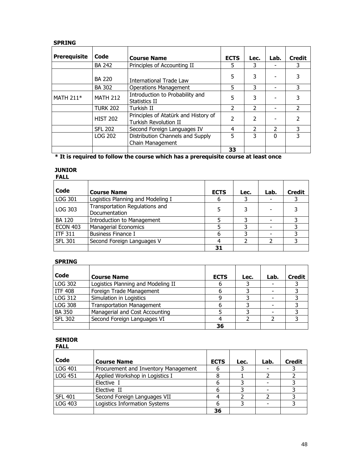# SPRING

| <b>Prerequisite</b> | Code            | <b>Course Name</b>                                            | <b>ECTS</b>   | Lec.          | Lab.         | <b>Credit</b> |
|---------------------|-----------------|---------------------------------------------------------------|---------------|---------------|--------------|---------------|
|                     | <b>BA 242</b>   | Principles of Accounting II                                   | 5             | 3             |              | 3.            |
|                     | <b>BA 220</b>   | International Trade Law                                       | 5             | 3             |              |               |
|                     | <b>BA 302</b>   | <b>Operations Management</b>                                  | 5             | ٦             |              | 3             |
| MATH 211*           | <b>MATH 212</b> | Introduction to Probability and<br>Statistics II              | 5             | 3             |              |               |
|                     | <b>TURK 202</b> | Turkish II                                                    | $\mathcal{P}$ | っ             |              |               |
|                     | <b>HIST 202</b> | Principles of Atatürk and History of<br>Turkish Revolution II |               | $\mathcal{P}$ |              |               |
|                     | <b>SFL 202</b>  | Second Foreign Languages IV                                   | 4             | 2             | 2            | 3             |
|                     | <b>LOG 202</b>  | Distribution Channels and Supply<br>Chain Management          | 5             | 3             | <sup>0</sup> | ٦             |
|                     |                 |                                                               | 33            |               |              |               |

\* It is required to follow the course which has a prerequisite course at least once

# JUNIOR

| <b>FALL</b>     |                                                 |             |      |      |        |
|-----------------|-------------------------------------------------|-------------|------|------|--------|
| Code            | <b>Course Name</b>                              | <b>ECTS</b> | Lec. | Lab. | Credit |
| LOG 301         | Logistics Planning and Modeling I               | 6           |      |      |        |
| LOG 303         | Transportation Regulations and<br>Documentation | 5           |      |      |        |
| <b>BA 120</b>   | <b>Introduction to Management</b>               | 5           | 3    |      |        |
| <b>ECON 403</b> | <b>Managerial Economics</b>                     | 5           |      |      |        |
| <b>ITF 311</b>  | <b>Business Finance I</b>                       | 6           | 3    |      |        |
| <b>SFL 301</b>  | Second Foreign Languages V                      | 4           |      | 2    |        |
|                 |                                                 | 31          |      |      |        |

## SPRING

| Code           | <b>Course Name</b>                 | <b>ECTS</b> | Lec. | Lab. | <b>Credit</b> |
|----------------|------------------------------------|-------------|------|------|---------------|
| LOG 302        | Logistics Planning and Modeling II |             |      |      |               |
| <b>ITF 408</b> | Foreign Trade Management           |             |      |      |               |
| LOG 312        | Simulation in Logistics            |             |      |      |               |
| <b>LOG 308</b> | <b>Transportation Management</b>   |             |      |      |               |
| <b>BA 350</b>  | Managerial and Cost Accounting     |             |      |      |               |
| <b>SFL 302</b> | Second Foreign Languages VI        |             |      |      |               |
|                |                                    | 36          |      |      |               |

#### SENIOR FALL

| .              |                                      |             |      |      |               |
|----------------|--------------------------------------|-------------|------|------|---------------|
| Code           | <b>Course Name</b>                   | <b>ECTS</b> | Lec. | Lab. | <b>Credit</b> |
| <b>LOG 401</b> | Procurement and Inventory Management |             |      |      |               |
| <b>LOG 451</b> | Applied Workshop in Logistics I      |             |      |      |               |
|                | Elective I                           | 6           |      |      |               |
|                | Elective II                          |             |      |      |               |
| <b>SFL 401</b> | Second Foreign Languages VII         |             |      |      |               |
| LOG 403        | Logistics Information Systems        |             |      |      |               |
|                |                                      | 36          |      |      |               |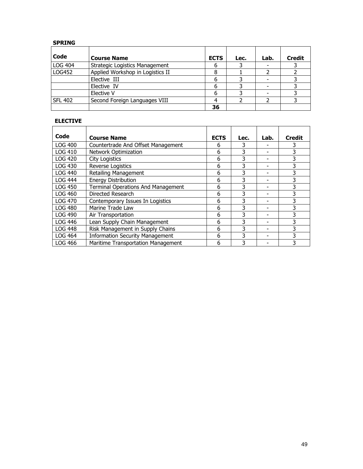# SPRING

| Code           | <b>Course Name</b>                    | <b>ECTS</b> | Lec. | Lab. | <b>Credit</b> |
|----------------|---------------------------------------|-------------|------|------|---------------|
| <b>LOG 404</b> | <b>Strategic Logistics Management</b> | 6           |      |      |               |
| LOG452         | Applied Workshop in Logistics II      |             |      |      |               |
|                | Elective III                          | 6           |      |      |               |
|                | Elective IV                           |             |      |      |               |
|                | Elective V                            | 6           |      |      |               |
| <b>SFL 402</b> | Second Foreign Languages VIII         |             |      |      |               |
|                |                                       | 36          |      |      |               |

# ELECTIVE

| Code           | <b>Course Name</b>                     | <b>ECTS</b> | Lec. | Lab. | Credit |
|----------------|----------------------------------------|-------------|------|------|--------|
| <b>LOG 400</b> | Countertrade And Offset Management     | 6           | 3    |      | 3      |
| <b>LOG 410</b> | <b>Network Optimization</b>            | 6           | 3    |      | 3      |
| <b>LOG 420</b> | <b>City Logistics</b>                  | 6           | 3    |      | 3      |
| LOG 430        | Reverse Logistics                      | 6           | 3    |      | 3      |
| <b>LOG 440</b> | Retailing Management                   | 6           | 3    |      | 3      |
| <b>LOG 444</b> | <b>Energy Distribution</b>             | 6           | 3    |      | 3      |
| <b>LOG 450</b> | Terminal Operations And Management     | 6           | 3    |      | 3      |
| <b>LOG 460</b> | Directed Research                      | 6           | 3    |      | 3      |
| LOG 470        | Contemporary Issues In Logistics       | 6           | 3    |      | 3      |
| <b>LOG 480</b> | Marine Trade Law                       | 6           | ٦    |      | 3      |
| LOG 490        | Air Transportation                     | 6           | 3    |      | 3      |
| <b>LOG 446</b> | Lean Supply Chain Management           | 6           | 3    |      | 3      |
| <b>LOG 448</b> | Risk Management in Supply Chains       | 6           | 3    |      | 3      |
| LOG 464        | <b>Information Security Management</b> | 6           | 3    |      | 3      |
| <b>LOG 466</b> | Maritime Transportation Management     | 6           | 3    |      |        |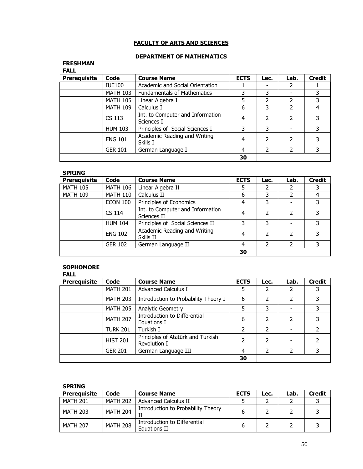# FACULTY OF ARTS AND SCIENCES

# DEPARTMENT OF MATHEMATICS

#### FRESHMAN FALL

| <b>Prerequisite</b> | Code            | <b>Course Name</b>                             | <b>ECTS</b> | Lec.          | Lab.          | <b>Credit</b> |
|---------------------|-----------------|------------------------------------------------|-------------|---------------|---------------|---------------|
|                     | <b>IUE100</b>   | Academic and Social Orientation                |             |               | 2             |               |
|                     | <b>MATH 103</b> | <b>Fundamentals of Mathematics</b>             | 3           | 3             |               |               |
|                     | <b>MATH 105</b> | Linear Algebra I                               | 5           |               | 2             | 3             |
|                     | <b>MATH 109</b> | Calculus I                                     | 6           | 3             | $\mathcal{P}$ |               |
|                     | CS 113          | Int. to Computer and Information<br>Sciences I | 4           | 2             | 2             |               |
|                     | <b>HUM 103</b>  | Principles of Social Sciences I                | 3           | 3             |               | 3             |
|                     | <b>ENG 101</b>  | Academic Reading and Writing<br>Skills I       | 4           | 2             | 2             |               |
|                     | <b>GER 101</b>  | German Language I                              | 4           | $\mathcal{P}$ | $\mathcal{P}$ | 3             |
|                     |                 |                                                | 30          |               |               |               |

## SPRING

| <b>Prerequisite</b> | Code            | <b>Course Name</b>                              | <b>ECTS</b> | Lec. | Lab. | <b>Credit</b> |
|---------------------|-----------------|-------------------------------------------------|-------------|------|------|---------------|
| <b>MATH 105</b>     | <b>MATH 106</b> | Linear Algebra II                               | 5           | 2    |      |               |
| <b>MATH 109</b>     | <b>MATH 110</b> | Calculus II                                     | 6           | 3    | 2    |               |
|                     | <b>ECON 100</b> | Principles of Economics                         | 4           | 3    |      | 3             |
|                     | CS 114          | Int. to Computer and Information<br>Sciences II | 4           | 2    | C.   |               |
|                     | <b>HUM 104</b>  | Principles of Social Sciences II                | 3           | 3    |      | 3             |
|                     | <b>ENG 102</b>  | Academic Reading and Writing<br>Skills II       | 4           | 2    | 2    |               |
|                     | <b>GER 102</b>  | German Language II                              | 4           | 2    |      |               |
|                     |                 |                                                 | 30          |      |      |               |

#### **SOPHOMORE** FALL

| <b>Prerequisite</b> | Code            | <b>Course Name</b>                                | <b>ECTS</b> | Lec.          | Lab. | <b>Credit</b> |
|---------------------|-----------------|---------------------------------------------------|-------------|---------------|------|---------------|
|                     | <b>MATH 201</b> | Advanced Calculus I                               | 5           | 2             |      |               |
|                     | <b>MATH 203</b> | Introduction to Probability Theory I              | 6           | 2             | 2    |               |
|                     | <b>MATH 205</b> | Analytic Geometry                                 | 5           | 3             |      |               |
|                     | <b>MATH 207</b> | Introduction to Differential<br>Equations I       | 6           | $\mathcal{P}$ | 2    |               |
|                     | <b>TURK 201</b> | Turkish I                                         |             | 2             |      |               |
|                     | <b>HIST 201</b> | Principles of Atatürk and Turkish<br>Revolution I |             | 2             |      |               |
|                     | <b>GER 201</b>  | German Language III                               | 4           | 2             |      |               |
|                     |                 |                                                   | 30          |               |      |               |

| <b>Prerequisite</b> | Code            | <b>Course Name</b>                           | <b>ECTS</b> | Lec. | Lab. | <b>Credit</b> |
|---------------------|-----------------|----------------------------------------------|-------------|------|------|---------------|
| <b>MATH 201</b>     | <b>MATH 202</b> | Advanced Calculus II                         |             |      |      |               |
| <b>MATH 203</b>     | <b>MATH 204</b> | Introduction to Probability Theory           |             |      |      |               |
| <b>MATH 207</b>     | <b>MATH 208</b> | Introduction to Differential<br>Equations II |             |      |      |               |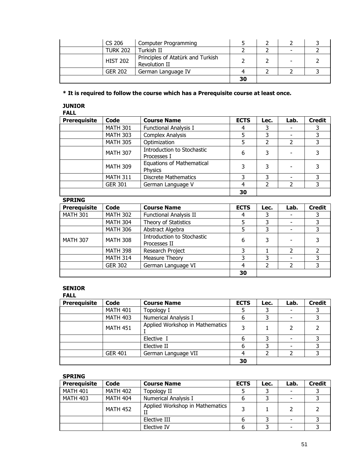| CS 206          | <b>Computer Programming</b>                        |    |  |  |
|-----------------|----------------------------------------------------|----|--|--|
| <b>TURK 202</b> | Turkish II                                         |    |  |  |
| <b>HIST 202</b> | Principles of Atatürk and Turkish<br>Revolution II |    |  |  |
| <b>GER 202</b>  | German Language IV                                 |    |  |  |
|                 |                                                    | 30 |  |  |

# \* It is required to follow the course which has a Prerequisite course at least once.

# JUNIOR

| <b>FALL</b>         |                 |                                             |             |               |      |               |
|---------------------|-----------------|---------------------------------------------|-------------|---------------|------|---------------|
| <b>Prerequisite</b> | Code            | <b>Course Name</b>                          | <b>ECTS</b> | Lec.          | Lab. | <b>Credit</b> |
|                     | <b>MATH 301</b> | <b>Functional Analysis I</b>                | 4           | 3             |      |               |
|                     | <b>MATH 303</b> | <b>Complex Analysis</b>                     | 5           | 3             |      | 3             |
|                     | <b>MATH 305</b> | Optimization                                | 5           | 2             | າ    | 3             |
|                     | <b>MATH 307</b> | Introduction to Stochastic<br>Processes I   | 6           | 3             |      | 3             |
|                     | <b>MATH 309</b> | <b>Equations of Mathematical</b><br>Physics | 3           | 3             |      |               |
|                     | <b>MATH 311</b> | <b>Discrete Mathematics</b>                 | 3           | 3             |      | ٦             |
|                     | <b>GER 301</b>  | German Language V                           | 4           | $\mathcal{P}$ | C.   |               |
|                     |                 |                                             | 30          |               |      |               |

# **SPRING**

 $\mathbf{l}$ 

| <b>Prerequisite</b> | Code            | <b>Course Name</b>                         | <b>ECTS</b> | Lec. | Lab.          | <b>Credit</b> |
|---------------------|-----------------|--------------------------------------------|-------------|------|---------------|---------------|
| <b>MATH 301</b>     | <b>MATH 302</b> | <b>Functional Analysis II</b>              | 4           | 3    |               |               |
|                     | <b>MATH 304</b> | Theory of Statistics                       |             | 3    |               |               |
|                     | <b>MATH 306</b> | Abstract Algebra                           | 5           | 3    |               | 3             |
| <b>MATH 307</b>     | <b>MATH 308</b> | Introduction to Stochastic<br>Processes II | 6           | 3    |               |               |
|                     | <b>MATH 398</b> | Research Project                           | 3           |      | $\mathcal{P}$ |               |
|                     | <b>MATH 314</b> | Measure Theory                             | ٦           | 3    |               |               |
|                     | <b>GER 302</b>  | German Language VI                         | 4           |      |               |               |
|                     |                 |                                            | 30          |      |               |               |

# SENIOR

### FALL

| <b>Prerequisite</b> | Code            | <b>Course Name</b>              | <b>ECTS</b> | Lec. | Lab. | <b>Credit</b> |
|---------------------|-----------------|---------------------------------|-------------|------|------|---------------|
|                     | <b>MATH 401</b> | Topology I                      |             |      |      |               |
|                     | <b>MATH 403</b> | <b>Numerical Analysis I</b>     | 6           |      |      |               |
|                     | <b>MATH 451</b> | Applied Workshop in Mathematics | 3           |      |      |               |
|                     |                 | Elective I                      | 6           | っ    |      |               |
|                     |                 | Elective II                     | 6           |      |      |               |
|                     | <b>GER 401</b>  | German Language VII             |             |      |      |               |
|                     |                 |                                 | 30          |      |      |               |

| <b>Prerequisite</b> | Code            | <b>Course Name</b>              | <b>ECTS</b> | Lec. | Lab. | <b>Credit</b> |
|---------------------|-----------------|---------------------------------|-------------|------|------|---------------|
| <b>MATH 401</b>     | <b>MATH 402</b> | Topology II                     |             |      |      |               |
| <b>MATH 403</b>     | <b>MATH 404</b> | <b>Numerical Analysis I</b>     |             |      |      |               |
|                     | <b>MATH 452</b> | Applied Workshop in Mathematics |             |      |      |               |
|                     |                 | Elective III                    |             |      |      |               |
|                     |                 | Elective IV                     |             |      |      |               |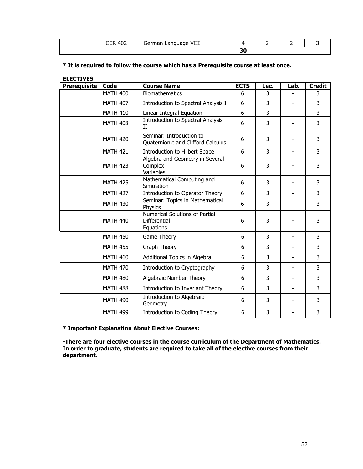|  | VIII<br>German<br>anguade :<br>-- |        |  |  |
|--|-----------------------------------|--------|--|--|
|  |                                   | -<br>◡ |  |  |

# \* It is required to follow the course which has a Prerequisite course at least once.

| <b>ELECTIVES</b>    |                 |                                                                    |             |                |                          |                |
|---------------------|-----------------|--------------------------------------------------------------------|-------------|----------------|--------------------------|----------------|
| <b>Prerequisite</b> | Code            | <b>Course Name</b>                                                 | <b>ECTS</b> | Lec.           | Lab.                     | <b>Credit</b>  |
|                     | <b>MATH 400</b> | <b>Biomathematics</b>                                              | 6           | 3              |                          | 3              |
|                     | <b>MATH 407</b> | Introduction to Spectral Analysis I                                | 6           | 3              |                          | 3              |
|                     | <b>MATH 410</b> | Linear Integral Equation                                           | 6           | $\overline{3}$ |                          | 3              |
|                     | <b>MATH 408</b> | <b>Introduction to Spectral Analysis</b><br>$_{II}$                | 6           | 3              |                          | 3              |
|                     | <b>MATH 420</b> | Seminar: Introduction to<br>Quaternionic and Clifford Calculus     | 6           | 3              |                          | 3              |
|                     | <b>MATH 421</b> | Introduction to Hilbert Space                                      | 6           | $\overline{3}$ |                          | $\overline{3}$ |
|                     | <b>MATH 423</b> | Algebra and Geometry in Several<br>Complex<br>Variables            | 6           | 3              |                          | 3              |
|                     | <b>MATH 425</b> | Mathematical Computing and<br>Simulation                           | 6           | 3              |                          | 3              |
|                     | <b>MATH 427</b> | Introduction to Operator Theory                                    | 6           | 3              | $\blacksquare$           | 3              |
|                     | <b>MATH 430</b> | Seminar: Topics in Mathematical<br>Physics                         | 6           | 3              |                          | 3              |
|                     | <b>MATH 440</b> | Numerical Solutions of Partial<br><b>Differential</b><br>Equations | 6           | 3              |                          | 3              |
|                     | <b>MATH 450</b> | Game Theory                                                        | 6           | 3              |                          | 3              |
|                     | <b>MATH 455</b> | Graph Theory                                                       | 6           | 3              | $\overline{\phantom{a}}$ | 3              |
|                     | <b>MATH 460</b> | Additional Topics in Algebra                                       | 6           | 3              |                          | 3              |
|                     | <b>MATH 470</b> | Introduction to Cryptography                                       | 6           | 3              | $\blacksquare$           | 3              |
|                     | <b>MATH 480</b> | Algebraic Number Theory                                            | 6           | 3              | $\sim$                   | 3              |
|                     | <b>MATH 488</b> | Introduction to Invariant Theory                                   | 6           | $\overline{3}$ | $\mathbf{r}$             | 3              |
|                     | <b>MATH 490</b> | <b>Introduction to Algebraic</b><br>Geometry                       | 6           | 3              |                          | 3              |
|                     | <b>MATH 499</b> | <b>Introduction to Coding Theory</b>                               | 6           | $\overline{3}$ |                          | 3              |

### \* Important Explanation About Elective Courses:

-There are four elective courses in the course curriculum of the Department of Mathematics. In order to graduate, students are required to take all of the elective courses from their department.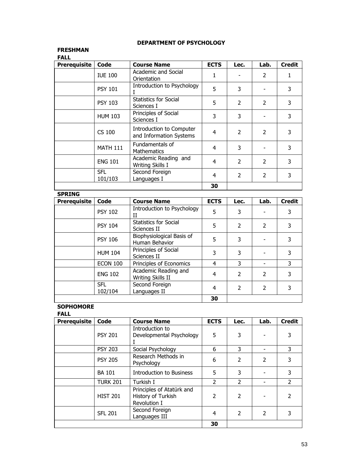# DEPARTMENT OF PSYCHOLOGY

| <b>FRESHMAN</b> |
|-----------------|
|-----------------|

| <b>FALL</b>         |                 |                                                     |             |                |                          |               |
|---------------------|-----------------|-----------------------------------------------------|-------------|----------------|--------------------------|---------------|
| <b>Prerequisite</b> | Code            | <b>Course Name</b>                                  | <b>ECTS</b> | Lec.           | Lab.                     | <b>Credit</b> |
|                     | <b>IUE 100</b>  | Academic and Social<br>Orientation                  | 1           |                | $\mathcal{P}$            | 1             |
|                     | <b>PSY 101</b>  | Introduction to Psychology                          | 5           | 3              |                          | 3             |
|                     | <b>PSY 103</b>  | Statistics for Social<br>Sciences I                 | 5           | $\mathfrak{p}$ | $\mathfrak{p}$           | 3             |
|                     | <b>HUM 103</b>  | Principles of Social<br>Sciences I                  | 3           | 3              |                          | 3             |
|                     | CS 100          | Introduction to Computer<br>and Information Systems | 4           | $\mathfrak{p}$ | $\mathcal{P}$            | 3             |
|                     | <b>MATH 111</b> | Fundamentals of<br><b>Mathematics</b>               | 4           | 3              |                          | 3             |
|                     | <b>ENG 101</b>  | Academic Reading and<br>Writing Skills I            | 4           | $\mathfrak{p}$ | $\overline{\phantom{a}}$ | 3             |
|                     | SFL.<br>101/103 | Second Foreign<br>Languages I                       | 4           | $\mathfrak{p}$ | $\mathfrak{p}$           | 3             |
|                     |                 |                                                     | 30          |                |                          |               |

|                     |                       |                                             | --          |                |               |               |
|---------------------|-----------------------|---------------------------------------------|-------------|----------------|---------------|---------------|
| <b>SPRING</b>       |                       |                                             |             |                |               |               |
| <b>Prerequisite</b> | Code                  | <b>Course Name</b>                          | <b>ECTS</b> | Lec.           | Lab.          | <b>Credit</b> |
|                     | <b>PSY 102</b>        | Introduction to Psychology<br>Н             | 5           | 3              |               | 3             |
|                     | <b>PSY 104</b>        | <b>Statistics for Social</b><br>Sciences II | 5           | $\overline{2}$ | $\mathcal{P}$ | 3             |
|                     | <b>PSY 106</b>        | Biophysiological Basis of<br>Human Behavior | 5           | 3              |               | 3             |
|                     | <b>HUM 104</b>        | Principles of Social<br>Sciences II         | 3           | 3              |               | 3             |
|                     | <b>ECON 100</b>       | Principles of Economics                     | 4           | 3              |               | 3             |
|                     | <b>ENG 102</b>        | Academic Reading and<br>Writing Skills II   | 4           | $\mathfrak{p}$ | 2             | 3             |
|                     | <b>SFL</b><br>102/104 | Second Foreign<br>Languages II              | 4           | 2              | 2             | 3             |
|                     |                       |                                             | 30          |                |               |               |

# **SOPHOMORE**

# FALL

| <b>Prerequisite</b> | Code            | <b>Course Name</b>                                              | <b>ECTS</b> | Lec.          | Lab.          | <b>Credit</b> |
|---------------------|-----------------|-----------------------------------------------------------------|-------------|---------------|---------------|---------------|
|                     | <b>PSY 201</b>  | Introduction to<br>Developmental Psychology                     | 5           | 3             |               | 3             |
|                     | <b>PSY 203</b>  | Social Psychology                                               | 6           | 3             |               | 3             |
|                     | <b>PSY 205</b>  | Research Methods in<br>Psychology                               | 6           | $\mathcal{P}$ | $\mathcal{P}$ | 3             |
|                     | <b>BA 101</b>   | Introduction to Business                                        | 5           | 3             |               | 3             |
|                     | <b>TURK 201</b> | Turkish I                                                       | 2           | $\mathcal{P}$ |               | $\mathcal{P}$ |
|                     | <b>HIST 201</b> | Principles of Atatürk and<br>History of Turkish<br>Revolution I | 2           | $\mathcal{P}$ |               |               |
|                     | <b>SFL 201</b>  | Second Foreign<br>Languages III                                 | 4           | $\mathcal{P}$ | 2             |               |
|                     |                 |                                                                 | 30          |               |               |               |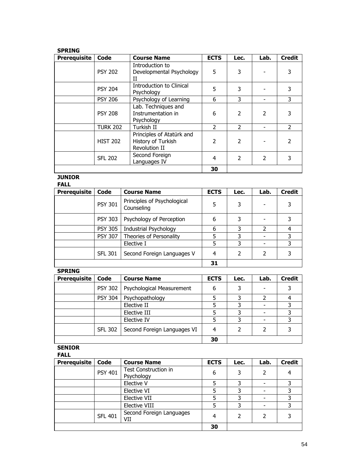| <b>SPRING</b>       |                 |                                                                  |                |                |                |               |
|---------------------|-----------------|------------------------------------------------------------------|----------------|----------------|----------------|---------------|
| <b>Prerequisite</b> | Code            | <b>Course Name</b>                                               | <b>ECTS</b>    | Lec.           | Lab.           | <b>Credit</b> |
|                     | <b>PSY 202</b>  | Introduction to<br>Developmental Psychology<br>TΤ                | 5              | 3              |                | 3             |
|                     | <b>PSY 204</b>  | Introduction to Clinical<br>Psychology                           | 5              | 3              |                | 3             |
|                     | <b>PSY 206</b>  | Psychology of Learning                                           | 6              | 3              |                | 3             |
|                     | <b>PSY 208</b>  | Lab. Techniques and<br>Instrumentation in<br>Psychology          | 6              | $\mathfrak{p}$ | $\mathcal{P}$  | 3             |
|                     | <b>TURK 202</b> | Turkish II                                                       | $\mathfrak{p}$ | $\mathcal{P}$  |                | $\mathcal{P}$ |
|                     | <b>HIST 202</b> | Principles of Atatürk and<br>History of Turkish<br>Revolution II | C              | $\mathcal{P}$  |                | $\mathcal{P}$ |
|                     | <b>SFL 202</b>  | Second Foreign<br>Languages IV                                   | 4              | $\mathcal{P}$  | $\mathfrak{p}$ | 3             |
|                     |                 |                                                                  | 30             |                |                |               |

## JUNIOR FALL

| <b>Prerequisite</b> | Code           | <b>Course Name</b>                        | <b>ECTS</b> | Lec. | Lab. | <b>Credit</b> |
|---------------------|----------------|-------------------------------------------|-------------|------|------|---------------|
|                     | <b>PSY 301</b> | Principles of Psychological<br>Counseling |             | 3    |      |               |
|                     | <b>PSY 303</b> | Psychology of Perception                  | 6           | 3    |      | 3             |
|                     | <b>PSY 305</b> | <b>Industrial Psychology</b>              | 6           | 3    |      |               |
|                     | <b>PSY 307</b> | Theories of Personality                   |             | 3    |      |               |
|                     |                | Elective I                                | 5           | 3    |      |               |
|                     | <b>SFL 301</b> | Second Foreign Languages V                | 4           |      |      |               |
|                     |                |                                           | 31          |      |      |               |

# **SPRING**

| <b>Prerequisite</b> | Code           | <b>Course Name</b>          | <b>ECTS</b> | Lec. | Lab. | <b>Credit</b> |
|---------------------|----------------|-----------------------------|-------------|------|------|---------------|
|                     | <b>PSY 302</b> | Psychological Measurement   | 6           |      |      |               |
|                     | <b>PSY 304</b> | Psychopathology             |             |      |      |               |
|                     |                | Elective II                 |             |      |      |               |
|                     |                | Elective III                |             |      |      |               |
|                     |                | Elective IV                 |             |      |      |               |
|                     | <b>SFL 302</b> | Second Foreign Languages VI |             |      |      |               |
|                     |                |                             | 30          |      |      |               |

# SENIOR

| .                   |                |                                    |             |      |      |               |
|---------------------|----------------|------------------------------------|-------------|------|------|---------------|
| <b>Prerequisite</b> | Code           | <b>Course Name</b>                 | <b>ECTS</b> | Lec. | Lab. | <b>Credit</b> |
|                     | <b>PSY 401</b> | Test Construction in<br>Psychology | 6           | 3    | 2    | 4             |
|                     |                | Elective V                         | 5           | 3    |      | 3             |
|                     |                | Elective VI                        |             | 3    |      | 3             |
|                     |                | Elective VII                       | 5           | 3    |      | 3             |
|                     |                | <b>Elective VIII</b>               | 5           | 3    |      | 3             |
|                     | <b>SFL 401</b> | Second Foreign Languages<br>VII    | 4           | 2    |      | 3             |
|                     |                |                                    | 30          |      |      |               |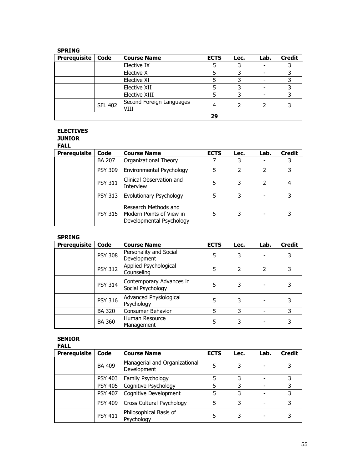# SPRING

| <b>Prerequisite</b> | Code           | <b>Course Name</b>               | <b>ECTS</b> | Lec. | Lab. | <b>Credit</b> |
|---------------------|----------------|----------------------------------|-------------|------|------|---------------|
|                     |                | Elective IX                      |             |      |      |               |
|                     |                | Elective X                       |             |      |      |               |
|                     |                | Elective XI                      |             |      |      |               |
|                     |                | Elective XII                     |             |      |      |               |
|                     |                | Elective XIII                    |             |      |      |               |
|                     | <b>SFL 402</b> | Second Foreign Languages<br>VIII |             |      |      |               |
|                     |                |                                  | 29          |      |      |               |

### ELECTIVES JUNIOR

# FALL

| <b>Prerequisite</b> | Code           | <b>Course Name</b>                                                           | <b>ECTS</b> | Lec. | Lab. | <b>Credit</b> |
|---------------------|----------------|------------------------------------------------------------------------------|-------------|------|------|---------------|
|                     | <b>BA 207</b>  | Organizational Theory                                                        |             |      |      |               |
|                     | <b>PSY 309</b> | Environmental Psychology                                                     |             |      |      |               |
|                     | <b>PSY 311</b> | Clinical Observation and<br>Interview                                        |             | 3    |      |               |
|                     | <b>PSY 313</b> | Evolutionary Psychology                                                      |             |      |      |               |
|                     | <b>PSY 315</b> | Research Methods and<br>Modern Points of View in<br>Developmental Psychology |             | 3    |      |               |

# SPRING

| <b>Prerequisite</b> | Code           | <b>Course Name</b>                            | <b>ECTS</b> | Lec.          | Lab.          | <b>Credit</b> |
|---------------------|----------------|-----------------------------------------------|-------------|---------------|---------------|---------------|
|                     | <b>PSY 308</b> | Personality and Social<br>Development         | 5           | 3             |               |               |
|                     | <b>PSY 312</b> | Applied Psychological<br>Counseling           | 5           | $\mathcal{P}$ | $\mathcal{P}$ |               |
|                     | <b>PSY 314</b> | Contemporary Advances in<br>Social Psychology | 5           | 3             |               |               |
|                     | <b>PSY 316</b> | Advanced Physiological<br>Psychology          | 5           | 3             |               |               |
|                     | <b>BA 320</b>  | Consumer Behavior                             | 5           | 3             |               |               |
|                     | <b>BA 360</b>  | Human Resource<br>Management                  |             | 3             |               |               |

#### SENIOR FALL

| FALL                |                |                                              |             |      |      |               |
|---------------------|----------------|----------------------------------------------|-------------|------|------|---------------|
| <b>Prerequisite</b> | Code           | <b>Course Name</b>                           | <b>ECTS</b> | Lec. | Lab. | <b>Credit</b> |
|                     | <b>BA 409</b>  | Managerial and Organizational<br>Development |             | 3    |      | 3             |
|                     | <b>PSY 403</b> | Family Psychology                            |             | 3    |      |               |
|                     | <b>PSY 405</b> | Cognitive Psychology                         |             | 3    |      |               |
|                     | <b>PSY 407</b> | Cognitive Development                        |             | 3    |      | 3             |
|                     | <b>PSY 409</b> | Cross Cultural Psychology                    |             | 3    |      | 3             |
|                     | <b>PSY 411</b> | Philosophical Basis of<br>Psychology         |             |      |      |               |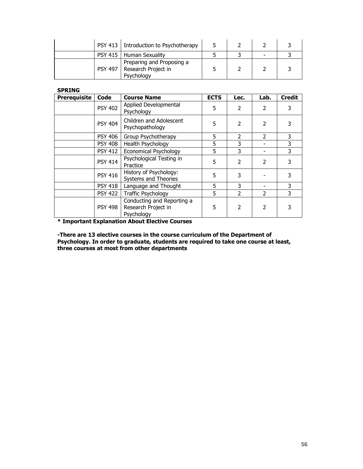|  | PSY 413   Introduction to Psychotherapy                                  |  |  |
|--|--------------------------------------------------------------------------|--|--|
|  | PSY 415   Human Sexuality                                                |  |  |
|  | Preparing and Proposing a<br>PSY 497   Research Project in<br>Psychology |  |  |

# SPRING

| <b>Prerequisite</b> | Code           | <b>Course Name</b>                                              | <b>ECTS</b> | Lec.          | Lab.          | <b>Credit</b> |
|---------------------|----------------|-----------------------------------------------------------------|-------------|---------------|---------------|---------------|
|                     | <b>PSY 402</b> | Applied Developmental<br>Psychology                             | 5           | $\mathcal{P}$ | $\mathcal{P}$ | 3             |
|                     | <b>PSY 404</b> | Children and Adolescent<br>Psychopathology                      | 5           | $\mathcal{P}$ | $\mathcal{P}$ |               |
|                     | <b>PSY 406</b> | Group Psychotherapy                                             | 5           | 2             | $\mathcal{P}$ | 3             |
|                     | <b>PSY 408</b> | Health Psychology                                               | 5           | 3             |               | 3             |
|                     | <b>PSY 412</b> | <b>Economical Psychology</b>                                    | 5           | 3             |               | 3             |
|                     | <b>PSY 414</b> | Psychological Testing in<br>Practice                            | 5           | $\mathcal{P}$ | 2             |               |
|                     | <b>PSY 416</b> | History of Psychology:<br>Systems and Theories                  | 5           | 3             |               | 3             |
|                     | <b>PSY 418</b> | Language and Thought                                            | 5           | 3             |               | 3             |
|                     | <b>PSY 422</b> | <b>Traffic Psychology</b>                                       | 5           | 2             | 2             | 3             |
|                     | <b>PSY 498</b> | Conducting and Reporting a<br>Research Project in<br>Psychology | 5           | 2             | 2             |               |

\* Important Explanation About Elective Courses

-There are 13 elective courses in the course curriculum of the Department of Psychology. In order to graduate, students are required to take one course at least, three courses at most from other departments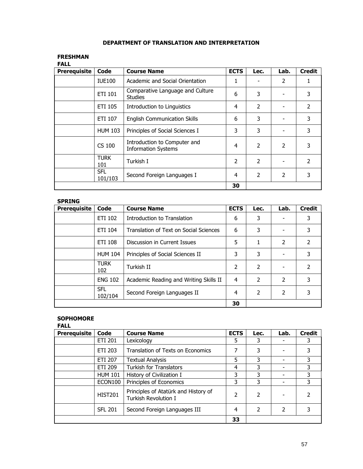# DEPARTMENT OF TRANSLATION AND INTERPRETATION

#### FRESHMAN

| <b>FALL</b>         |                       |                                                            |               |               |               |               |
|---------------------|-----------------------|------------------------------------------------------------|---------------|---------------|---------------|---------------|
| <b>Prerequisite</b> | Code                  | <b>Course Name</b>                                         | <b>ECTS</b>   | Lec.          | Lab.          | <b>Credit</b> |
|                     | <b>IUE100</b>         | Academic and Social Orientation                            | 1             |               | $\mathcal{P}$ | 1             |
|                     | ETI 101               | Comparative Language and Culture<br><b>Studies</b>         | 6             | 3             |               | 3             |
|                     | ETI 105               | Introduction to Linguistics                                | 4             | 2             |               | $\mathcal{P}$ |
|                     | ETI 107               | <b>English Communication Skills</b>                        | 6             | 3             |               | 3             |
|                     | <b>HUM 103</b>        | Principles of Social Sciences I                            | 3             | 3             |               | 3             |
|                     | <b>CS 100</b>         | Introduction to Computer and<br><b>Information Systems</b> | 4             | $\mathcal{P}$ | $\mathcal{P}$ | 3             |
|                     | TURK<br>101           | Turkish I                                                  | $\mathcal{P}$ | $\mathcal{P}$ |               | 2             |
|                     | <b>SFL</b><br>101/103 | Second Foreign Languages I                                 | 4             | 2             | $\mathcal{P}$ | 3             |
|                     |                       |                                                            | 30            |               |               |               |

### SPRING

| <b>Prerequisite</b> | Code           | <b>Course Name</b>                     | <b>ECTS</b>   | Lec.          | Lab. | <b>Credit</b> |
|---------------------|----------------|----------------------------------------|---------------|---------------|------|---------------|
|                     | ETI 102        | Introduction to Translation            | 6             | 3             |      | 3             |
|                     | ETI 104        | Translation of Text on Social Sciences | 6             | 3             |      | 3             |
|                     | ETI 108        | Discussion in Current Issues           | 5             |               | 2    | 2             |
|                     | <b>HUM 104</b> | Principles of Social Sciences II       | 3             | 3             |      | 3             |
|                     | TURK<br>102    | Turkish II                             | $\mathcal{P}$ | $\mathcal{P}$ |      | C.            |
|                     | <b>ENG 102</b> | Academic Reading and Writing Skills II | 4             | 2             | 2    | 3             |
|                     | SFL<br>102/104 | Second Foreign Languages II            | 4             | 2             | 2    |               |
|                     |                |                                        | 30            |               |      |               |

#### **SOPHOMORE** FALL

| FALL                |                |                                                                     |             |      |      |               |
|---------------------|----------------|---------------------------------------------------------------------|-------------|------|------|---------------|
| <b>Prerequisite</b> | Code           | <b>Course Name</b>                                                  | <b>ECTS</b> | Lec. | Lab. | <b>Credit</b> |
|                     | ETI 201        | Lexicology                                                          | 5.          | 3    |      | 3             |
|                     | ETI 203        | Translation of Texts on Economics                                   | 7           | 3    |      |               |
|                     | ETI 207        | Textual Analysis                                                    | 5           | 3    |      | 3             |
|                     | ETI 209        | <b>Turkish for Translators</b>                                      | 4           | 3    |      |               |
|                     | <b>HUM 101</b> | History of Civilization I                                           | 3           | 3    |      | 3             |
|                     | ECON100        | Principles of Economics                                             | 3           | 3    |      | 3             |
|                     | <b>HIST201</b> | Principles of Atatürk and History of<br><b>Turkish Revolution I</b> | 2           | 2    |      |               |
|                     | <b>SFL 201</b> | Second Foreign Languages III                                        | 4           | 2    | 2    |               |
|                     |                |                                                                     | 33          |      |      |               |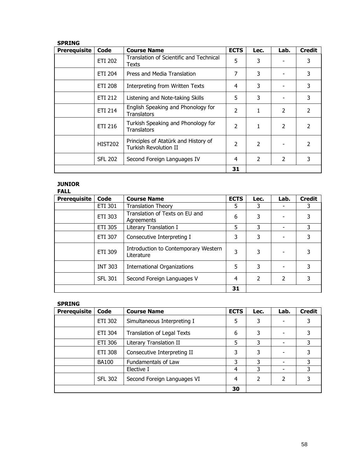| <b>SPRING</b>       |                |                                                               |               |      |      |               |
|---------------------|----------------|---------------------------------------------------------------|---------------|------|------|---------------|
| <b>Prerequisite</b> | Code           | <b>Course Name</b>                                            | <b>ECTS</b>   | Lec. | Lab. | <b>Credit</b> |
|                     | ETI 202        | Translation of Scientific and Technical<br>Texts              | 5             | 3    |      | 3             |
|                     | ETI 204        | Press and Media Translation                                   | 7             | 3    |      | 3             |
|                     | ETI 208        | Interpreting from Written Texts                               | 4             | 3    |      | 3             |
|                     | ETI 212        | Listening and Note-taking Skills                              | 5             | 3    |      | 3             |
|                     | ETI 214        | English Speaking and Phonology for<br>Translators             | $\mathcal{P}$ | 1    | 2    | 2             |
|                     | <b>ETI 216</b> | Turkish Speaking and Phonology for<br>Translators             | $\mathcal{P}$ | 1    | 2    | $\mathcal{P}$ |
|                     | <b>HIST202</b> | Principles of Atatürk and History of<br>Turkish Revolution II | $\mathcal{P}$ | 2    |      | $\mathcal{P}$ |
|                     | <b>SFL 202</b> | Second Foreign Languages IV                                   | 4             | 2    | 2    | 3             |
|                     |                |                                                               | 31            |      |      |               |

#### JUNIOR FALL

| .<br><b>Prerequisite</b> | Code           | <b>Course Name</b>                                 | <b>ECTS</b> | Lec. | Lab. | <b>Credit</b> |
|--------------------------|----------------|----------------------------------------------------|-------------|------|------|---------------|
|                          | ETI 301        | <b>Translation Theory</b>                          | 5           | 3    |      | 3.            |
|                          | ETI 303        | Translation of Texts on EU and<br>Agreements       | 6           | 3    |      |               |
|                          | ETI 305        | Literary Translation I                             | 5           | 3    |      | 3             |
|                          | ETI 307        | Consecutive Interpreting I                         | 3           | 3    |      | 3             |
|                          | ETI 309        | Introduction to Contemporary Western<br>Literature | 3           | 3    |      |               |
|                          | <b>INT 303</b> | <b>International Organizations</b>                 | 5           | 3    |      |               |
|                          | <b>SFL 301</b> | Second Foreign Languages V                         | 4           | 2    | 2    | ٦             |
|                          |                |                                                    | 31          |      |      |               |

| <b>Prerequisite</b> | Code           | <b>Course Name</b>          | <b>ECTS</b>    | Lec. | Lab. | <b>Credit</b> |
|---------------------|----------------|-----------------------------|----------------|------|------|---------------|
|                     | ETI 302        | Simultaneous Interpreting I | 5              | 3    |      |               |
|                     | ETI 304        | Translation of Legal Texts  | 6              | 3    |      |               |
|                     | ETI 306        | Literary Translation II     | 5              | 3    |      | 3             |
|                     | ETI 308        | Consecutive Interpreting II | 3              | 3    |      | ٦             |
|                     | <b>BA100</b>   | Fundamentals of Law         | 3              | 3    |      |               |
|                     |                | Elective I                  | 4              | 3    |      | 3             |
|                     | <b>SFL 302</b> | Second Foreign Languages VI | $\overline{4}$ | 2    |      |               |
|                     |                |                             | 30             |      |      |               |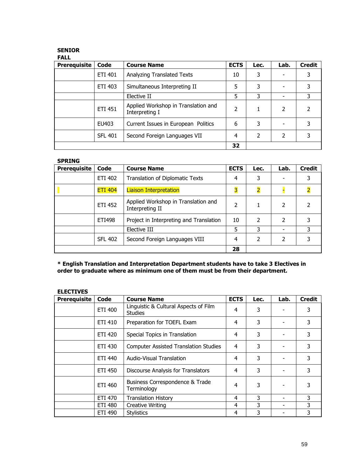#### SENIOR FALL

| FALL<br><b>Prerequisite</b> | Code           | <b>Course Name</b>                                    | <b>ECTS</b>   | Lec. | Lab. | <b>Credit</b> |
|-----------------------------|----------------|-------------------------------------------------------|---------------|------|------|---------------|
|                             | ETI 401        | Analyzing Translated Texts                            | 10            | 3    |      |               |
|                             | ETI 403        | Simultaneous Interpreting II                          | 5             | 3    |      |               |
|                             |                | Elective II                                           | 5             | 3    |      | 3             |
|                             | ETI 451        | Applied Workshop in Translation and<br>Interpreting I | $\mathcal{P}$ |      | 2    |               |
|                             | EU403          | Current Issues in European Politics                   | 6             | 3    |      |               |
|                             | <b>SFL 401</b> | Second Foreign Languages VII                          | 4             | 2    | 2    |               |
|                             |                |                                                       | 32            |      |      |               |

# SPRING

| <b>Prerequisite</b> | Code           | <b>Course Name</b>                                     | <b>ECTS</b>             | Lec.           | Lab. | <b>Credit</b> |
|---------------------|----------------|--------------------------------------------------------|-------------------------|----------------|------|---------------|
|                     | ETI 402        | Translation of Diplomatic Texts                        | 4                       | 3              |      |               |
|                     | <b>ETI 404</b> | <b>Liaison Interpretation</b>                          | $\overline{\mathbf{3}}$ | $\overline{2}$ |      |               |
|                     | ETI 452        | Applied Workshop in Translation and<br>Interpreting II | 2                       |                |      |               |
|                     | ETI498         | Project in Interpreting and Translation                | 10                      | 2              | 2    |               |
|                     |                | Elective III                                           | 5                       | 3              |      | 3             |
|                     | <b>SFL 402</b> | Second Foreign Languages VIII                          | 4                       | 2              |      |               |
|                     |                |                                                        | 28                      |                |      |               |

### \* English Translation and Interpretation Department students have to take 3 Electives in order to graduate where as minimum one of them must be from their department.

| <b>ELECTIVES</b>    |                |                                                         |             |      |      |               |
|---------------------|----------------|---------------------------------------------------------|-------------|------|------|---------------|
| <b>Prerequisite</b> | Code           | <b>Course Name</b>                                      | <b>ECTS</b> | Lec. | Lab. | <b>Credit</b> |
|                     | ETI 400        | Linguistic & Cultural Aspects of Film<br><b>Studies</b> | 4           | 3    |      | 3             |
|                     | ETI 410        | Preparation for TOEFL Exam                              | 4           | 3    |      | 3             |
|                     | ETI 420        | Special Topics in Translation                           | 4           | 3    |      | 3             |
|                     | ETI 430        | <b>Computer Assisted Translation Studies</b>            | 4           | 3    |      | 3             |
|                     | ETI 440        | Audio-Visual Translation                                | 4           | 3    |      | 3             |
|                     | ETI 450        | Discourse Analysis for Translators                      | 4           | 3    |      | 3             |
|                     | ETI 460        | Business Correspondence & Trade<br>Terminology          | 4           | 3    |      | 3             |
|                     | ETI 470        | <b>Translation History</b>                              | 4           | 3    |      | 3             |
|                     | <b>ETI 480</b> | Creative Writing                                        | 4           | 3    |      | 3             |
|                     | ETI 490        | <b>Stylistics</b>                                       | 4           | 3    |      | 3             |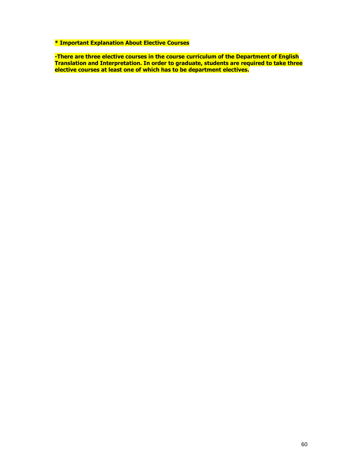\* Important Explanation About Elective Courses

-There are three elective courses in the course curriculum of the Department of English Translation and Interpretation. In order to graduate, students are required to take three elective courses at least one of which has to be department electives.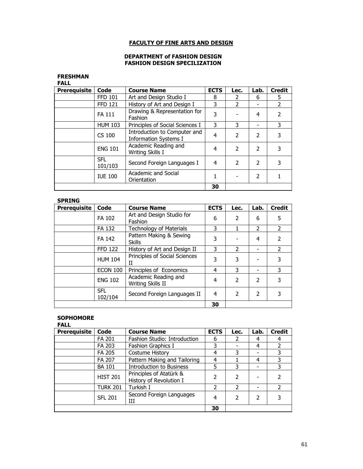# FACULTY OF FINE ARTS AND DESIGN

#### DEPARTMENT of FASHION DESIGN FASHION DESIGN SPECILIZATION

#### FRESHMAN FALL

| <b>Prerequisite</b> | Code                  | <b>Course Name</b>                                           | <b>ECTS</b> | Lec.           | Lab.          | <b>Credit</b>  |
|---------------------|-----------------------|--------------------------------------------------------------|-------------|----------------|---------------|----------------|
|                     | <b>FFD 101</b>        | Art and Design Studio I                                      | 8           | $\mathcal{P}$  | 6             | 5              |
|                     | <b>FFD 121</b>        | History of Art and Design I                                  | 3           | $\mathcal{P}$  |               | $\mathcal{P}$  |
|                     | FA 111                | Drawing & Representation for<br>Fashion                      | 3           |                | 4             | $\mathfrak{p}$ |
|                     | <b>HUM 103</b>        | Principles of Social Sciences I                              | 3           | 3              |               | 3              |
|                     | <b>CS 100</b>         | Introduction to Computer and<br><b>Information Systems I</b> | 4           | $\mathfrak{p}$ | $\mathcal{P}$ | 3              |
|                     | <b>ENG 101</b>        | Academic Reading and<br>Writing Skills I                     | 4           | $\mathcal{P}$  | $\mathcal{P}$ | 3              |
|                     | <b>SFL</b><br>101/103 | Second Foreign Languages I                                   | 4           | 2              | $\mathcal{P}$ | 3              |
|                     | <b>IUE 100</b>        | Academic and Social<br>Orientation                           | 1           |                | 2             |                |
|                     |                       |                                                              | 30          |                |               |                |

### SPRING

| <b>Prerequisite</b> | Code                  | <b>Course Name</b>                        | <b>ECTS</b> | Lec.          | Lab.          | <b>Credit</b> |
|---------------------|-----------------------|-------------------------------------------|-------------|---------------|---------------|---------------|
|                     | FA 102                | Art and Design Studio for<br>Fashion      | 6           | 2             | 6             | 5             |
|                     | <b>FA 132</b>         | <b>Technology of Materials</b>            | 3           |               | $\mathcal{P}$ | $\mathcal{P}$ |
|                     | FA 142                | Pattern Making & Sewing<br><b>Skills</b>  | 3           |               | 4             | $\mathcal{P}$ |
|                     | <b>FFD 122</b>        | History of Art and Design II              | 3           | $\mathcal{P}$ |               | $\mathcal{P}$ |
|                     | <b>HUM 104</b>        | Principles of Social Sciences<br>П        | 3           | 3             |               | 3             |
|                     | <b>ECON 100</b>       | Principles of Economics                   | 4           | 3             |               | 3             |
|                     | <b>ENG 102</b>        | Academic Reading and<br>Writing Skills II | 4           | $\mathcal{P}$ | $\mathcal{P}$ | 3             |
|                     | <b>SFL</b><br>102/104 | Second Foreign Languages II               | 4           | $\mathcal{P}$ | $\mathcal{P}$ | 3             |
|                     |                       |                                           | 30          |               |               |               |

#### **SOPHOMORE** FALL

| FALL                |                 |                                                    |             |                |      |               |
|---------------------|-----------------|----------------------------------------------------|-------------|----------------|------|---------------|
| <b>Prerequisite</b> | Code            | <b>Course Name</b>                                 | <b>ECTS</b> | Lec.           | Lab. | <b>Credit</b> |
|                     | <b>FA 201</b>   | Fashion Studio: Introduction                       | 6           | 2              | 4    |               |
|                     | FA 203          | Fashion Graphics I                                 | 3           |                | 4    |               |
|                     | FA 205          | Costume History                                    | 4           | 3              |      | 3             |
|                     | FA 207          | Pattern Making and Tailoring                       | 4           |                | 4    | 3             |
|                     | <b>BA 101</b>   | <b>Introduction to Business</b>                    | 5           | 3              |      | 3             |
|                     | <b>HIST 201</b> | Principles of Atatürk &<br>History of Revolution I | 2           | 2              |      |               |
|                     | <b>TURK 201</b> | Turkish I                                          | っ           | $\mathfrak{p}$ |      | っ             |
|                     | <b>SFL 201</b>  | Second Foreign Languages<br>Ш                      | 4           | 2              |      |               |
|                     |                 |                                                    | 30          |                |      |               |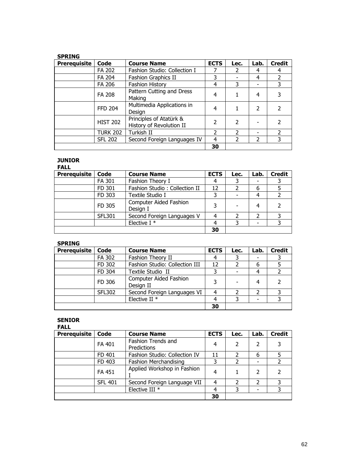| <b>SPRING</b>       |                 |                                                     |               |                |               |               |
|---------------------|-----------------|-----------------------------------------------------|---------------|----------------|---------------|---------------|
| <b>Prerequisite</b> | Code            | <b>Course Name</b>                                  | <b>ECTS</b>   | Lec.           | Lab.          | <b>Credit</b> |
|                     | FA 202          | Fashion Studio: Collection I                        |               | $\mathcal{P}$  | 4             |               |
|                     | FA 204          | <b>Fashion Graphics II</b>                          | 3             |                | 4             |               |
|                     | FA 206          | <b>Fashion History</b>                              | 4             | 3              |               | 3             |
|                     | <b>FA 208</b>   | Pattern Cutting and Dress<br>Making                 | 4             |                | 4             | 3             |
|                     | <b>FFD 204</b>  | Multimedia Applications in<br>Desian                | 4             |                | $\mathcal{P}$ |               |
|                     | <b>HIST 202</b> | Principles of Atatürk &<br>History of Revolution II | $\mathcal{P}$ | $\mathcal{P}$  |               |               |
|                     | <b>TURK 202</b> | Turkish II                                          | $\mathcal{P}$ | $\mathfrak{p}$ |               | $\mathcal{P}$ |
|                     | <b>SFL 202</b>  | Second Foreign Languages IV                         | 4             | $\mathcal{P}$  | 2             | 3             |
|                     |                 |                                                     | 30            |                |               |               |

## JUNIOR

| FALL                |               |                                           |             |      |      |               |
|---------------------|---------------|-------------------------------------------|-------------|------|------|---------------|
| <b>Prerequisite</b> | Code          | <b>Course Name</b>                        | <b>ECTS</b> | Lec. | Lab. | <b>Credit</b> |
|                     | FA 301        | Fashion Theory I                          |             |      |      |               |
|                     | FD 301        | Fashion Studio: Collection II             | 12          |      | 6    |               |
|                     | FD 303        | Textile Studio I                          | 3           |      | 4    |               |
|                     | FD 305        | <b>Computer Aided Fashion</b><br>Design I | 3           |      | 4    |               |
|                     | <b>SFL301</b> | Second Foreign Languages V                | 4           |      | 2    |               |
|                     |               | Elective I $*$                            | 4           |      |      |               |
|                     |               |                                           | 30          |      |      |               |

### SPRING

| <b>Prerequisite</b> | Code          | <b>Course Name</b>                         | <b>ECTS</b> | Lec. | Lab. | <b>Credit</b> |
|---------------------|---------------|--------------------------------------------|-------------|------|------|---------------|
|                     | FA 302        | Fashion Theory II                          |             |      |      |               |
|                     | FD 302        | Fashion Studio: Collection III             | 12          |      | 6    |               |
|                     | FD 304        | Textile Studio II                          |             |      | 4    |               |
|                     | FD 306        | <b>Computer Aided Fashion</b><br>Design II | 3           |      | 4    |               |
|                     | <b>SFL302</b> | Second Foreign Languages VI                | 4           |      |      |               |
|                     |               | Elective II $*$                            |             |      |      |               |
|                     |               |                                            | 30          |      |      |               |

#### SENIOR FALL

| .                   |                |                                   |             |               |               |               |
|---------------------|----------------|-----------------------------------|-------------|---------------|---------------|---------------|
| <b>Prerequisite</b> | Code           | <b>Course Name</b>                | <b>ECTS</b> | Lec.          | Lab.          | <b>Credit</b> |
|                     | FA 401         | Fashion Trends and<br>Predictions | 4           | $\mathcal{P}$ | $\mathcal{P}$ |               |
|                     | FD 401         | Fashion Studio: Collection IV     | 11          |               | 6             |               |
|                     | FD 403         | Fashion Merchandising             | 3           |               |               |               |
|                     | FA 451         | Applied Workshop in Fashion       | 4           |               | 2             |               |
|                     | <b>SFL 401</b> | Second Foreign Language VII       | 4           | $\mathcal{P}$ | $\mathfrak z$ |               |
|                     |                | Elective III <sup>*</sup>         | 4           |               |               |               |
|                     |                |                                   | 30          |               |               |               |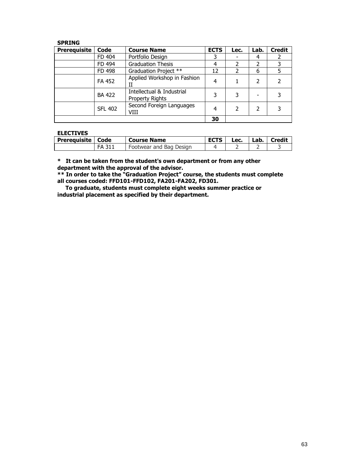| SPRING              |                |                                              |             |               |      |               |
|---------------------|----------------|----------------------------------------------|-------------|---------------|------|---------------|
| <b>Prerequisite</b> | Code           | <b>Course Name</b>                           | <b>ECTS</b> | Lec.          | Lab. | <b>Credit</b> |
|                     | FD 404         | Portfolio Design                             | 3           |               | 4    |               |
|                     | FD 494         | <b>Graduation Thesis</b>                     | 4           | 2             | 2    |               |
|                     | FD 498         | Graduation Project **                        | 12          |               | 6    |               |
|                     | FA 452         | Applied Workshop in Fashion<br>н             | 4           |               | 2    |               |
|                     | <b>BA 422</b>  | Intellectual & Industrial<br>Property Rights | 3           | 3             |      |               |
|                     | <b>SFL 402</b> | Second Foreign Languages<br>VIII             | 4           | $\mathcal{P}$ | 2    |               |
|                     |                |                                              | 30          |               |      |               |

#### ELECTIVES

CODING

| <b>Prerequisite   Code</b> |               | <b>Course Name</b>      | <b>ECTS</b> | Lec. | Lab. | Credit |
|----------------------------|---------------|-------------------------|-------------|------|------|--------|
|                            | <b>FA 311</b> | Footwear and Bag Design |             |      |      |        |

\* It can be taken from the student's own department or from any other department with the approval of the advisor.

\*\* In order to take the "Graduation Project" course, the students must complete all courses coded: FFD101-FFD102, FA201-FA202, FD301.

 To graduate, students must complete eight weeks summer practice or industrial placement as specified by their department.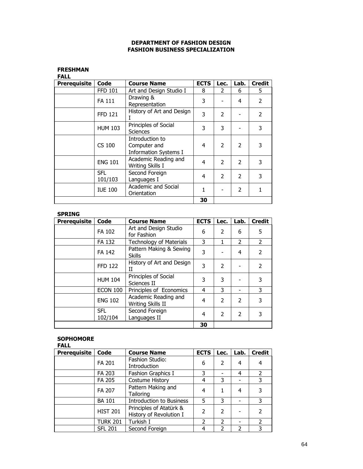### DEPARTMENT OF FASHION DESIGN FASHION BUSINESS SPECIALIZATION

#### FRESHMAN FALL

| <b>Prerequisite</b> | <b>Code</b>           | <b>Course Name</b>                                              | <b>ECTS</b> | Lec.           | Lab.           | <b>Credit</b> |
|---------------------|-----------------------|-----------------------------------------------------------------|-------------|----------------|----------------|---------------|
|                     | <b>FFD 101</b>        | Art and Design Studio I                                         | 8           | $\mathcal{P}$  | 6              | 5             |
|                     | <b>FA 111</b>         | Drawing &<br>Representation                                     | 3           |                | 4              | $\mathcal{P}$ |
|                     | <b>FFD 121</b>        | History of Art and Design                                       | 3           | $\mathcal{P}$  |                | $\mathcal{P}$ |
|                     | <b>HUM 103</b>        | Principles of Social<br><b>Sciences</b>                         | 3           | 3              |                | 3             |
|                     | <b>CS 100</b>         | Introduction to<br>Computer and<br><b>Information Systems I</b> | 4           | $\mathfrak{p}$ | $\mathfrak{p}$ | 3             |
|                     | <b>ENG 101</b>        | Academic Reading and<br><b>Writing Skills I</b>                 | 4           | $\mathfrak{p}$ | $\mathfrak{p}$ | 3             |
|                     | <b>SFL</b><br>101/103 | Second Foreign<br>Languages I                                   | 4           | $\mathcal{P}$  | $\mathfrak{p}$ | 3             |
|                     | <b>IUE 100</b>        | Academic and Social<br>Orientation                              | 1           |                | $\mathfrak{p}$ |               |
|                     |                       |                                                                 | 30          |                |                |               |

# SPRING

| <b>Prerequisite</b> | Code            | <b>Course Name</b>                        | <b>ECTS</b> | Lec.          | Lab.           | <b>Credit</b> |
|---------------------|-----------------|-------------------------------------------|-------------|---------------|----------------|---------------|
|                     | FA 102          | Art and Design Studio<br>for Fashion      | 6           | 2             | 6              | 5             |
|                     | <b>FA 132</b>   | <b>Technology of Materials</b>            | 3           | 1             | $\mathcal{P}$  | $\mathcal{P}$ |
|                     | FA 142          | Pattern Making & Sewing<br><b>Skills</b>  | 3           |               | 4              | $\mathcal{P}$ |
|                     | <b>FFD 122</b>  | History of Art and Design<br>н            | 3           | 2             |                | $\mathcal{P}$ |
|                     | <b>HUM 104</b>  | Principles of Social<br>Sciences II       | 3           | 3             |                | 3             |
|                     | <b>ECON 100</b> | Principles of Economics                   | 4           | 3             |                | 3             |
|                     | <b>ENG 102</b>  | Academic Reading and<br>Writing Skills II | 4           | $\mathcal{P}$ | $\mathfrak{p}$ | 3             |
|                     | SFL.<br>102/104 | Second Foreign<br>Languages II            | 4           | 2             | 2              |               |
|                     |                 |                                           | 30          |               |                |               |

#### **SOPHOMORE** FALL

| FALL                |                 |                                                    |               |                |               |                |
|---------------------|-----------------|----------------------------------------------------|---------------|----------------|---------------|----------------|
| <b>Prerequisite</b> | Code            | <b>Course Name</b>                                 | <b>ECTS</b>   | Lec.           | Lab.          | <b>Credit</b>  |
|                     | <b>FA 201</b>   | Fashion Studio:<br><b>Introduction</b>             | 6             | $\overline{2}$ | 4             |                |
|                     | FA 203          | Fashion Graphics I                                 | 3             |                | 4             | $\overline{2}$ |
|                     | FA 205          | Costume History                                    | 4             | 3              |               | 3              |
|                     | FA 207          | Pattern Making and<br>Tailoring                    | 4             | 1              | 4             | 3              |
|                     | <b>BA 101</b>   | Introduction to Business                           | 5             | 3              |               | 3              |
|                     | <b>HIST 201</b> | Principles of Atatürk &<br>History of Revolution I | 2             | $\mathfrak{p}$ |               | $\overline{2}$ |
|                     | TURK 201        | Turkish I                                          | $\mathcal{P}$ | $\mathcal{P}$  |               | $\mathcal{P}$  |
|                     | <b>SFL 201</b>  | Second Foreign                                     |               | $\mathcal{P}$  | $\mathcal{P}$ | 3              |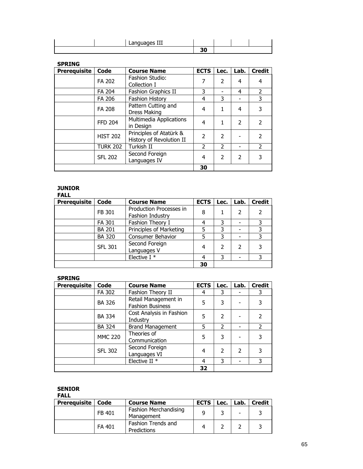| $- - -$<br>10112000<br>- --<br><u>Luis</u> |   |  |  |
|--------------------------------------------|---|--|--|
|                                            | ◡ |  |  |

### SPRING

| <b>Prerequisite</b> | Code            | <b>Course Name</b>                                  | <b>ECTS</b>   | Lec.           | Lab.           | <b>Credit</b>  |
|---------------------|-----------------|-----------------------------------------------------|---------------|----------------|----------------|----------------|
|                     | <b>FA 202</b>   | Fashion Studio:<br>Collection I                     | 7             | $\overline{2}$ | 4              | 4              |
|                     | <b>FA 204</b>   | Fashion Graphics II                                 | 3             |                | 4              | $\overline{2}$ |
|                     | FA 206          | <b>Fashion History</b>                              | 4             | 3              |                | 3              |
|                     | <b>FA 208</b>   | Pattern Cutting and<br><b>Dress Making</b>          | 4             | 1              | 4              | 3              |
|                     | <b>FFD 204</b>  | <b>Multimedia Applications</b><br>in Design         | 4             | 1              | $\mathfrak{p}$ | $\mathfrak{p}$ |
|                     | <b>HIST 202</b> | Principles of Atatürk &<br>History of Revolution II | $\mathcal{P}$ | $\mathcal{P}$  |                | $\mathfrak{p}$ |
|                     | <b>TURK 202</b> | Turkish II                                          | $\mathcal{P}$ | $\mathcal{P}$  |                | $\mathfrak{p}$ |
|                     | <b>SFL 202</b>  | Second Foreign<br>Languages IV                      | 4             | $\mathfrak{p}$ | $\mathfrak{p}$ | 3              |
|                     |                 |                                                     | 30            |                |                |                |

#### JUNIOR FALL

| .                   |                |                                                    |             |      |               |               |
|---------------------|----------------|----------------------------------------------------|-------------|------|---------------|---------------|
| <b>Prerequisite</b> | Code           | <b>Course Name</b>                                 | <b>ECTS</b> | Lec. | Lab.          | <b>Credit</b> |
|                     | FB 301         | Production Processes in<br><b>Fashion Industry</b> | 8           |      | $\mathcal{P}$ |               |
|                     | FA 301         | Fashion Theory I                                   |             | 3    |               |               |
|                     | <b>BA 201</b>  | Principles of Marketing                            | 5           | 3    |               |               |
|                     | <b>BA 320</b>  | Consumer Behavior                                  |             | 3    |               |               |
|                     | <b>SFL 301</b> | Second Foreign<br>Languages V                      | 4           |      |               |               |
|                     |                | Elective $I^*$                                     | 4           | 3    |               |               |
|                     |                |                                                    | 30          |      |               |               |

### SPRING

| <b>Prerequisite</b> | Code           | <b>Course Name</b>                              | <b>ECTS</b> | Lec.          | Lab.          | <b>Credit</b> |
|---------------------|----------------|-------------------------------------------------|-------------|---------------|---------------|---------------|
|                     | FA 302         | Fashion Theory II                               | 4           | 3             |               | 3             |
|                     | <b>BA 326</b>  | Retail Management in<br><b>Fashion Business</b> | 5           | 3             |               | 3             |
|                     | <b>BA 334</b>  | Cost Analysis in Fashion<br>Industry            | 5           | $\mathcal{P}$ |               |               |
|                     | <b>BA 324</b>  | <b>Brand Management</b>                         | 5           | $\mathcal{P}$ |               |               |
|                     | <b>MMC 220</b> | Theories of<br>Communication                    | 5           | 3             |               |               |
|                     | <b>SFL 302</b> | Second Foreign<br>Languages VI                  | 4           | $\mathcal{P}$ | $\mathcal{P}$ |               |
|                     |                | Elective II <sup>*</sup>                        | 4           | 3             |               | ٦             |
|                     |                |                                                 | 32          |               |               |               |

#### SENIOR **FALL**

| <b>FALL</b>         |        |                                     |             |      |      |               |
|---------------------|--------|-------------------------------------|-------------|------|------|---------------|
| <b>Prerequisite</b> | Code   | <b>Course Name</b>                  | <b>ECTS</b> | Lec. | Lab. | <b>Credit</b> |
|                     | FB 401 | Fashion Merchandising<br>Management |             |      |      |               |
|                     | FA 401 | Fashion Trends and<br>Predictions   |             |      |      |               |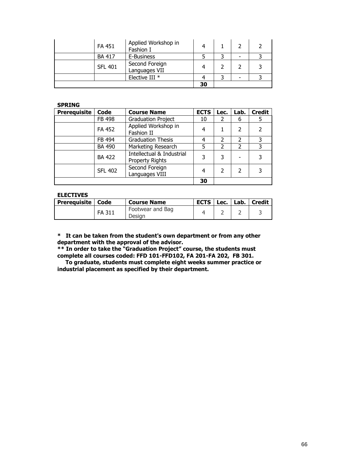| FA 451         | Applied Workshop in<br>Fashion I |    |  |  |
|----------------|----------------------------------|----|--|--|
| <b>BA 417</b>  | E-Business                       |    |  |  |
| <b>SFL 401</b> | Second Foreign<br>Languages VII  |    |  |  |
|                | Elective III *                   |    |  |  |
|                |                                  | 30 |  |  |

### SPRING

| <b>Prerequisite</b> | Code           | <b>Course Name</b>                                  | <b>ECTS</b> | Lec.           | Lab.          | <b>Credit</b> |
|---------------------|----------------|-----------------------------------------------------|-------------|----------------|---------------|---------------|
|                     | FB 498         | <b>Graduation Project</b>                           | 10          |                | 6             |               |
|                     | FA 452         | Applied Workshop in<br>Fashion II                   | 4           |                | $\mathcal{P}$ |               |
|                     | FB 494         | <b>Graduation Thesis</b>                            | 4           | $\mathfrak{p}$ | $\mathcal{P}$ | 3             |
|                     | <b>BA 490</b>  | Marketing Research                                  | 5           | 2              | 2             | 3             |
|                     | <b>BA 422</b>  | Intellectual & Industrial<br><b>Property Rights</b> |             | 3              |               |               |
|                     | <b>SFL 402</b> | Second Foreign<br>Languages VIII                    | 4           | 2              | $\mathcal{P}$ |               |
|                     |                |                                                     | 30          |                |               |               |

#### ELECTIVES

| <b>Prerequisite   Code</b> |               | <b>Course Name</b>         | <b>ECTS</b> | Lec. | Lab. | Credit |
|----------------------------|---------------|----------------------------|-------------|------|------|--------|
|                            | <b>FA 311</b> | Footwear and Bag<br>Desian |             |      |      |        |

\* It can be taken from the student's own department or from any other department with the approval of the advisor.

\*\* In order to take the "Graduation Project" course, the students must complete all courses coded: FFD 101-FFD102, FA 201-FA 202, FB 301.

 To graduate, students must complete eight weeks summer practice or industrial placement as specified by their department.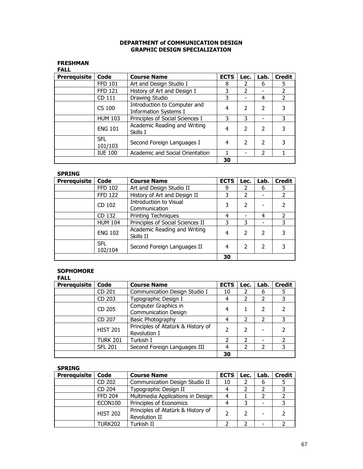### DEPARTMENT of COMMUNICATION DESIGN GRAPHIC DESIGN SPECIALIZATION

#### FRESHMAN FALL

| FALL                |                       |                                                              |             |               |               |               |
|---------------------|-----------------------|--------------------------------------------------------------|-------------|---------------|---------------|---------------|
| <b>Prerequisite</b> | Code                  | <b>Course Name</b>                                           | <b>ECTS</b> | Lec.          | Lab.          | <b>Credit</b> |
|                     | <b>FFD 101</b>        | Art and Design Studio I                                      | 8           | 2             | 6             | 5             |
|                     | <b>FFD 121</b>        | History of Art and Design I                                  | 3           | $\mathfrak z$ |               | $\mathcal{P}$ |
|                     | CD 111                | Drawing Studio                                               | 3           |               | 4             |               |
|                     | <b>CS 100</b>         | Introduction to Computer and<br><b>Information Systems I</b> | 4           | 2             | 2             |               |
|                     | <b>HUM 103</b>        | Principles of Social Sciences I                              | 3           | 3             |               | 3             |
|                     | <b>ENG 101</b>        | Academic Reading and Writing<br>Skills I                     | 4           | 2             | $\mathcal{P}$ |               |
|                     | <b>SFL</b><br>101/103 | Second Foreign Languages I                                   | 4           | $\mathcal{P}$ |               |               |
|                     | <b>IUE 100</b>        | Academic and Social Orientation                              |             |               | 2             |               |
|                     |                       |                                                              | 30          |               |               |               |

### SPRING

| <b>Prerequisite</b> | Code                  | <b>Course Name</b>                        | <b>ECTS</b> | Lec.          | Lab. | <b>Credit</b> |
|---------------------|-----------------------|-------------------------------------------|-------------|---------------|------|---------------|
|                     | <b>FFD 102</b>        | Art and Design Studio II                  | 9           |               | 6    | 5             |
|                     | <b>FFD 122</b>        | History of Art and Design II              | 3           | $\mathcal{P}$ |      | 2             |
|                     | CD 102                | Introduction to Visual<br>Communication   | 3           | $\mathcal{P}$ |      |               |
|                     | CD 132                | <b>Printing Techniques</b>                | 4           |               | 4    | $\mathcal{P}$ |
|                     | <b>HUM 104</b>        | Principles of Social Sciences II          | 3           | 3             |      | 3             |
|                     | <b>ENG 102</b>        | Academic Reading and Writing<br>Skills II | 4           | 2             |      |               |
|                     | <b>SFL</b><br>102/104 | Second Foreign Languages II               | 4           | 2             |      |               |
|                     |                       |                                           | 30          |               |      |               |

# **SOPHOMORE**

|--|

| <b>Prerequisite</b> | Code            | <b>Course Name</b>                                  | <b>ECTS</b>   | Lec. | Lab.          | <b>Credit</b> |
|---------------------|-----------------|-----------------------------------------------------|---------------|------|---------------|---------------|
|                     | CD 201          | Communication Design Studio I                       | 10            |      | 6             |               |
|                     | CD 203          | Typographic Design I                                | 4             |      |               | 3             |
|                     | CD 205          | Computer Graphics in<br><b>Communication Design</b> | 4             |      |               |               |
|                     | CD 207          | <b>Basic Photography</b>                            | 4             |      | $\mathcal{P}$ | ٦             |
|                     | <b>HIST 201</b> | Principles of Atatürk & History of<br>Revolution I  |               |      |               |               |
|                     | <b>TURK 201</b> | Turkish I                                           | $\mathcal{P}$ | っ    |               | າ             |
|                     | <b>SFL 201</b>  | Second Foreign Languages III                        | 4             |      |               |               |
|                     |                 |                                                     | 30            |      |               |               |

| <b>Prerequisite</b> | Code            | <b>Course Name</b>                                  | <b>ECTS</b> | Lec. | Lab. | <b>Credit</b> |
|---------------------|-----------------|-----------------------------------------------------|-------------|------|------|---------------|
|                     | CD 202          | Communication Design Studio II                      | 10          |      | b    |               |
|                     | CD 204          | Typographic Design II                               |             |      |      |               |
|                     | <b>FFD 204</b>  | Multimedia Applications in Design                   | 4           |      |      |               |
|                     | ECON100         | Principles of Economics                             |             |      |      |               |
|                     | <b>HIST 202</b> | Principles of Atatürk & History of<br>Revolution II |             |      |      |               |
|                     | <b>TURK202</b>  | Turkish II                                          |             |      |      |               |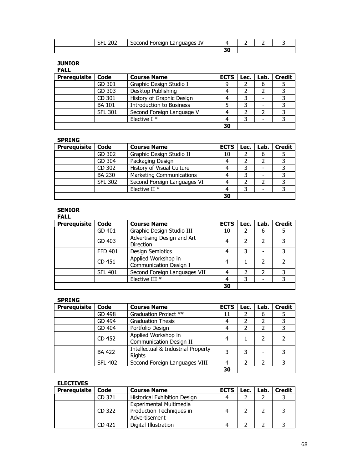| 202 | Second Foreign Languages IV |  |  |  |
|-----|-----------------------------|--|--|--|
|     |                             |  |  |  |

# JUNIOR

# FALL

| <b>Prerequisite</b> | Code           | <b>Course Name</b>              | <b>ECTS</b> | Lec. | Lab. | <b>Credit</b> |
|---------------------|----------------|---------------------------------|-------------|------|------|---------------|
|                     | GD 301         | Graphic Design Studio I         | 9           |      | b    |               |
|                     | GD 303         | Desktop Publishing              |             |      |      |               |
|                     | CD 301         | History of Graphic Design       | 4           |      |      |               |
|                     | <b>BA 101</b>  | <b>Introduction to Business</b> |             |      |      |               |
|                     | <b>SFL 301</b> | Second Foreign Language V       | 4           |      |      |               |
|                     |                | Elective $I^*$                  | 4           |      |      |               |
|                     |                |                                 | 30          |      |      |               |

#### SPRING

| <b>Prerequisite</b> | Code           | <b>Course Name</b>              | <b>ECTS</b> | Lec. | Lab. | <b>Credit</b> |
|---------------------|----------------|---------------------------------|-------------|------|------|---------------|
|                     | GD 302         | Graphic Design Studio II        | 10          |      | n    |               |
|                     | GD 304         | Packaging Design                | 4           |      |      |               |
|                     | CD 302         | History of Visual Culture       |             |      |      |               |
|                     | <b>BA 230</b>  | <b>Marketing Communications</b> |             |      |      |               |
|                     | <b>SFL 302</b> | Second Foreign Languages VI     |             |      |      |               |
|                     |                | Elective II $*$                 | 4           |      |      |               |
|                     |                |                                 | 30          |      |      |               |

# SENIOR

# FALL

| <b>Prerequisite</b> | Code           | <b>Course Name</b>                             | <b>ECTS</b> | Lec. | Lab. | <b>Credit</b> |
|---------------------|----------------|------------------------------------------------|-------------|------|------|---------------|
|                     | GD 401         | Graphic Design Studio III                      | 10          |      | b    |               |
|                     | GD 403         | Advertising Design and Art<br><b>Direction</b> | 4           | 2    |      |               |
|                     | <b>FFD 401</b> | <b>Design Semiotics</b>                        | 4           | 3    |      |               |
|                     | CD 451         | Applied Workshop in<br>Communication Design I  | 4           |      |      |               |
|                     | <b>SFL 401</b> | Second Foreign Languages VII                   | 4           | 2    |      |               |
|                     |                | Elective III $*$                               | 4           | 3    |      |               |
|                     |                |                                                | 30          |      |      |               |

# SPRING

| <b>Prerequisite</b> | Code           | <b>Course Name</b>                                  | <b>ECTS</b> | Lec. | Lab. | <b>Credit</b> |
|---------------------|----------------|-----------------------------------------------------|-------------|------|------|---------------|
|                     | GD 498         | Graduation Project **                               | 11          |      | 6    |               |
|                     | GD 494         | <b>Graduation Thesis</b>                            | 4           | 2    |      |               |
|                     | GD 404         | Portfolio Design                                    | 4           | 2    |      | 3             |
|                     | CD 452         | Applied Workshop in<br>Communication Design II      | 4           |      |      |               |
|                     | <b>BA 422</b>  | Intellectual & Industrial Property<br><b>Rights</b> |             | 3    |      |               |
|                     | <b>SFL 402</b> | Second Foreign Languages VIII                       | 4           | 2    |      |               |
|                     |                |                                                     | 30          |      |      |               |

### **ELECTIVES**

| Prerequisite | Code   | <b>Course Name</b>                                                   | <b>ECTS</b> | Lec. | Lab. | <b>Credit</b> |
|--------------|--------|----------------------------------------------------------------------|-------------|------|------|---------------|
|              | CD 321 | Historical Exhibition Design                                         |             |      |      |               |
|              | CD 322 | Experimental Multimedia<br>Production Techniques in<br>Advertisement |             |      |      |               |
|              | CD 421 | Digital Illustration                                                 |             |      |      |               |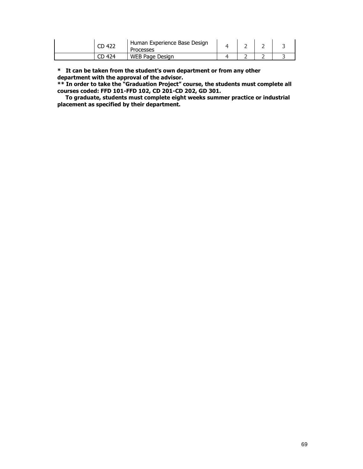| CD 422<br>◡ | Human Experience Base Design<br>Processes |  |  |
|-------------|-------------------------------------------|--|--|
|             | WEB Page Design                           |  |  |

\* It can be taken from the student's own department or from any other department with the approval of the advisor.

\*\* In order to take the "Graduation Project" course, the students must complete all courses coded: FFD 101-FFD 102, CD 201-CD 202, GD 301.

 To graduate, students must complete eight weeks summer practice or industrial placement as specified by their department.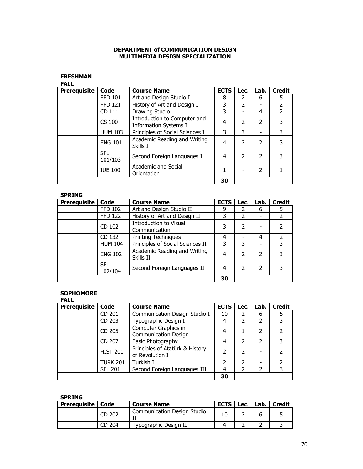# DEPARTMENT of COMMUNICATION DESIGN MULTIMEDIA DESIGN SPECIALIZATION

## FRESHMAN

### FALL

| <b>Prerequisite</b> | Code                  | <b>Course Name</b>                                           | <b>ECTS</b> | Lec.           | Lab.           | <b>Credit</b> |
|---------------------|-----------------------|--------------------------------------------------------------|-------------|----------------|----------------|---------------|
|                     | <b>FFD 101</b>        | Art and Design Studio I                                      | 8           | 2              | 6              | 5             |
|                     | <b>FFD 121</b>        | History of Art and Design I                                  | 3           |                |                |               |
|                     | CD 111                | Drawing Studio                                               | 3           |                | 4              | $\mathcal{P}$ |
|                     | <b>CS 100</b>         | Introduction to Computer and<br><b>Information Systems I</b> | 4           | 2              | $\mathfrak{p}$ | 3             |
|                     | <b>HUM 103</b>        | Principles of Social Sciences I                              | 3           | 3              |                | 3             |
|                     | <b>ENG 101</b>        | Academic Reading and Writing<br>Skills I                     | 4           | $\mathcal{P}$  | $\mathcal{P}$  | 3             |
|                     | <b>SFL</b><br>101/103 | Second Foreign Languages I                                   | 4           | $\mathfrak{p}$ | $\mathfrak{p}$ |               |
|                     | <b>IUE 100</b>        | Academic and Social<br>Orientation                           |             |                | $\mathcal{P}$  |               |
|                     |                       |                                                              | 30          |                |                |               |

### SPRING

| <b>Prerequisite</b> | Code                  | <b>Course Name</b>                        | <b>ECTS</b> | Lec.          | Lab. | <b>Credit</b> |
|---------------------|-----------------------|-------------------------------------------|-------------|---------------|------|---------------|
|                     | <b>FFD 102</b>        | Art and Design Studio II                  | 9           |               | 6    | 5             |
|                     | <b>FFD 122</b>        | History of Art and Design II              | 3           | $\mathcal{P}$ |      | $\mathcal{P}$ |
|                     | CD 102                | Introduction to Visual<br>Communication   | 3           | $\mathcal{P}$ |      |               |
|                     | CD 132                | <b>Printing Techniques</b>                | 4           |               | 4    | $\mathcal{P}$ |
|                     | <b>HUM 104</b>        | Principles of Social Sciences II          | 3           | 3             |      | 3             |
|                     | <b>ENG 102</b>        | Academic Reading and Writing<br>Skills II | 4           | 2             | 2    |               |
|                     | <b>SFL</b><br>102/104 | Second Foreign Languages II               | 4           |               | 2    |               |
|                     |                       |                                           | 30          |               |      |               |

#### **SOPHOMORE** FALL

| <b>Prerequisite</b> | Code            | <b>Course Name</b>                                  | <b>ECTS</b> | Lec. | Lab. | <b>Credit</b> |
|---------------------|-----------------|-----------------------------------------------------|-------------|------|------|---------------|
|                     | CD 201          | Communication Design Studio I                       | 10          |      | 6    |               |
|                     | CD 203          | Typographic Design I                                | 4           | 2    | 2    |               |
|                     | CD 205          | Computer Graphics in<br><b>Communication Design</b> | 4           |      | 2    |               |
|                     | CD 207          | Basic Photography                                   | 4           | 2    | 2    |               |
|                     | <b>HIST 201</b> | Principles of Atatürk & History<br>of Revolution I  | 2           | 2    |      |               |
|                     | <b>TURK 201</b> | Turkish I                                           | 2           | 2    |      |               |
|                     | <b>SFL 201</b>  | Second Foreign Languages III                        |             | 2    | າ    |               |
|                     |                 |                                                     | 30          |      |      |               |

| <b>Prerequisite</b> | Code   | <b>Course Name</b>                      | <b>ECTS</b> | $\blacksquare$ Lec. $\blacksquare$ | Lab. | <b>Credit</b> |
|---------------------|--------|-----------------------------------------|-------------|------------------------------------|------|---------------|
|                     | CD 202 | <b>Communication Design Studio</b><br>Н |             |                                    |      |               |
|                     | CD 204 | Typographic Design II                   |             |                                    |      |               |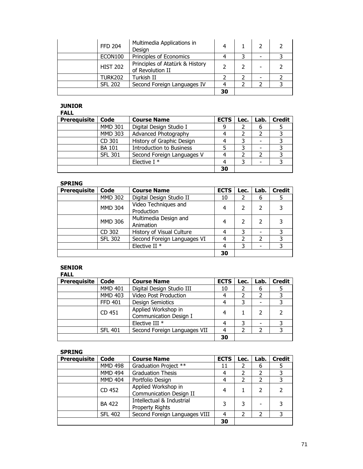| <b>FFD 204</b>  | Multimedia Applications in<br>Design                |    |  |  |
|-----------------|-----------------------------------------------------|----|--|--|
| ECON100         | Principles of Economics                             |    |  |  |
| <b>HIST 202</b> | Principles of Atatürk & History<br>of Revolution II |    |  |  |
| <b>TURK202</b>  | Turkish II                                          |    |  |  |
| <b>SFL 202</b>  | Second Foreign Languages IV                         |    |  |  |
|                 |                                                     | 30 |  |  |

### JUNIOR

| FALL                |                |                                 |             |      |      |               |
|---------------------|----------------|---------------------------------|-------------|------|------|---------------|
| <b>Prerequisite</b> | Code           | <b>Course Name</b>              | <b>ECTS</b> | Lec. | Lab. | <b>Credit</b> |
|                     | <b>MMD 301</b> | Digital Design Studio I         |             |      | b    |               |
|                     | <b>MMD 303</b> | Advanced Photography            |             |      |      |               |
|                     | CD 301         | History of Graphic Design       |             |      |      |               |
|                     | <b>BA 101</b>  | <b>Introduction to Business</b> |             |      |      |               |
|                     | <b>SFL 301</b> | Second Foreign Languages V      |             |      |      |               |
|                     |                | Elective $I^*$                  |             |      |      |               |
|                     |                |                                 | 30          |      |      |               |

# SPRING

| <b>Prerequisite</b> | Code           | <b>Course Name</b>                 | <b>ECTS</b> | Lec. | Lab.                     | <b>Credit</b> |
|---------------------|----------------|------------------------------------|-------------|------|--------------------------|---------------|
|                     | <b>MMD 302</b> | Digital Design Studio II           | 10          |      | 6                        |               |
|                     | <b>MMD 304</b> | Video Techniques and<br>Production | 4           |      | 2                        |               |
|                     | <b>MMD 306</b> | Multimedia Design and<br>Animation | 4           |      | 2                        |               |
|                     | CD 302         | History of Visual Culture          |             | 3    | $\overline{\phantom{0}}$ | ٦             |
|                     | <b>SFL 302</b> | Second Foreign Languages VI        |             | 2    | 2                        |               |
|                     |                | Elective II $*$                    |             |      |                          |               |
|                     |                |                                    | 30          |      |                          |               |

# SENIOR

# FALL

| <b>Prerequisite</b> | Code           | <b>Course Name</b>                            | <b>ECTS</b> | Lec. | l Lab. | <b>Credit</b> |
|---------------------|----------------|-----------------------------------------------|-------------|------|--------|---------------|
|                     | <b>MMD 401</b> | Digital Design Studio III                     | 10          |      | b      |               |
|                     | <b>MMD 403</b> | Video Post Production                         |             |      |        |               |
|                     | <b>FFD 401</b> | Design Semiotics                              |             |      |        |               |
|                     | CD 451         | Applied Workshop in<br>Communication Design I | 4           |      |        |               |
|                     |                | Elective III <sup>*</sup>                     | 4           | ٦    |        |               |
|                     | <b>SFL 401</b> | Second Foreign Languages VII                  | 4           |      | っ      |               |
|                     |                |                                               | 30          |      |        |               |

| <b>Prerequisite</b> | Code           | <b>Course Name</b>                                    | <b>ECTS</b> | Lec. | Lab.          | <b>Credit</b> |
|---------------------|----------------|-------------------------------------------------------|-------------|------|---------------|---------------|
|                     | <b>MMD 498</b> | Graduation Project **                                 | 11          |      | 6             |               |
|                     | <b>MMD 494</b> | <b>Graduation Thesis</b>                              | 4           |      | 2             | 3             |
|                     | <b>MMD 404</b> | Portfolio Design                                      | 4           | 2    | $\mathcal{P}$ | 3             |
|                     | CD 452         | Applied Workshop in<br><b>Communication Design II</b> | 4           |      | 2             |               |
|                     | <b>BA 422</b>  | Intellectual & Industrial<br>Property Rights          |             |      |               |               |
|                     | <b>SFL 402</b> | Second Foreign Languages VIII                         | 4           |      | $\mathcal{L}$ |               |
|                     |                |                                                       | 30          |      |               |               |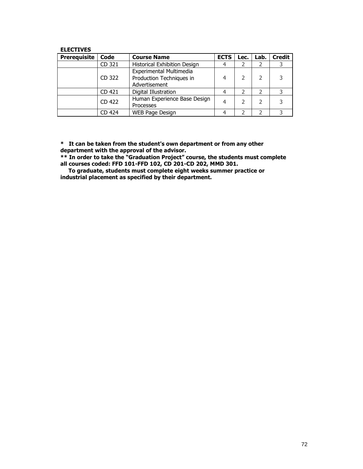### ELECTIVES

| <b>Prerequisite</b> | Code   | <b>Course Name</b>           | <b>ECTS</b> | Lec. | Lab. | <b>Credit</b> |
|---------------------|--------|------------------------------|-------------|------|------|---------------|
|                     | CD 321 | Historical Exhibition Design |             |      |      |               |
|                     |        | Experimental Multimedia      |             |      |      |               |
|                     | CD 322 | Production Techniques in     |             |      |      |               |
|                     |        | Advertisement                |             |      |      |               |
|                     | CD 421 | Digital Illustration         |             |      |      |               |
|                     | CD 422 | Human Experience Base Design |             |      |      |               |
|                     |        | Processes                    |             |      |      |               |
|                     | CD 424 | <b>WEB Page Design</b>       |             |      |      |               |

\* It can be taken from the student's own department or from any other department with the approval of the advisor.

\*\* In order to take the "Graduation Project" course, the students must complete all courses coded: FFD 101-FFD 102, CD 201-CD 202, MMD 301.

 To graduate, students must complete eight weeks summer practice or industrial placement as specified by their department.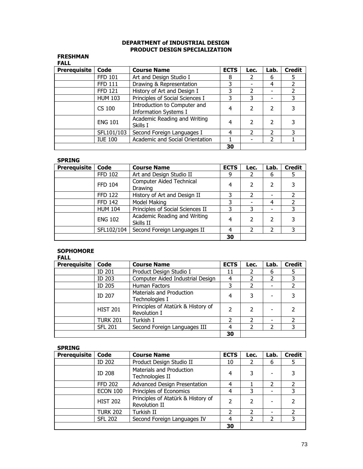### DEPARTMENT of INDUSTRIAL DESIGN PRODUCT DESIGN SPECIALIZATION

#### FRESHMAN

| <b>FALL</b>         |                |                                                              |             |               |                          |               |
|---------------------|----------------|--------------------------------------------------------------|-------------|---------------|--------------------------|---------------|
| <b>Prerequisite</b> | Code           | <b>Course Name</b>                                           | <b>ECTS</b> | Lec.          | Lab.                     | <b>Credit</b> |
|                     | <b>FFD 101</b> | Art and Design Studio I                                      | 8           | $\mathcal{P}$ | 6                        | 5             |
|                     | <b>FFD 111</b> | Drawing & Representation                                     | 3           |               | 4                        | 2             |
|                     | <b>FFD 121</b> | History of Art and Design I                                  | 3           | $\mathcal{P}$ | $\overline{\phantom{0}}$ | 2             |
|                     | <b>HUM 103</b> | Principles of Social Sciences I                              | 3           | 3             | $\overline{\phantom{0}}$ | 3             |
|                     | CS 100         | Introduction to Computer and<br><b>Information Systems I</b> | 4           | $\mathcal{P}$ | 2                        | 3             |
|                     | <b>ENG 101</b> | Academic Reading and Writing<br>Skills I                     | 4           | $\mathcal{P}$ | 2                        | 3             |
|                     | SFL101/103     | Second Foreign Languages I                                   | 4           | $\mathcal{P}$ | 2                        | ٦             |
|                     | <b>IUE 100</b> | Academic and Social Orientation                              |             |               | 2                        |               |
|                     |                |                                                              | 30          |               |                          |               |

#### SPRING

| <b>Prerequisite</b> | Code           | <b>Course Name</b>                         | <b>ECTS</b> | Lec.                     | Lab.                     | <b>Credit</b> |
|---------------------|----------------|--------------------------------------------|-------------|--------------------------|--------------------------|---------------|
|                     | <b>FFD 102</b> | Art and Design Studio II                   | 9           | 2                        | 6                        |               |
|                     | <b>FFD 104</b> | <b>Computer Aided Technical</b><br>Drawing | 4           | $\mathcal{P}$            | $\mathcal{P}$            | 3             |
|                     | <b>FFD 122</b> | History of Art and Design II               | 3           | $\mathcal{P}$            | $\overline{\phantom{0}}$ | $\mathcal{P}$ |
|                     | <b>FFD 142</b> | Model Making                               | 3           | $\overline{\phantom{a}}$ | 4                        |               |
|                     | <b>HUM 104</b> | Principles of Social Sciences II           | 3           | 3                        |                          | 3             |
|                     | <b>ENG 102</b> | Academic Reading and Writing<br>Skills II  | 4           | $\mathcal{P}$            | $\mathcal{P}$            | 3             |
|                     | SFL102/104     | Second Foreign Languages II                | 4           | $\mathcal{P}$            | $\mathcal{P}$            | 3             |
|                     |                |                                            | 30          |                          |                          |               |

#### **SOPHOMORE** FALL

| <b>IALL</b>         |                 |                                                    |             |               |               |               |
|---------------------|-----------------|----------------------------------------------------|-------------|---------------|---------------|---------------|
| <b>Prerequisite</b> | Code            | <b>Course Name</b>                                 | <b>ECTS</b> | Lec.          | Lab.          | <b>Credit</b> |
|                     | ID 201          | Product Design Studio I                            | 11          |               | 6             |               |
|                     | ID 203          | Computer Aided Industrial Design                   | 4           |               | $\mathcal{D}$ | 3             |
|                     | ID 205          | Human Factors                                      | 3           |               |               |               |
|                     | <b>ID 207</b>   | Materials and Production<br>Technologies I         | 4           | 3             |               |               |
|                     | <b>HIST 201</b> | Principles of Atatürk & History of<br>Revolution I | 2           | $\mathcal{P}$ |               |               |
|                     | <b>TURK 201</b> | Turkish I                                          | 2           | $\mathcal{P}$ |               |               |
|                     | <b>SFL 201</b>  | Second Foreign Languages III                       | 4           |               |               | ٦             |
|                     |                 |                                                    | 30          |               |               |               |

#### SPRING

| <b>Prerequisite</b> | Code            | <b>Course Name</b>                                  | <b>ECTS</b> | Lec.          | Lab. | <b>Credit</b> |
|---------------------|-----------------|-----------------------------------------------------|-------------|---------------|------|---------------|
|                     | ID 202          | Product Design Studio II                            | 10          | $\mathcal{P}$ | 6    |               |
|                     | <b>ID 208</b>   | Materials and Production<br>Technologies II         | 4           | 3             |      | 3             |
|                     | <b>FFD 202</b>  | Advanced Design Presentation                        | 4           |               | フ    |               |
|                     | <b>ECON 100</b> | Principles of Economics                             | 4           | 3             |      | 3             |
|                     | <b>HIST 202</b> | Principles of Atatürk & History of<br>Revolution II | 2           | 2             |      | 2             |
|                     | <b>TURK 202</b> | Turkish II                                          | 2           | 2             |      | ว             |
|                     | <b>SFL 202</b>  | Second Foreign Languages IV                         | 4           | $\mathcal{P}$ | 2    | 3             |
|                     |                 |                                                     | 30          |               |      |               |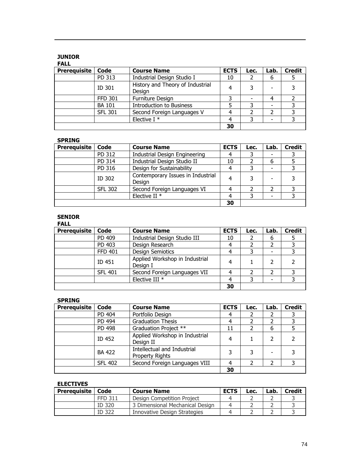| <b>FALL</b>         |                |                                            |             |      |      |               |
|---------------------|----------------|--------------------------------------------|-------------|------|------|---------------|
| <b>Prerequisite</b> | Code           | <b>Course Name</b>                         | <b>ECTS</b> | Lec. | Lab. | <b>Credit</b> |
|                     | PD 313         | Industrial Design Studio I                 | 10          |      | 6    |               |
|                     | <b>ID 301</b>  | History and Theory of Industrial<br>Design | 4           | 3    |      | 3             |
|                     | <b>FFD 301</b> | Furniture Design                           |             |      |      |               |
|                     | <b>BA 101</b>  | <b>Introduction to Business</b>            |             |      |      |               |
|                     | <b>SFL 301</b> | Second Foreign Languages V                 |             |      |      |               |
|                     |                | Elective $I^*$                             | 4           | ર    |      |               |
|                     |                |                                            | 30          |      |      |               |

#### SPRING

| <b>Prerequisite</b> | Code           | <b>Course Name</b>                          | <b>ECTS</b> | Lec. | Lab. | <b>Credit</b> |
|---------------------|----------------|---------------------------------------------|-------------|------|------|---------------|
|                     | PD 312         | Industrial Design Engineering               |             |      |      |               |
|                     | PD 314         | Industrial Design Studio II                 | 10          |      | 6    |               |
|                     | PD 316         | Design for Sustainability                   |             |      |      |               |
|                     | ID 302         | Contemporary Issues in Industrial<br>Design | 4           | 3    |      |               |
|                     | <b>SFL 302</b> | Second Foreign Languages VI                 |             |      |      |               |
|                     |                | Elective II $*$                             |             | ٦    |      |               |
|                     |                |                                             | 30          |      |      |               |

#### SENIOR **FALL**

| .                   |                |                                            |             |      |                              |               |
|---------------------|----------------|--------------------------------------------|-------------|------|------------------------------|---------------|
| <b>Prerequisite</b> | Code           | <b>Course Name</b>                         | <b>ECTS</b> | Lec. | Lab.                         | <b>Credit</b> |
|                     | PD 409         | Industrial Design Studio III               | 10          |      | 6                            |               |
|                     | PD 403         | Design Research                            | 4           |      |                              |               |
|                     | <b>FFD 401</b> | <b>Design Semiotics</b>                    | 4           | 3    |                              |               |
|                     | ID 451         | Applied Workshop in Industrial<br>Design I | 4           |      | 2                            |               |
|                     | <b>SFL 401</b> | Second Foreign Languages VII               |             | っ    | っ                            | 2             |
|                     |                | Elective III $*$                           |             | ર    | $\qquad \qquad \blacksquare$ |               |
|                     |                |                                            | 30          |      |                              |               |

### SPRING

| <b>Prerequisite</b> | Code           | <b>Course Name</b>                             | <b>ECTS</b> | Lec.          | Lab.                     | <b>Credit</b> |
|---------------------|----------------|------------------------------------------------|-------------|---------------|--------------------------|---------------|
|                     | PD 404         | Portfolio Design                               | 4           |               |                          |               |
|                     | <b>PD 494</b>  | <b>Graduation Thesis</b>                       | 4           |               |                          |               |
|                     | <b>PD 498</b>  | Graduation Project **                          | 11          | $\mathcal{P}$ | 6                        |               |
|                     | ID 452         | Applied Workshop in Industrial<br>Design II    | 4           |               | 2                        |               |
|                     | <b>BA 422</b>  | Intellectual and Industrial<br>Property Rights | 3           | 3             | $\overline{\phantom{0}}$ | 3             |
|                     | <b>SFL 402</b> | Second Foreign Languages VIII                  | 4           |               |                          |               |
|                     |                |                                                | 30          |               |                          |               |

#### ELECTIVES

| <b>Prerequisite</b> | Code           | <b>Course Name</b>              | <b>ECTS</b> | Lec. | Lab. | Credit |
|---------------------|----------------|---------------------------------|-------------|------|------|--------|
|                     | <b>FFD 311</b> | Design Competition Project      |             |      |      |        |
|                     | ID 320         | 3 Dimensional Mechanical Design |             |      |      |        |
|                     | ID 322         | Innovative Design Strategies    |             |      |      |        |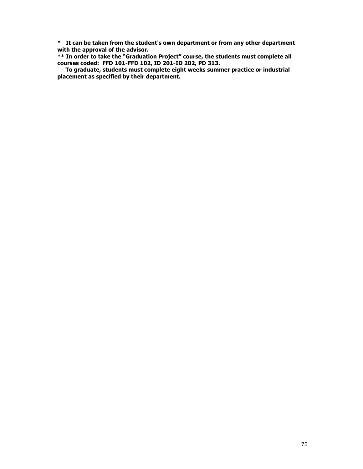\* It can be taken from the student's own department or from any other department with the approval of the advisor.

\*\* In order to take the "Graduation Project" course, the students must complete all courses coded: FFD 101-FFD 102, ID 201-ID 202, PD 313.

 To graduate, students must complete eight weeks summer practice or industrial placement as specified by their department.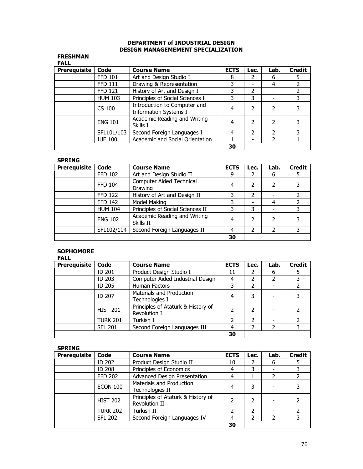### DEPARTMENT of INDUSTRIAL DESIGN DESIGN MANAGEMEMENT SPECIALIZATION

#### FRESHMAN FALL

| <b>Prerequisite</b> | Code           | <b>Course Name</b>                                           | <b>ECTS</b> | Lec.          | Lab. | <b>Credit</b> |
|---------------------|----------------|--------------------------------------------------------------|-------------|---------------|------|---------------|
|                     | <b>FFD 101</b> | Art and Design Studio I                                      | 8           | 2             | 6    | 5             |
|                     | <b>FFD 111</b> | Drawing & Representation                                     | 3           |               | 4    |               |
|                     | <b>FFD 121</b> | History of Art and Design I                                  | 3           | 2             |      |               |
|                     | <b>HUM 103</b> | Principles of Social Sciences I                              | 3           | 3             |      | 3             |
|                     | CS 100         | Introduction to Computer and<br><b>Information Systems I</b> |             | $\mathcal{P}$ | 2    | 3             |
|                     | <b>ENG 101</b> | Academic Reading and Writing<br>Skills I                     | 4           | $\mathcal{P}$ | 2    |               |
|                     | SFL101/103     | Second Foreign Languages I                                   | 4           | $\mathcal{P}$ | 2    | ٦             |
|                     | <b>IUE 100</b> | Academic and Social Orientation                              |             |               | 2    |               |
|                     |                |                                                              | 30          |               |      |               |

#### SPRING

| <b>Prerequisite</b> | Code           | <b>Course Name</b>                         | <b>ECTS</b> | Lec.          | Lab. | <b>Credit</b> |
|---------------------|----------------|--------------------------------------------|-------------|---------------|------|---------------|
|                     | <b>FFD 102</b> | Art and Design Studio II                   | 9           | 2             | 6    |               |
|                     | <b>FFD 104</b> | <b>Computer Aided Technical</b><br>Drawing |             | 2             | 2    | ٦             |
|                     | FFD 122        | History of Art and Design II               | 3           | $\mathcal{P}$ |      |               |
|                     | <b>FFD 142</b> | <b>Model Making</b>                        |             |               | 4    |               |
|                     | <b>HUM 104</b> | Principles of Social Sciences II           |             | 3             |      |               |
|                     | <b>ENG 102</b> | Academic Reading and Writing<br>Skills II  | 4           | 2             | 2    |               |
|                     | SFL102/104     | Second Foreign Languages II                | 4           | 2             | 2    |               |
|                     |                |                                            | 30          |               |      |               |

### SOPHOMORE

#### FALL Prerequisite Code Course Name ECTS Lec. Lab. Credit ID 201 Product Design Studio I 11 2 6 5 ID 203 Computer Aided Industrial Design 4 2 2 3<br>ID 205 Human Factors 3 2 - 2 **Human Factors** 3 2 - 2 ID 207 Materials and Production  $T = \begin{bmatrix} 3 & 3 \\ 7 & 0 \end{bmatrix}$   $\begin{bmatrix} 4 & 3 \\ 3 & 1 \end{bmatrix}$   $\begin{bmatrix} -1 & 3 \\ 3 & 3 \end{bmatrix}$ HIST 201 Principles of Atatürk & History of Principles of Ataturk & History of 2 2 - 2<br>Revolution I 2 2 2 - 2 TURK 201 Turkish I 2 2 - 2 SFL 201 Second Foreign Languages III 4 2 2 3  $\sim$  30  $\sim$  30  $\sim$  30  $\sim$

#### **SPRING**

| <b>Prerequisite</b> | Code            | <b>Course Name</b>                                  | <b>ECTS</b> | Lec. | Lab. | <b>Credit</b> |
|---------------------|-----------------|-----------------------------------------------------|-------------|------|------|---------------|
|                     | <b>ID 202</b>   | Product Design Studio II                            | 10          | 2    | 6    |               |
|                     | <b>ID 208</b>   | Principles of Economics                             |             | 3    |      |               |
|                     | <b>FFD 202</b>  | <b>Advanced Design Presentation</b>                 | 4           |      | C    |               |
|                     | <b>ECON 100</b> | Materials and Production<br>Technologies II         | 4           | 3    |      |               |
|                     | <b>HIST 202</b> | Principles of Atatürk & History of<br>Revolution II |             | 2    |      |               |
|                     | <b>TURK 202</b> | Turkish II                                          |             | フ    |      |               |
|                     | <b>SFL 202</b>  | Second Foreign Languages IV                         | 4           | C.   | っ    |               |
|                     |                 |                                                     | 30          |      |      |               |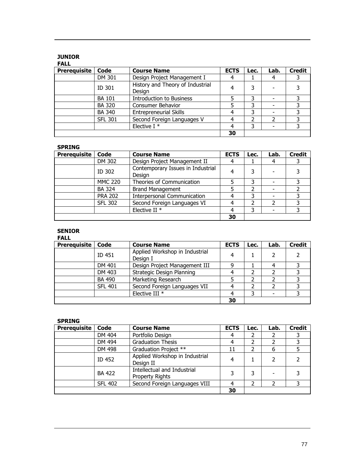| <b>FALL</b>         |                |                                            |             |      |      |               |
|---------------------|----------------|--------------------------------------------|-------------|------|------|---------------|
| <b>Prerequisite</b> | Code           | <b>Course Name</b>                         | <b>ECTS</b> | Lec. | Lab. | <b>Credit</b> |
|                     | DM 301         | Design Project Management I                |             |      |      |               |
|                     | ID 301         | History and Theory of Industrial<br>Design |             |      |      |               |
|                     | <b>BA 101</b>  | <b>Introduction to Business</b>            | 5           | 3    |      |               |
|                     | <b>BA 320</b>  | Consumer Behavior                          |             | 3    |      |               |
|                     | <b>BA 340</b>  | <b>Entrepreneurial Skills</b>              |             | 3    |      |               |
|                     | <b>SFL 301</b> | Second Foreign Languages V                 | 4           | 2    |      |               |
|                     |                | Elective $I^*$                             | 4           | 3    |      |               |
|                     |                |                                            | 30          |      |      |               |

### SPRING

| <b>Prerequisite</b> | Code           | <b>Course Name</b>                          | <b>ECTS</b> | Lec. | Lab. | <b>Credit</b> |
|---------------------|----------------|---------------------------------------------|-------------|------|------|---------------|
|                     | DM 302         | Design Project Management II                |             |      |      |               |
|                     | ID 302         | Contemporary Issues in Industrial<br>Design |             |      |      |               |
|                     | <b>MMC 220</b> | Theories of Communication                   | 5           | 3    |      |               |
|                     | <b>BA 324</b>  | <b>Brand Management</b>                     |             |      |      |               |
|                     | <b>PRA 202</b> | <b>Interpersonal Communication</b>          |             | 3    |      |               |
|                     | <b>SFL 302</b> | Second Foreign Languages VI                 |             | 2    |      |               |
|                     |                | Elective II $*$                             |             | 3    |      |               |
|                     |                |                                             | 30          |      |      |               |

#### SENIOR

| <b>FALL</b>         |                |                                            |             |      |      |               |
|---------------------|----------------|--------------------------------------------|-------------|------|------|---------------|
| <b>Prerequisite</b> | Code           | <b>Course Name</b>                         | <b>ECTS</b> | Lec. | Lab. | <b>Credit</b> |
|                     | ID 451         | Applied Workshop in Industrial<br>Design I | 4           |      |      |               |
|                     | DM 401         | Design Project Management III              | q           |      |      |               |
|                     | DM 403         | Strategic Design Planning                  |             |      |      |               |
|                     | BA 490         | Marketing Research                         |             |      |      |               |
|                     | <b>SFL 401</b> | Second Foreign Languages VII               |             |      |      |               |
|                     |                | Elective III <sup>*</sup>                  | 4           |      |      |               |
|                     |                |                                            | 30          |      |      |               |

### SPRING

| <b>Prerequisite</b> | Code           | <b>Course Name</b>                                    | <b>ECTS</b> | Lec. | Lab. | <b>Credit</b> |
|---------------------|----------------|-------------------------------------------------------|-------------|------|------|---------------|
|                     | DM 404         | Portfolio Design                                      |             |      |      |               |
|                     | DM 494         | <b>Graduation Thesis</b>                              | 4           |      |      |               |
|                     | DM 498         | Graduation Project **                                 | 11          |      | 6    |               |
|                     | ID 452         | Applied Workshop in Industrial<br>Design II           | 4           |      |      |               |
|                     | <b>BA 422</b>  | Intellectual and Industrial<br><b>Property Rights</b> |             |      |      |               |
|                     | <b>SFL 402</b> | Second Foreign Languages VIII                         | 4           |      |      |               |
|                     |                |                                                       | 30          |      |      |               |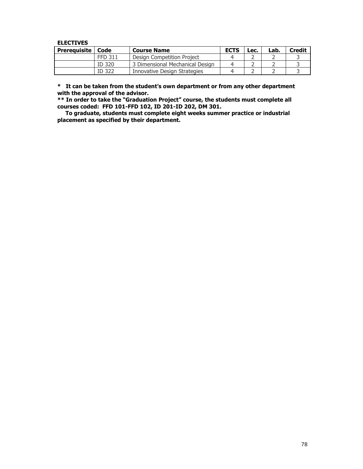#### ELECTIVES

| <b>Prerequisite</b> | Code           | <b>Course Name</b>              | <b>ECTS</b> | Lec. | Lab. | Credit |
|---------------------|----------------|---------------------------------|-------------|------|------|--------|
|                     | <b>FFD 311</b> | Design Competition Project      |             |      |      |        |
|                     | ID 320         | 3 Dimensional Mechanical Design |             |      |      |        |
|                     | ID 322         | Innovative Design Strategies    |             |      |      |        |

\* It can be taken from the student's own department or from any other department with the approval of the advisor.

\*\* In order to take the "Graduation Project" course, the students must complete all courses coded: FFD 101-FFD 102, ID 201-ID 202, DM 301.

 To graduate, students must complete eight weeks summer practice or industrial placement as specified by their department.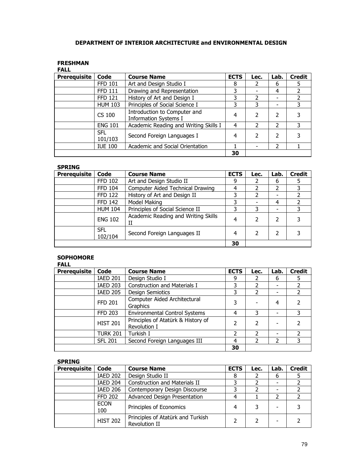### DEPARTMENT OF INTERIOR ARCHITECTURE and ENVIRONMENTAL DESIGN

#### FRESHMAN FALL

| <b>FALL</b>         |                |                                                              |             |               |               |               |
|---------------------|----------------|--------------------------------------------------------------|-------------|---------------|---------------|---------------|
| <b>Prerequisite</b> | Code           | <b>Course Name</b>                                           | <b>ECTS</b> | Lec.          | Lab.          | <b>Credit</b> |
|                     | <b>FFD 101</b> | Art and Design Studio I                                      | 8           |               | 6             | 5             |
|                     | <b>FFD 111</b> | Drawing and Representation                                   | 3           |               | 4             |               |
|                     | <b>FFD 121</b> | History of Art and Design I                                  | 3           |               |               |               |
|                     | <b>HUM 103</b> | Principles of Social Science I                               | 3           | 3             |               |               |
|                     | CS 100         | Introduction to Computer and<br><b>Information Systems I</b> | 4           | 2             | $\mathcal{P}$ |               |
|                     | <b>ENG 101</b> | Academic Reading and Writing Skills I                        | 4           | $\mathcal{P}$ | $\mathcal{P}$ |               |
|                     | SFL<br>101/103 | Second Foreign Languages I                                   | 4           | 2             | 2             |               |
|                     | <b>IUE 100</b> | Academic and Social Orientation                              |             |               |               |               |
|                     |                |                                                              | 30          |               |               |               |

### SPRING

| <b>Prerequisite</b> | Code                  | <b>Course Name</b>                       | <b>ECTS</b> | Lec. | Lab. | <b>Credit</b> |
|---------------------|-----------------------|------------------------------------------|-------------|------|------|---------------|
|                     | <b>FFD 102</b>        | Art and Design Studio II                 | 9           |      | 6    |               |
|                     | <b>FFD 104</b>        | Computer Aided Technical Drawing         | 4           |      |      |               |
|                     | <b>FFD 122</b>        | History of Art and Design II             | 3           |      |      |               |
|                     | <b>FFD 142</b>        | Model Making                             | 3           |      | 4    |               |
|                     | <b>HUM 104</b>        | Principles of Social Science II          | 3           | 3    |      |               |
|                     | <b>ENG 102</b>        | Academic Reading and Writing Skills<br>Н | 4           |      |      |               |
|                     | <b>SFL</b><br>102/104 | Second Foreign Languages II              | 4           |      |      |               |
|                     |                       |                                          | 30          |      |      |               |

## **SOPHOMORE**

| <b>Prerequisite</b> | Code            | <b>Course Name</b>                                 | <b>ECTS</b> | Lec. | Lab. | <b>Credit</b> |
|---------------------|-----------------|----------------------------------------------------|-------------|------|------|---------------|
|                     | <b>IAED 201</b> | Design Studio I                                    | 9           |      | 6    |               |
|                     | <b>IAED 203</b> | <b>Construction and Materials I</b>                | 3           |      |      |               |
|                     | <b>IAED 205</b> | <b>Design Semiotics</b>                            | 3           |      |      |               |
|                     | <b>FFD 201</b>  | Computer Aided Architectural<br>Graphics           | 3           |      | 4    |               |
|                     | <b>FFD 203</b>  | <b>Environmental Control Systems</b>               | 4           | 3    |      | 3             |
|                     | <b>HIST 201</b> | Principles of Atatürk & History of<br>Revolution I | 2           | 2    |      |               |
|                     | <b>TURK 201</b> | Turkish I                                          | 2           |      |      |               |
|                     | <b>SFL 201</b>  | Second Foreign Languages III                       | 4           |      | ว    |               |
|                     |                 |                                                    | 30          |      |      |               |

### SPRING

| <b>Prerequisite</b> | Code               | <b>Course Name</b>                                 | <b>ECTS</b> | Lec. | Lab. | <b>Credit</b> |
|---------------------|--------------------|----------------------------------------------------|-------------|------|------|---------------|
|                     | <b>IAED 202</b>    | Design Studio II                                   | 8           |      | 6    |               |
|                     | <b>IAED 204</b>    | <b>Construction and Materials II</b>               |             |      |      |               |
|                     | IAED 206           | Contemporary Design Discourse                      |             |      |      |               |
|                     | <b>FFD 202</b>     | Advanced Design Presentation                       |             |      |      |               |
|                     | <b>ECON</b><br>100 | Principles of Economics                            | 4           |      |      |               |
|                     | <b>HIST 202</b>    | Principles of Atatürk and Turkish<br>Revolution II |             |      |      |               |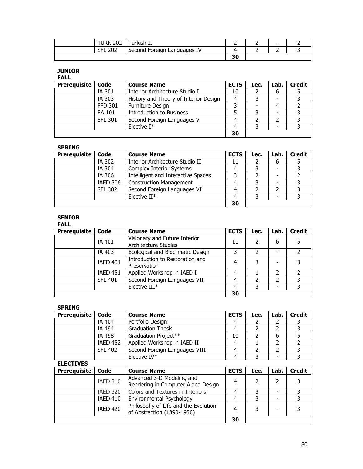| <b>URK 202</b> | Turkish II                  |          | $\sim$ |  |
|----------------|-----------------------------|----------|--------|--|
|                | Second Foreign Languages IV |          |        |  |
|                |                             | הכ<br>эu |        |  |

### FALL

| <b>Prerequisite</b> | Code           | <b>Course Name</b>                    | <b>ECTS</b> | Lec. | Lab. | <b>Credit</b> |
|---------------------|----------------|---------------------------------------|-------------|------|------|---------------|
|                     | IA 301         | Interior Architecture Studio I        | 10          |      | b    |               |
|                     | IA 303         | History and Theory of Interior Design |             |      |      |               |
|                     | <b>FFD 301</b> | Furniture Design                      |             |      |      |               |
|                     | <b>BA 101</b>  | Introduction to Business              |             |      |      |               |
|                     | <b>SFL 301</b> | Second Foreign Languages V            |             |      |      |               |
|                     |                | Elective $I^*$                        |             |      |      |               |
|                     |                |                                       | 30          |      |      |               |

### SPRING

| <b>Prerequisite</b> | Code           | <b>Course Name</b>                 | <b>ECTS</b> | Lec. | Lab. | <b>Credit</b> |
|---------------------|----------------|------------------------------------|-------------|------|------|---------------|
|                     | IA 302         | Interior Architecture Studio II    |             |      | 6    |               |
|                     | IA 304         | <b>Complex Interior Systems</b>    |             |      |      |               |
|                     | IA 306         | Intelligent and Interactive Spaces |             |      |      |               |
|                     | IAED 306       | <b>Construction Management</b>     |             |      |      |               |
|                     | <b>SFL 302</b> | Second Foreign Languages VI        |             |      |      |               |
|                     |                | Elective $II^*$                    |             |      |      |               |
|                     |                |                                    | 30          |      |      |               |

### SENIOR

| <b>FALL</b>         |                 |                                                       |             |      |      |               |
|---------------------|-----------------|-------------------------------------------------------|-------------|------|------|---------------|
| <b>Prerequisite</b> | Code            | <b>Course Name</b>                                    | <b>ECTS</b> | Lec. | Lab. | <b>Credit</b> |
|                     | IA 401          | Visionary and Future Interior<br>Architecture Studies | 11          |      | 6    |               |
|                     | IA 403          | Ecological and Bioclimatic Design                     | ٦           |      |      |               |
|                     | <b>IAED 401</b> | Introduction to Restoration and<br>Preservation       | 4           |      |      |               |
|                     | <b>IAED 451</b> | Applied Workshop in IAED I                            | 4           |      |      |               |
|                     | <b>SFL 401</b>  | Second Foreign Languages VII                          | 4           |      |      |               |
|                     |                 | Elective III*                                         | 4           | ٦    |      |               |
|                     |                 |                                                       | 30          |      |      |               |

### SPRING

| <b>Prerequisite</b> | Code            | <b>Course Name</b>            | <b>ECTS</b> | Lec. | Lab. | <b>Credit</b> |
|---------------------|-----------------|-------------------------------|-------------|------|------|---------------|
|                     | IA 404          | Portfolio Design              |             |      |      |               |
|                     | IA 494          | <b>Graduation Thesis</b>      |             |      |      |               |
|                     | IA 498          | Graduation Project**          | 10          |      | 6    |               |
|                     | <b>IAED 452</b> | Applied Workshop in IAED II   |             |      |      |               |
|                     | <b>SFL 402</b>  | Second Foreign Languages VIII |             |      |      |               |
|                     |                 | Elective $IV^*$               |             |      |      |               |

# **ELECTIVES**

| <b>Prerequisite</b> | Code            | <b>Course Name</b>                                                 | <b>ECTS</b> | Lec. | Lab. | <b>Credit</b> |
|---------------------|-----------------|--------------------------------------------------------------------|-------------|------|------|---------------|
|                     | <b>IAED 310</b> | Advanced 3-D Modeling and<br>Rendering in Computer Aided Design    | 4           |      |      |               |
|                     | IAED 320        | Colors and Textures in Interiors                                   |             |      |      |               |
|                     | IAED 410        | Environmental Psychology                                           | 4           |      |      |               |
|                     | <b>IAED 420</b> | Philosophy of Life and the Evolution<br>of Abstraction (1890-1950) | 4           |      |      |               |
|                     |                 |                                                                    | 30          |      |      |               |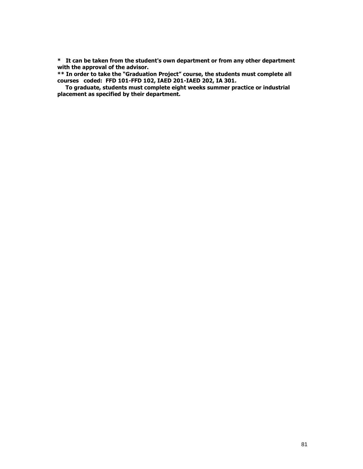\* It can be taken from the student's own department or from any other department with the approval of the advisor.

\*\* In order to take the "Graduation Project" course, the students must complete all courses coded: FFD 101-FFD 102, IAED 201-IAED 202, IA 301.

 To graduate, students must complete eight weeks summer practice or industrial placement as specified by their department.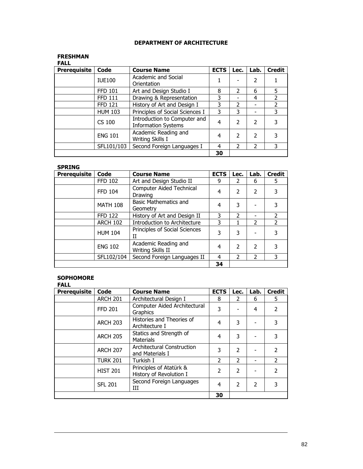### DEPARTMENT OF ARCHITECTURE

### FRESHMAN

| FALL                |                |                                                            |             |                |               |               |
|---------------------|----------------|------------------------------------------------------------|-------------|----------------|---------------|---------------|
| <b>Prerequisite</b> | Code           | <b>Course Name</b>                                         | <b>ECTS</b> | Lec.           | Lab.          | <b>Credit</b> |
|                     | <b>IUE100</b>  | Academic and Social<br>Orientation                         | 1           |                | $\mathcal{P}$ |               |
|                     | <b>FFD 101</b> | Art and Design Studio I                                    | 8           | $\mathcal{P}$  | 6             | 5             |
|                     | <b>FFD 111</b> | Drawing & Representation                                   | 3           |                | 4             |               |
|                     | <b>FFD 121</b> | History of Art and Design I                                | 3           | $\mathcal{P}$  |               |               |
|                     | <b>HUM 103</b> | Principles of Social Sciences I                            | 3           | 3              |               | 3             |
|                     | <b>CS 100</b>  | Introduction to Computer and<br><b>Information Systems</b> | 4           | 2              | 2             |               |
|                     | <b>ENG 101</b> | Academic Reading and<br><b>Writing Skills I</b>            | 4           | $\mathfrak{p}$ | $\mathcal{P}$ |               |
|                     | SFL101/103     | Second Foreign Languages I                                 | 4           | $\mathcal{P}$  | 2             |               |
|                     |                |                                                            | 30          |                |               |               |

### SPRING

| <b>Prerequisite</b> | Code            | <b>Course Name</b>                         | <b>ECTS</b> | Lec.          | Lab.           | <b>Credit</b> |
|---------------------|-----------------|--------------------------------------------|-------------|---------------|----------------|---------------|
|                     | <b>FFD 102</b>  | Art and Design Studio II                   | 9           | 2             | 6              | 5             |
|                     | <b>FFD 104</b>  | <b>Computer Aided Technical</b><br>Drawing | 4           | $\mathcal{P}$ | 2              |               |
|                     | <b>MATH 108</b> | Basic Mathematics and<br>Geometry          | 4           | 3             |                |               |
|                     | <b>FFD 122</b>  | History of Art and Design II               | 3           | $\mathcal{P}$ |                | $\mathcal{P}$ |
|                     | <b>ARCH 102</b> | Introduction to Architecture               | 3           |               | $\mathfrak{p}$ |               |
|                     | <b>HUM 104</b>  | Principles of Social Sciences<br>П         | 3           | 3             |                |               |
|                     | <b>ENG 102</b>  | Academic Reading and<br>Writing Skills II  | 4           | $\mathcal{P}$ | $\mathcal{P}$  |               |
|                     | SFL102/104      | Second Foreign Languages II                | 4           | $\mathcal{P}$ | 2              | 3             |
|                     |                 |                                            | 34          |               |                |               |

#### **SOPHOMORE FALL**

| <b>Prerequisite</b> | Code            | <b>Course Name</b>                                 | <b>ECTS</b>    | Lec.           | Lab.          | <b>Credit</b> |
|---------------------|-----------------|----------------------------------------------------|----------------|----------------|---------------|---------------|
|                     | <b>ARCH 201</b> | Architectural Design I                             | 8              | $\mathcal{P}$  | 6             | 5.            |
|                     | <b>FFD 201</b>  | Computer Aided Architectural<br>Graphics           | 3              |                | 4             | $\mathcal{P}$ |
|                     | <b>ARCH 203</b> | Histories and Theories of<br>Architecture I        | 4              | 3              |               |               |
|                     | <b>ARCH 205</b> | Statics and Strength of<br><b>Materials</b>        | 4              | 3              |               | 3             |
|                     | <b>ARCH 207</b> | Architectural Construction<br>and Materials I      | 3              | $\mathfrak{p}$ |               |               |
|                     | <b>TURK 201</b> | Turkish I                                          | $\mathcal{P}$  | $\mathfrak{p}$ |               | $\mathcal{P}$ |
|                     | <b>HIST 201</b> | Principles of Atatürk &<br>History of Revolution I | $\mathfrak{p}$ | $\mathcal{P}$  |               |               |
|                     | <b>SFL 201</b>  | Second Foreign Languages<br>Ш                      | 4              | $\mathfrak{p}$ | $\mathcal{P}$ | 3             |
|                     |                 |                                                    | 30             |                |               |               |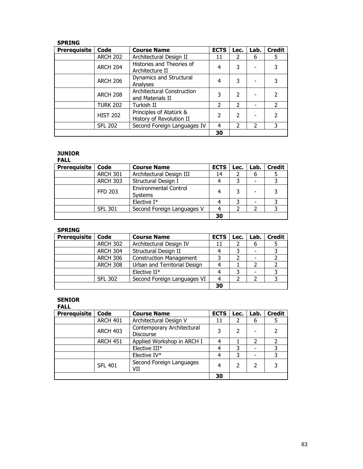| <b>SPRING</b>       |                 |                                                     |               |               |      |               |
|---------------------|-----------------|-----------------------------------------------------|---------------|---------------|------|---------------|
| <b>Prerequisite</b> | Code            | <b>Course Name</b>                                  | <b>ECTS</b>   | Lec.          | Lab. | <b>Credit</b> |
|                     | <b>ARCH 202</b> | Architectural Design II                             | 11            | $\mathcal{P}$ | 6    | 5             |
|                     | <b>ARCH 204</b> | Histories and Theories of<br>Architecture II        | 4             | 3             |      |               |
|                     | <b>ARCH 206</b> | Dynamics and Structural<br>Analyses                 | 4             | 3             |      |               |
|                     | <b>ARCH 208</b> | Architectural Construction<br>and Materials II      | 3             | $\mathcal{P}$ |      |               |
|                     | <b>TURK 202</b> | Turkish II                                          | $\mathcal{P}$ | $\mathcal{P}$ |      | C             |
|                     | <b>HIST 202</b> | Principles of Atatürk &<br>History of Revolution II | $\mathcal{P}$ | $\mathcal{P}$ |      |               |
|                     | <b>SFL 202</b>  | Second Foreign Languages IV                         | 4             |               | っ    | ٦             |
|                     |                 |                                                     | 30            |               |      |               |

| <b>FALL</b>         |                 |                                         |             |      |      |               |
|---------------------|-----------------|-----------------------------------------|-------------|------|------|---------------|
| <b>Prerequisite</b> | Code            | <b>Course Name</b>                      | <b>ECTS</b> | Lec. | Lab. | <b>Credit</b> |
|                     | ARCH 301        | Architectural Design III                | 14          |      | b    |               |
|                     | <b>ARCH 303</b> | Structural Design I                     |             |      |      |               |
|                     | FFD 203         | <b>Environmental Control</b><br>Systems | 4           |      |      |               |
|                     |                 | Elective $I^*$                          |             |      |      |               |
|                     | <b>SFL 301</b>  | Second Foreign Languages V              |             |      |      |               |
|                     |                 |                                         | 30          |      |      |               |

### SPRING

| <b>Prerequisite</b> | Code            | <b>Course Name</b>             | <b>ECTS</b> | Lec. | Lab.                     | <b>Credit</b> |
|---------------------|-----------------|--------------------------------|-------------|------|--------------------------|---------------|
|                     | <b>ARCH 302</b> | Architectural Design IV        |             |      | b                        |               |
|                     | ARCH 304        | Structural Design II           |             |      | $\overline{\phantom{0}}$ |               |
|                     | <b>ARCH 306</b> | <b>Construction Management</b> |             |      | $\overline{\phantom{0}}$ |               |
|                     | <b>ARCH 308</b> | Urban and Territorial Design   |             |      |                          |               |
|                     |                 | Elective $II^*$                |             |      | $\overline{\phantom{0}}$ |               |
|                     | <b>SFL 302</b>  | Second Foreign Languages VI    |             |      |                          |               |
|                     |                 |                                | 30          |      |                          |               |

#### SENIOR FALL

| <b>Prerequisite</b> | Code            | <b>Course Name</b>                             | <b>ECTS</b> | Lec. | Lab. | <b>Credit</b> |
|---------------------|-----------------|------------------------------------------------|-------------|------|------|---------------|
|                     | ARCH 401        | Architectural Design V                         | 11          |      | 6    |               |
|                     | <b>ARCH 403</b> | Contemporary Architectural<br><b>Discourse</b> | 3           |      |      |               |
|                     | <b>ARCH 451</b> | Applied Workshop in ARCH I                     |             |      | 2    |               |
|                     |                 | Elective III*                                  | 4           | 3    |      |               |
|                     |                 | Elective $IV^*$                                | 4           | ٦    |      |               |
|                     | <b>SFL 401</b>  | Second Foreign Languages<br>VII                | 4           |      |      |               |
|                     |                 |                                                | 30          |      |      |               |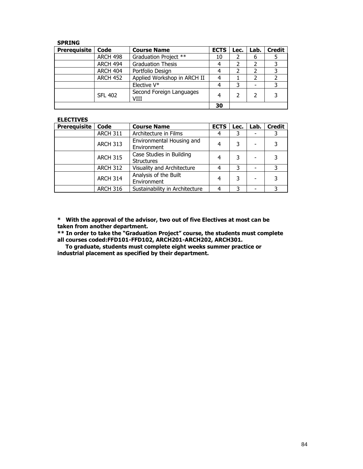#### **SPRING**<br>Prerequisite Code Course Name ECTS Lec. Lab. Credit ARCH 498 Graduation Project \*\* 10 2 6 5 ARCH 494 Graduation Thesis 4 2 2 3 ARCH 404 Portfolio Design 4 2 2 3 ARCH 452 Applied Workshop in ARCH II 4 1 2 2 Elective  $V^*$  4 3 - 3 SFL 402 | Second Foreign Languages  $VIII$   $VIII$  $\sim$  30

#### ELECTIVES

| <b>Prerequisite</b> | Code            | <b>Course Name</b>                       | <b>ECTS</b> | Lec.         | Lab. | <b>Credit</b> |
|---------------------|-----------------|------------------------------------------|-------------|--------------|------|---------------|
|                     | <b>ARCH 311</b> | Architecture in Films                    |             | 3            |      |               |
|                     | <b>ARCH 313</b> | Environmental Housing and<br>Environment |             |              |      |               |
|                     | <b>ARCH 315</b> | Case Studies in Building<br>Structures   | 4           |              |      |               |
|                     | <b>ARCH 312</b> | Visuality and Architecture               |             | 3            |      |               |
|                     | <b>ARCH 314</b> | Analysis of the Built<br>Environment     | 4           |              |      |               |
|                     | <b>ARCH 316</b> | Sustainability in Architecture           |             | $\mathbf{z}$ |      |               |

\* With the approval of the advisor, two out of five Electives at most can be taken from another department.

\*\* In order to take the "Graduation Project" course, the students must complete all courses coded:FFD101-FFD102, ARCH201-ARCH202, ARCH301.

 To graduate, students must complete eight weeks summer practice or industrial placement as specified by their department.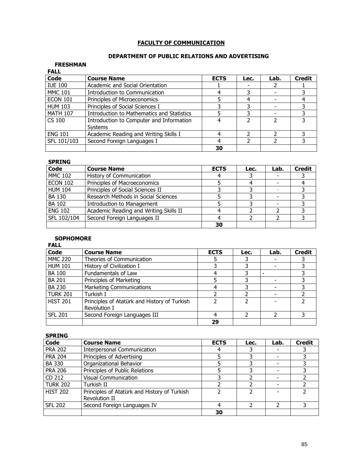### FACULTY OF COMMUNICATION

## DEPARTMENT OF PUBLIC RELATIONS AND ADVERTISING

#### FRESHMAN

| <b>FALL</b>     |                                            |             |      |      |               |
|-----------------|--------------------------------------------|-------------|------|------|---------------|
| Code            | <b>Course Name</b>                         | <b>ECTS</b> | Lec. | Lab. | <b>Credit</b> |
| l IUE 100       | Academic and Social Orientation            |             |      |      |               |
| <b>MMC 101</b>  | Introduction to Communication              |             |      |      |               |
| ECON 101        | Principles of Microeconomics               |             | 4    |      |               |
| l HUM 103       | Principles of Social Sciences I            |             |      |      |               |
| <b>MATH 107</b> | Introduction to Mathematics and Statistics |             | ٦    |      |               |
| $CS$ 100        | Introduction to Computer and Information   |             | 2    |      |               |
|                 | <b>Systems</b>                             |             |      |      |               |
| <b>ENG 101</b>  | Academic Reading and Writing Skills I      |             | っ    |      |               |
| SFL 101/103     | Second Foreign Languages I                 |             |      |      |               |
|                 |                                            | 30          |      |      |               |

### SPRING

| Code           | <b>Course Name</b>                     | <b>ECTS</b> | Lec. | Lab. | <b>Credit</b> |
|----------------|----------------------------------------|-------------|------|------|---------------|
| <b>MMC 102</b> | History of Communication               |             |      |      |               |
| ECON 102       | Principles of Macroeconomics           |             |      |      |               |
| <b>HUM 104</b> | Principles of Social Sciences II       |             |      |      |               |
| <b>BA 130</b>  | Research Methods in Social Sciences    |             |      |      |               |
| <b>BA 102</b>  | Introduction to Management             |             |      |      |               |
| <b>ENG 102</b> | Academic Reading and Writing Skills II |             |      |      |               |
| SFL 102/104    | Second Foreign Languages II            |             |      |      |               |
|                |                                        | 30          |      |      |               |

#### SOPHOMORE

| <b>FALL</b>     |                                                              |             |      |      |               |
|-----------------|--------------------------------------------------------------|-------------|------|------|---------------|
| Code            | <b>Course Name</b>                                           | <b>ECTS</b> | Lec. | Lab. | <b>Credit</b> |
| <b>MMC 220</b>  | Theories of Communication                                    |             |      |      |               |
| <b>HUM 101</b>  | History of Civilization I                                    |             |      |      |               |
| <b>BA 100</b>   | Fundamentals of Law                                          |             |      |      |               |
| <b>BA 201</b>   | Principles of Marketing                                      |             |      |      |               |
| <b>BA 230</b>   | <b>Marketing Communications</b>                              |             |      |      |               |
| <b>TURK 201</b> | Turkish I                                                    |             |      |      |               |
| <b>HIST 201</b> | Principles of Atatürk and History of Turkish<br>Revolution I |             |      |      |               |
| <b>SFL 201</b>  | Second Foreign Languages III                                 |             |      |      |               |
|                 |                                                              | 29          |      |      |               |

### SPRING

| <b>Code</b>     | <b>Course Name</b>                           | <b>ECTS</b> | Lec. | Lab. | <b>Credit</b> |
|-----------------|----------------------------------------------|-------------|------|------|---------------|
| <b>PRA 202</b>  | <b>Interpersonal Communication</b>           |             |      |      |               |
| <b>PRA 204</b>  | Principles of Advertising                    |             | 3    |      |               |
| <b>BA 330</b>   | Organizational Behavior                      |             |      |      |               |
| <b>PRA 206</b>  | Principles of Public Relations               |             |      |      |               |
| CD 212          | <b>Visual Communication</b>                  |             |      |      |               |
| <b>TURK 202</b> | Turkish II                                   |             |      |      |               |
| <b>HIST 202</b> | Principles of Atatürk and History of Turkish |             |      |      |               |
|                 | Revolution II                                |             |      |      |               |
| <b>SFL 202</b>  | Second Foreign Languages IV                  |             |      |      |               |
|                 |                                              | 30          |      |      |               |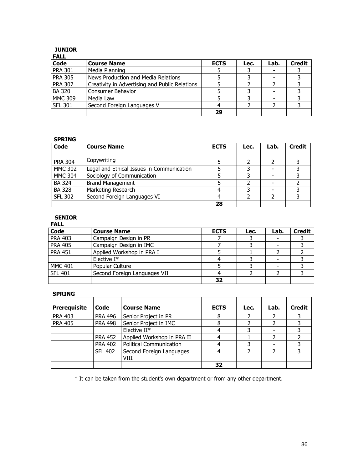| <b>FALL</b>    |                                                |             |      |      |               |
|----------------|------------------------------------------------|-------------|------|------|---------------|
| Code           | <b>Course Name</b>                             | <b>ECTS</b> | Lec. | Lab. | <b>Credit</b> |
| <b>PRA 301</b> | Media Planning                                 |             |      |      |               |
| <b>PRA 305</b> | News Production and Media Relations            |             |      |      |               |
| <b>PRA 307</b> | Creativity in Advertising and Public Relations |             |      |      |               |
| <b>BA 320</b>  | Consumer Behavior                              |             |      |      |               |
| <b>MMC 309</b> | Media Law                                      |             |      |      |               |
| <b>SFL 301</b> | Second Foreign Languages V                     |             |      |      |               |
|                |                                                | 29          |      |      |               |

#### SPRING

| Code           | <b>Course Name</b>                        | <b>ECTS</b> | Lec. | Lab. | <b>Credit</b> |
|----------------|-------------------------------------------|-------------|------|------|---------------|
| <b>PRA 304</b> | Copywriting                               |             |      |      |               |
| <b>MMC 302</b> | Legal and Ethical Issues in Communication |             |      |      |               |
| <b>MMC 304</b> | Sociology of Communication                |             |      |      |               |
| <b>BA 324</b>  | <b>Brand Management</b>                   |             |      |      |               |
| <b>BA 328</b>  | Marketing Research                        |             |      |      |               |
| <b>SFL 302</b> | Second Foreign Languages VI               |             |      |      |               |
|                |                                           | 28          |      |      |               |

#### SENIOR

| FALL           |                              |             |      |      |               |
|----------------|------------------------------|-------------|------|------|---------------|
| Code           | <b>Course Name</b>           | <b>ECTS</b> | Lec. | Lab. | <b>Credit</b> |
| <b>PRA 403</b> | Campaign Design in PR        |             |      |      |               |
| <b>PRA 405</b> | Campaign Design in IMC       |             |      |      |               |
| <b>PRA 451</b> | Applied Workshop in PRA I    |             |      |      |               |
|                | Elective $I^*$               |             |      |      |               |
| <b>MMC 401</b> | Popular Culture              |             |      |      |               |
| <b>SFL 401</b> | Second Foreign Languages VII |             |      |      |               |
|                |                              | 32          |      |      |               |

### SPRING

| <b>Prerequisite</b> | Code           | <b>Course Name</b>               | <b>ECTS</b> | Lec. | Lab. | <b>Credit</b> |
|---------------------|----------------|----------------------------------|-------------|------|------|---------------|
| <b>PRA 403</b>      | <b>PRA 496</b> | Senior Project in PR             | 8           |      |      |               |
| <b>PRA 405</b>      | <b>PRA 498</b> | Senior Project in IMC            | 8           |      |      |               |
|                     |                | Elective $II^*$                  |             |      |      |               |
|                     | <b>PRA 452</b> | Applied Workshop in PRA II       |             |      |      |               |
|                     | <b>PRA 402</b> | <b>Political Communication</b>   |             |      |      |               |
|                     | <b>SFL 402</b> | Second Foreign Languages<br>VIII |             | っ    | フ    |               |
|                     |                |                                  | 32          |      |      |               |

\* It can be taken from the student's own department or from any other department.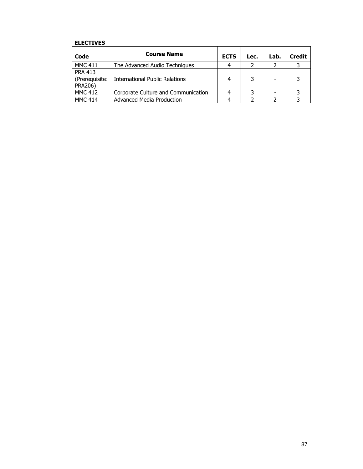### ELECTIVES

| Code                                        | <b>Course Name</b>                  | <b>ECTS</b> | Lec. | Lab. | <b>Credit</b> |
|---------------------------------------------|-------------------------------------|-------------|------|------|---------------|
| <b>MMC 411</b>                              | The Advanced Audio Techniques       |             |      |      |               |
| <b>PRA 413</b><br>(Prerequisite:<br>PRA206) | International Public Relations      | 4           |      |      |               |
| <b>MMC 412</b>                              | Corporate Culture and Communication |             |      |      |               |
| <b>MMC 414</b>                              | Advanced Media Production           |             |      |      |               |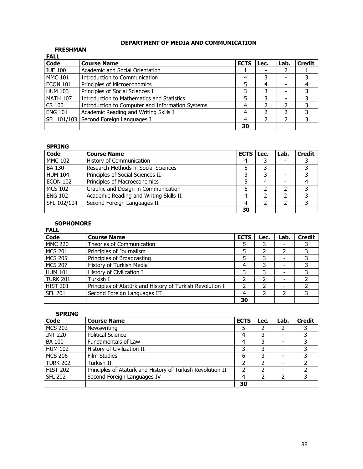### DEPARTMENT OF MEDIA AND COMMUNICATION

#### FRESHMAN

| <b>FALL</b>     |                                                   |             |      |      |               |
|-----------------|---------------------------------------------------|-------------|------|------|---------------|
| Code            | <b>Course Name</b>                                | <b>ECTS</b> | Lec. | Lab. | <b>Credit</b> |
| <b>IUE 100</b>  | Academic and Social Orientation                   |             |      |      |               |
| <b>MMC 101</b>  | Introduction to Communication                     | 4           |      |      |               |
| <b>ECON 101</b> | Principles of Microeconomics                      |             | 4    |      | 4             |
| <b>HUM 103</b>  | Principles of Social Sciences I                   |             |      |      | 3             |
| <b>MATH 107</b> | <b>Introduction to Mathematics and Statistics</b> |             | 3    |      | 3             |
| CS 100          | Introduction to Computer and Information Systems  | 4           |      | 2    | ٦             |
| <b>ENG 101</b>  | Academic Reading and Writing Skills I             | 4           |      |      |               |
| SFL 101/103     | Second Foreign Languages I                        | 4           |      |      |               |
|                 |                                                   | 30          |      |      |               |

### SPRING

| Code            | <b>Course Name</b>                     | <b>ECTS</b> | Lec. | Lab. | <b>Credit</b> |
|-----------------|----------------------------------------|-------------|------|------|---------------|
| <b>MMC 102</b>  | <b>History of Communication</b>        |             |      |      |               |
| <b>BA 130</b>   | Research Methods in Social Sciences    |             |      |      | っ             |
| <b>HUM 104</b>  | Principles of Social Sciences II       |             |      |      | っ             |
| <b>ECON 102</b> | Principles of Macroeconomics           |             |      |      |               |
| <b>MCS 102</b>  | Graphic and Design in Communication    |             |      |      |               |
| <b>ENG 102</b>  | Academic Reading and Writing Skills II |             |      |      |               |
| SFL 102/104     | Second Foreign Languages II            |             |      |      |               |
|                 |                                        | 30          |      |      |               |

#### SOPHOMORE

| <b>FALL</b>     |                                                           |             |      |      |               |
|-----------------|-----------------------------------------------------------|-------------|------|------|---------------|
| Code            | <b>Course Name</b>                                        | <b>ECTS</b> | Lec. | Lab. | <b>Credit</b> |
| <b>MMC 220</b>  | Theories of Communication                                 |             |      |      |               |
| <b>MCS 201</b>  | Principles of Journalism                                  |             |      | ว    |               |
| <b>MCS 205</b>  | Principles of Broadcasting                                | 5           |      |      |               |
| <b>MCS 207</b>  | History of Turkish Media                                  | 4           | 3    |      |               |
| <b>HUM 101</b>  | History of Civilization I                                 | 3           | 3    |      |               |
| <b>TURK 201</b> | Turkish I                                                 |             |      |      |               |
| <b>HIST 201</b> | Principles of Atatürk and History of Turkish Revolution I |             |      |      |               |
| <b>SFL 201</b>  | Second Foreign Languages III                              | 4           |      | า    |               |
|                 |                                                           | 30          |      |      |               |

| <b>SPRING</b>   |                                                            |             |      |      |               |
|-----------------|------------------------------------------------------------|-------------|------|------|---------------|
| Code            | <b>Course Name</b>                                         | <b>ECTS</b> | Lec. | Lab. | <b>Credit</b> |
| <b>MCS 202</b>  | Newswriting                                                | 5           |      |      |               |
| <b>INT 220</b>  | <b>Political Science</b>                                   | 4           |      |      |               |
| <b>BA 100</b>   | Fundamentals of Law                                        | 4           | 3    |      | 3             |
| <b>HUM 102</b>  | History of Civilization II                                 | 3           | ٦    |      |               |
| <b>MCS 206</b>  | <b>Film Studies</b>                                        | 6           | 3    |      |               |
| <b>TURK 202</b> | Turkish II                                                 |             |      |      |               |
| <b>HIST 202</b> | Principles of Atatürk and History of Turkish Revolution II | ว           | 2    |      |               |
| <b>SFL 202</b>  | Second Foreign Languages IV                                | 4           | 2    | 2    |               |
|                 |                                                            | 30          |      |      |               |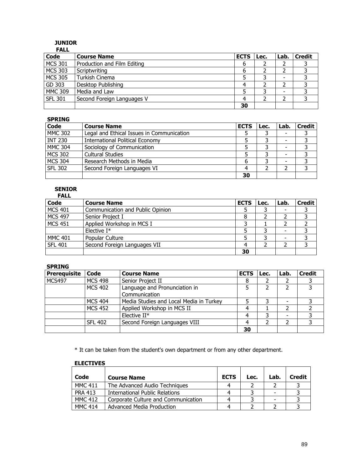| <b>FALL</b>    |                             |             |      |                 |               |
|----------------|-----------------------------|-------------|------|-----------------|---------------|
| <b>Code</b>    | <b>Course Name</b>          | <b>ECTS</b> | Lec. | Lab.            | <b>Credit</b> |
| <b>MCS 301</b> | Production and Film Editing | 6           |      |                 |               |
| <b>MCS 303</b> | Scriptwriting               | 6           |      |                 |               |
| <b>MCS 305</b> | Turkish Cinema              |             |      | $\qquad \qquad$ |               |
| GD 303         | Desktop Publishing          | 4           |      |                 |               |
| <b>MMC 309</b> | Media and Law               |             |      | $\qquad \qquad$ |               |
| <b>SFL 301</b> | Second Foreign Languages V  |             |      |                 |               |
|                |                             | 30          |      |                 |               |

### SPRING

| Code           | <b>Course Name</b>                        | <b>ECTS</b> | Lec. | Lab.                     | <b>Credit</b> |
|----------------|-------------------------------------------|-------------|------|--------------------------|---------------|
| <b>MMC 302</b> | Legal and Ethical Issues in Communication |             |      |                          |               |
| <b>INT 230</b> | <b>International Political Economy</b>    |             |      |                          |               |
| <b>MMC 304</b> | Sociology of Communication                |             |      | -                        |               |
| <b>MCS 302</b> | <b>Cultural Studies</b>                   |             |      |                          |               |
| <b>MCS 304</b> | Research Methods in Media                 | 6           |      | $\overline{\phantom{0}}$ |               |
| <b>SFL 302</b> | Second Foreign Languages VI               |             |      |                          |               |
|                |                                           | 30          |      |                          |               |

## SENIOR

| <b>FALL</b>    |                                  |             |      |      |               |
|----------------|----------------------------------|-------------|------|------|---------------|
| Code           | <b>Course Name</b>               | <b>ECTS</b> | Lec. | Lab. | <b>Credit</b> |
| <b>MCS 401</b> | Communication and Public Opinion |             |      |      |               |
| <b>MCS 497</b> | Senior Project I                 |             |      |      |               |
| <b>MCS 451</b> | Applied Workshop in MCS I        |             |      |      |               |
|                | Elective $I^*$                   |             |      |      |               |
| <b>MMC 401</b> | Popular Culture                  |             |      |      |               |
| <b>SFL 401</b> | Second Foreign Languages VII     |             |      |      |               |
|                |                                  | 30          |      |      |               |

#### SPRING

| <b>Prerequisite</b> | Code           | <b>Course Name</b>                      | <b>ECTS</b> | Lec. | Lab. | <b>Credit</b> |
|---------------------|----------------|-----------------------------------------|-------------|------|------|---------------|
| <b>MCS497</b>       | <b>MCS 498</b> | Senior Project II                       | 8           |      |      |               |
|                     | <b>MCS 402</b> | Language and Pronunciation in           |             |      |      |               |
|                     |                | Communication                           |             |      |      |               |
|                     | <b>MCS 404</b> | Media Studies and Local Media in Turkey |             |      |      |               |
|                     | <b>MCS 452</b> | Applied Workshop in MCS II              |             |      |      |               |
|                     |                | Elective $II^*$                         |             | 2    |      |               |
|                     | <b>SFL 402</b> | Second Foreign Languages VIII           |             |      |      |               |
|                     |                |                                         | 30          |      |      |               |

\* It can be taken from the student's own department or from any other department.

| ELECTIVES      |                                       |             |      |      |               |
|----------------|---------------------------------------|-------------|------|------|---------------|
| Code           | <b>Course Name</b>                    | <b>ECTS</b> | Lec. | Lab. | <b>Credit</b> |
| <b>MMC 411</b> | The Advanced Audio Techniques         |             |      |      |               |
| <b>PRA 413</b> | <b>International Public Relations</b> |             |      |      |               |
| <b>MMC 412</b> | Corporate Culture and Communication   |             |      | -    |               |
| <b>MMC 414</b> | Advanced Media Production             |             |      |      |               |

# ELECTIVES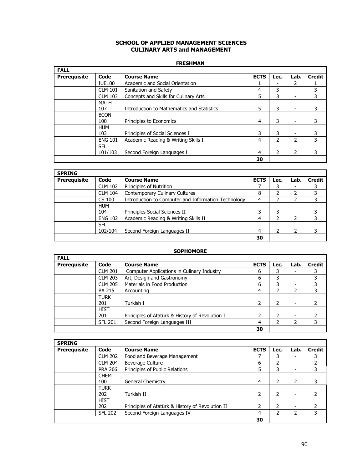#### SCHOOL OF APPLIED MANAGEMENT SCIENCES CULINARY ARTS and MANAGEMENT

#### FRESHMAN

| <b>FALL</b>         |                |                                            |             |      |               |               |
|---------------------|----------------|--------------------------------------------|-------------|------|---------------|---------------|
| <b>Prerequisite</b> | Code           | <b>Course Name</b>                         | <b>ECTS</b> | Lec. | Lab.          | <b>Credit</b> |
|                     | <b>IUE100</b>  | Academic and Social Orientation            |             |      |               |               |
|                     | <b>CLM 101</b> | Sanitation and Safety                      | 4           | 3    |               | 3             |
|                     | <b>CLM 103</b> | Concepts and Skills for Culinary Arts      | 5           | 3    |               | 3             |
|                     | <b>MATH</b>    |                                            |             |      |               |               |
|                     | 107            | Introduction to Mathematics and Statistics | 5           | 3    |               | 3             |
|                     | <b>ECON</b>    |                                            |             |      |               |               |
|                     | 100            | Principles to Economics                    | 4           | 3    |               | 3             |
|                     | <b>HUM</b>     |                                            |             |      |               |               |
|                     | 103            | Principles of Social Sciences I            | 3           | 3    |               | 3             |
|                     | <b>ENG 101</b> | Academic Reading & Writing Skills I        | 4           |      | 2             | 3             |
|                     | <b>SFL</b>     |                                            |             |      |               |               |
|                     | 101/103        | Second Foreign Languages I                 | 4           |      | $\mathcal{P}$ |               |
|                     |                |                                            | 30          |      |               |               |

| <b>SPRING</b>       |                |                                                     |             |      |      |               |
|---------------------|----------------|-----------------------------------------------------|-------------|------|------|---------------|
| <b>Prerequisite</b> | Code           | <b>Course Name</b>                                  | <b>ECTS</b> | Lec. | Lab. | <b>Credit</b> |
|                     | <b>CLM 102</b> | Principles of Nutrition                             |             |      |      |               |
|                     | <b>CLM 104</b> | Contemporary Culinary Cultures                      | 8           |      |      | 3             |
|                     | CS 100         | Introduction to Computer and Information Technology | 4           |      |      |               |
|                     | <b>HUM</b>     |                                                     |             |      |      |               |
|                     | 104            | Principles Social Sciences II                       | 3           |      |      |               |
|                     | <b>ENG 102</b> | Academic Reading & Writing Skills II                | 4           |      |      | 3             |
|                     | <b>SFL</b>     |                                                     |             |      |      |               |
|                     | 102/104        | Second Foreign Languages II                         | 4           |      |      |               |
|                     |                |                                                     | 30          |      |      |               |

### **SOPHOMORE SOPHOMORE**

| <b>FALL</b>  |                |                                                 |               |      |                          |               |
|--------------|----------------|-------------------------------------------------|---------------|------|--------------------------|---------------|
| Prerequisite | Code           | <b>Course Name</b>                              | <b>ECTS</b>   | Lec. | Lab.                     | <b>Credit</b> |
|              | <b>CLM 201</b> | Computer Applications in Culinary Industry      | 6             |      |                          |               |
|              | <b>CLM 203</b> | Art, Design and Gastronomy                      | 6             | 3    |                          |               |
|              | <b>CLM 205</b> | Materials in Food Production                    | 6             | 3    |                          |               |
|              | <b>BA 215</b>  | Accounting                                      | 4             |      | ว                        | 3             |
|              | TURK           |                                                 |               |      |                          |               |
|              | 201            | Turkish I                                       | $\mathcal{P}$ | າ    | $\overline{\phantom{0}}$ |               |
|              | <b>HIST</b>    |                                                 |               |      |                          |               |
|              | 201            | Principles of Atatürk & History of Revolution I |               | 2    |                          |               |
|              | <b>SFL 201</b> | Second Foreign Languages III                    | 4             |      |                          |               |
|              |                |                                                 | 30            |      |                          |               |

| <b>SPRING</b>       |                |                                                  |               |               |      |               |
|---------------------|----------------|--------------------------------------------------|---------------|---------------|------|---------------|
| <b>Prerequisite</b> | Code           | <b>Course Name</b>                               | <b>ECTS</b>   | Lec.          | Lab. | <b>Credit</b> |
|                     | <b>CLM 202</b> | Food and Beverage Management                     |               | 3             |      | 3             |
|                     | <b>CLM 204</b> | Beverage Culture                                 | 6             | $\mathcal{P}$ |      | 2             |
|                     | <b>PRA 206</b> | Principles of Public Relations                   | 5             | 3             |      | 3             |
|                     | <b>CHEM</b>    |                                                  |               |               |      |               |
|                     | 100            | General Chemistry                                | 4             | 2             | 2    | 3             |
|                     | <b>TURK</b>    |                                                  |               |               |      |               |
|                     | 202            | Turkish II                                       | 2             | $\mathcal{P}$ |      | 2             |
|                     | <b>HIST</b>    |                                                  |               |               |      |               |
|                     | 202            | Principles of Atatürk & History of Revolution II | $\mathcal{P}$ | $\mathcal{P}$ |      |               |
|                     | <b>SFL 202</b> | Second Foreign Languages IV                      | 4             | ำ             | 2    | ٦             |
|                     |                |                                                  | 30            |               |      |               |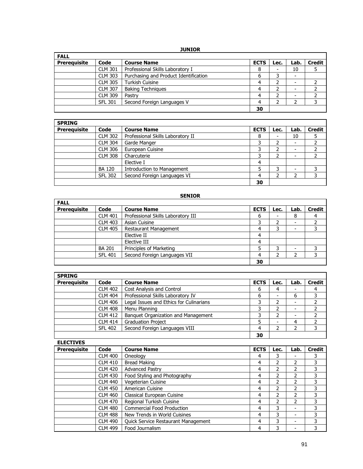| <b>FALL</b>         |                |                                       |             |      |      |               |
|---------------------|----------------|---------------------------------------|-------------|------|------|---------------|
| <b>Prerequisite</b> | Code           | <b>Course Name</b>                    | <b>ECTS</b> | Lec. | Lab. | <b>Credit</b> |
|                     | <b>CLM 301</b> | Professional Skills Laboratory I      |             |      | 10   |               |
|                     | <b>CLM 303</b> | Purchasing and Product Identification | 6           |      | ۰    |               |
|                     | <b>CLM 305</b> | <b>Turkish Cuisine</b>                |             |      |      |               |
|                     | <b>CLM 307</b> | <b>Baking Techniques</b>              |             |      |      |               |
|                     | <b>CLM 309</b> | Pastry                                | 4           |      |      |               |
|                     | <b>SFL 301</b> | Second Foreign Languages V            |             |      |      |               |
|                     |                |                                       | 30          |      |      |               |

| <b>SPRING</b>       |                |                                   |             |      |      |               |
|---------------------|----------------|-----------------------------------|-------------|------|------|---------------|
| <b>Prerequisite</b> | Code           | <b>Course Name</b>                | <b>ECTS</b> | Lec. | Lab. | <b>Credit</b> |
|                     | <b>CLM 302</b> | Professional Skills Laboratory II | 8           |      | 10   |               |
|                     | <b>CLM 304</b> | Garde Manger                      |             |      | -    |               |
|                     | <b>CLM 306</b> | European Cuisine                  |             |      |      |               |
|                     | <b>CLM 308</b> | Charcuterie                       |             |      | -    |               |
|                     |                | Elective I                        | 4           |      |      |               |
|                     | <b>BA 120</b>  | Introduction to Management        |             |      |      |               |
|                     | <b>SFL 302</b> | Second Foreign Languages VI       | 4           |      |      |               |
|                     |                |                                   | 30          |      |      |               |

### SENIOR

| <b>FALL</b>         |                |                                    |             |      |      |               |
|---------------------|----------------|------------------------------------|-------------|------|------|---------------|
| <b>Prerequisite</b> | Code           | <b>Course Name</b>                 | <b>ECTS</b> | Lec. | Lab. | <b>Credit</b> |
|                     | <b>CLM 401</b> | Professional Skills Laboratory III | 6           |      | 8    |               |
|                     | <b>CLM 403</b> | Asian Cuisine                      | 3           | ว    |      |               |
|                     | <b>CLM 405</b> | <b>Restaurant Management</b>       | 4           | 2    |      | 3             |
|                     |                | Elective II                        | 4           |      |      |               |
|                     |                | Elective III                       | 4           |      |      |               |
|                     | <b>BA 201</b>  | Principles of Marketing            |             | ∍    |      |               |
|                     | <b>SFL 401</b> | Second Foreign Languages VII       |             |      |      |               |
|                     |                |                                    | 30          |      |      |               |

| <b>SPRING</b>       |                |                                         |             |      |      |               |
|---------------------|----------------|-----------------------------------------|-------------|------|------|---------------|
| <b>Prerequisite</b> | Code           | <b>Course Name</b>                      | <b>ECTS</b> | Lec. | Lab. | <b>Credit</b> |
|                     | <b>CLM 402</b> | Cost Analysis and Control               | 6           | 4    |      | 4             |
|                     | <b>CLM 404</b> | Professional Skills Laboratory IV       | 6           |      | 6    |               |
|                     | <b>CLM 406</b> | Legal Issues and Ethics for Culinarians |             |      |      |               |
|                     | <b>CLM 408</b> | Menu Planning                           |             | ำ    |      |               |
|                     | <b>CLM 412</b> | Banguet Organization and Management     |             | C    |      |               |
|                     | <b>CLM 414</b> | <b>Graduation Project</b>               |             |      | 4    |               |
|                     | <b>SFL 402</b> | Second Foreign Languages VIII           |             |      |      |               |
|                     |                |                                         | 30          |      |      |               |

| <b>ELECTIVES</b>    |                |                                            |             |               |                          |               |
|---------------------|----------------|--------------------------------------------|-------------|---------------|--------------------------|---------------|
| <b>Prerequisite</b> | Code           | <b>Course Name</b>                         | <b>ECTS</b> | Lec.          | Lab.                     | <b>Credit</b> |
|                     | <b>CLM 400</b> | Oneology                                   | 4           | 3             |                          | 3             |
|                     | <b>CLM 410</b> | <b>Bread Making</b>                        | 4           | ว             | 2                        | 3             |
|                     | <b>CLM 420</b> | <b>Advanced Pastry</b>                     | 4           | $\mathcal{P}$ | 2                        | 3             |
|                     | <b>CLM 430</b> | Food Styling and Photography               | 4           | 2             | 2                        | 3             |
|                     | <b>CLM 440</b> | Vegeterian Cuisine                         | 4           | 2             | 2                        | 3             |
|                     | <b>CLM 450</b> | American Cuisine                           | 4           | っ             |                          | 3             |
|                     | <b>CLM 460</b> | Classical European Cuisine                 | 4           | 2             | ን                        | 3             |
|                     | <b>CLM 470</b> | Regional Turkish Cuisine                   | 4           | 2             | 2                        | 3             |
|                     | <b>CLM 480</b> | <b>Commercial Food Production</b>          | 4           | 3             | $\overline{\phantom{0}}$ | 3             |
|                     | <b>CLM 488</b> | New Trends in World Cuisines               | 4           | 3             |                          | 3             |
|                     | <b>CLM 490</b> | <b>Quick Service Restaurant Management</b> | 4           | ٦             |                          | 3             |
|                     | <b>CLM 499</b> | Food Journalism                            | 4           | 3             |                          | 3             |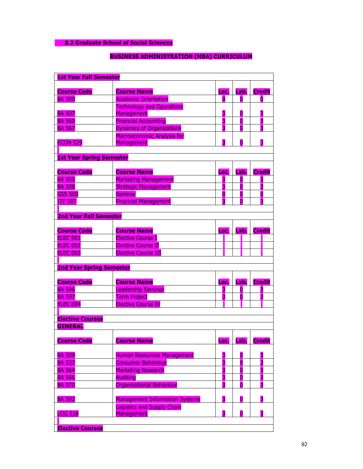## BUSINESS ADMINISTRATION (MBA) CURRICULUM

| <b>1st Year Fall Semester</b>   |                                        |        |                         |                         |
|---------------------------------|----------------------------------------|--------|-------------------------|-------------------------|
|                                 |                                        |        |                         |                         |
| <b>Course Code</b>              | <b>Course Name</b>                     | Lec.   | Lab.                    | <b>Credit</b>           |
| <b>BA 500</b>                   | <b>Academic Orientation</b>            | n      | n                       | 0                       |
|                                 | <b>Technology and Operations</b>       |        |                         |                         |
| <b>BA 507</b>                   | Management                             | 3      | 0                       | 3                       |
| <b>BA 560</b>                   | <b>Financial Accounting</b>            | 3      | $\overline{\mathbf{0}}$ | 3                       |
| <b>BA 567</b>                   | <b>Dynamics of Organizations</b>       | R      | n                       | 3                       |
|                                 | <b>Macroeconomic Analysis for</b>      |        |                         |                         |
| <b>ECON 529</b>                 | Management                             | 3      | $\overline{0}$          | 3                       |
|                                 |                                        |        |                         |                         |
| <b>1st Year Spring Semester</b> |                                        |        |                         |                         |
| <b>Course Code</b>              | <b>Course Name</b>                     | Lec.   | Lab.                    | <b>Credit</b>           |
| <b>BA 505</b>                   |                                        |        | 0                       | 3                       |
| <b>BA 508</b>                   | <b>Marketing Management</b>            | 3<br>3 |                         | 3                       |
| <b>GSS 500</b>                  | <b>Strategic Management</b><br>Seminar | 0      | 0<br>0                  | 0                       |
| <b>ITF 507</b>                  |                                        | 3      | $\overline{0}$          | $\overline{\mathbf{3}}$ |
|                                 | <b>Financial Management</b>            |        |                         |                         |
| <b>2nd Year Fall Semester</b>   |                                        |        |                         |                         |
|                                 |                                        |        |                         |                         |
| <b>Course Code</b>              | <b>Course Name</b>                     | Lec.   | Lab.                    | <b>Credit</b>           |
| <b>ELEC 001</b>                 | <b>Elective Course I</b>               |        |                         |                         |
| <b>ELEC 002</b>                 | <b>Elective Course II</b>              |        |                         |                         |
| <b>ELEC 003</b>                 | <b>Elective Course III</b>             |        |                         |                         |
|                                 |                                        |        |                         |                         |
| <b>2nd Year Spring Semester</b> |                                        |        |                         |                         |
|                                 |                                        |        |                         |                         |
| <b>Course Code</b>              | <b>Course Name</b>                     | Lec.   | Lab.                    | <b>Credit</b>           |
| <b>BA 596</b>                   | <b>Leadership Seminar</b>              | 3      | 0                       | 3                       |
| <b>BA 597</b>                   | <b>Term Project</b>                    | 3      | 0                       | 3                       |
| <b>ELEC 004</b>                 | <b>Elective Course IV</b>              |        |                         |                         |
|                                 |                                        |        |                         |                         |
| <b>Elective Courses</b>         |                                        |        |                         |                         |
| <b>GENERAL</b>                  |                                        |        |                         |                         |
|                                 |                                        |        |                         |                         |
| <b>Course Code</b>              | <b>Course Name</b>                     | Lec.   | Lab.                    | <b>Credit</b>           |
|                                 |                                        |        |                         |                         |
| <b>BA 509</b>                   | Human Resources Management             | 3      | $\overline{\mathbf{0}}$ | 3                       |
| <b>BA 537</b>                   | <b>Consumer Behaviour</b>              | 3      | $\overline{0}$          | 3                       |
| <b>BA 564</b>                   | <b>Marketing Research</b>              | 3      | $\overline{\mathbf{0}}$ | 3                       |
| <b>BA 566</b>                   | <b>Auditing</b>                        | 3      | $\overline{\mathbf{0}}$ | 3                       |
| <b>BA 570</b>                   | <b>Organizational Behaviour</b>        | 3      | $\overline{0}$          | 3                       |
|                                 |                                        |        |                         |                         |
| <b>BA 592</b>                   | <b>Management Information Systems</b>  | 3      | $\overline{0}$          | 3                       |
|                                 | <b>Logistics and Supply Chain</b>      |        |                         |                         |
| <b>LOG 518</b>                  | Management                             | 3      | $\overline{\mathbf{0}}$ | 3                       |
|                                 |                                        |        |                         |                         |
| <b>Elective Courses</b>         |                                        |        |                         |                         |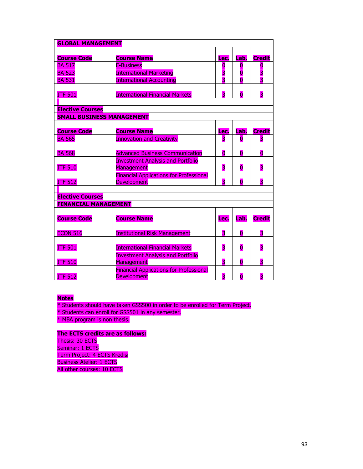| <b>GLOBAL MANAGEMENT</b>         |                                                |                         |                                           |               |
|----------------------------------|------------------------------------------------|-------------------------|-------------------------------------------|---------------|
|                                  |                                                |                         |                                           |               |
| <b>Course Code</b>               | <b>Course Name</b>                             | Lec.                    | Lab.                                      | <b>Credit</b> |
| <b>BA 517</b>                    | <b>E-Business</b>                              | 0                       | 0                                         | 0             |
| <b>BA 523</b>                    | <b>International Marketing</b>                 | 3<br>3                  | $\overline{\mathbf{0}}$<br>$\overline{0}$ | 3<br>3        |
| <b>BA 531</b>                    | <b>International Accounting</b>                |                         |                                           |               |
| <b>ITF 501</b>                   | <b>International Financial Markets</b>         | 3                       | $\overline{\mathbf{0}}$                   |               |
|                                  |                                                |                         |                                           |               |
| <b>Elective Courses</b>          |                                                |                         |                                           |               |
| <b>SMALL BUSINESS MANAGEMENT</b> |                                                |                         |                                           |               |
|                                  |                                                |                         |                                           |               |
| <b>Course Code</b>               | <b>Course Name</b>                             | Lec.                    | Lab.                                      | <b>Credit</b> |
| <b>BA 565</b>                    | <b>Innovation and Creativity</b>               | 3                       | n                                         | 3             |
|                                  |                                                |                         |                                           |               |
| <b>BA 568</b>                    | <b>Advanced Business Communication</b>         | $\overline{0}$          | $\overline{0}$                            | 0             |
|                                  | <b>Investment Analysis and Portfolio</b>       |                         |                                           |               |
| <b>ITF 510</b>                   | Management                                     | 3                       | $\overline{0}$                            | 3             |
|                                  | <b>Financial Applications for Professional</b> |                         |                                           |               |
| <b>ITF 512</b>                   | <b>Development</b>                             | 3                       | $\overline{\mathbf{0}}$                   | ٦             |
|                                  |                                                |                         |                                           |               |
| <b>Elective Courses</b>          |                                                |                         |                                           |               |
| <b>FINANCIAL MANAGEMENT</b>      |                                                |                         |                                           |               |
| <b>Course Code</b>               | <b>Course Name</b>                             | Lec.                    | Lab.                                      | <b>Credit</b> |
|                                  |                                                |                         |                                           |               |
| <b>ECON 516</b>                  | <b>Institutional Risk Management</b>           | 3                       | 0                                         | 3             |
|                                  |                                                |                         |                                           |               |
| <b>ITF 501</b>                   | <b>International Financial Markets</b>         | 3                       | $\overline{0}$                            | 3             |
|                                  | <b>Investment Analysis and Portfolio</b>       |                         |                                           |               |
| <b>ITF 510</b>                   | Management                                     | $\overline{\mathbf{3}}$ | 0                                         | ٦             |
|                                  | <b>Financial Applications for Professional</b> |                         |                                           |               |
| <b>ITF 512</b>                   | <b>Development</b>                             | $\overline{\mathbf{3}}$ | $\overline{0}$                            | 3             |

#### Notes

\* Students should have taken GSS500 in order to be enrolled for Term Project.

\* Students can enroll for GSS501 in any semester.

\* MBA program is non thesis.

### The ECTS credits are as follows:

Thesis: 30 ECTS Seminar: 1 ECTS Term Project: 4 ECTS Kredisi Business Atelier: 1 ECTS All other courses: 10 ECTS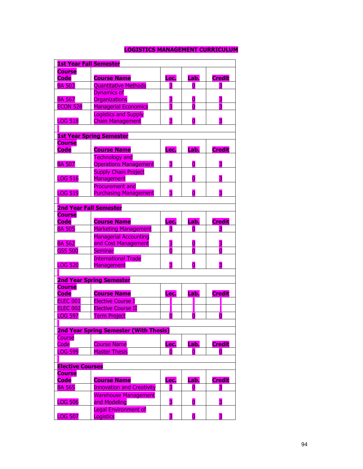|                         | <b>1st Year Fall Semester</b>                 |      |                |               |
|-------------------------|-----------------------------------------------|------|----------------|---------------|
| <b>Course</b>           |                                               |      |                |               |
| <b>Code</b>             | <b>Course Name</b>                            | Lec. | Lab.           | <b>Credit</b> |
| <b>BA 503</b>           | <b>Quantitative Methods</b>                   | 3    | n              | 3             |
|                         | <b>Dynamics of</b>                            |      |                |               |
| <b>BA 567</b>           | <b>Organizations</b>                          | 3    | 0              | 3             |
| <b>ECON 528</b>         | <b>Managerial Economics</b>                   | 3    | 0              | 3             |
|                         | <b>Logistics and Supply</b>                   |      |                |               |
| <b>LOG 518</b>          | <b>Chain Management</b>                       | 3    | Ō              | 3             |
|                         |                                               |      |                |               |
|                         | <b>1st Year Spring Semester</b>               |      |                |               |
| <b>Course</b>           |                                               |      |                |               |
| <b>Code</b>             | <b>Course Name</b>                            | Lec. | Lab.           | <b>Credit</b> |
|                         | <b>Technology and</b>                         |      |                |               |
| <b>BA 507</b>           | <b>Operations Management</b>                  | 3    | 0              |               |
|                         | <b>Supply Chain Project</b>                   |      |                |               |
| <b>LOG 516</b>          | Management                                    | 3    | 0              | 3             |
|                         | <b>Procurement and</b>                        |      |                |               |
| <b>LOG 519</b>          | <b>Purchasing Management</b>                  | 3    | n              | R             |
|                         |                                               |      |                |               |
|                         | <b>2nd Year Fall Semester</b>                 |      |                |               |
| <b>Course</b>           |                                               |      |                | <b>Credit</b> |
| <b>Code</b>             | <b>Course Name</b>                            | Lec. | Lab.           |               |
| <b>BA 505</b>           | Marketing Management                          | 3    | 0              | 3             |
|                         | <b>Managerial Accounting</b>                  |      |                |               |
| <b>BA 562</b>           | and Cost Management                           | 3    | 0              | 3             |
| <b>GSS 500</b>          | <b>Seminar</b>                                | 0    | Ō              | Ō             |
|                         | <b>International Trade</b>                    | ٦    | Ō              |               |
| <b>LOG 520</b>          | Management                                    |      |                |               |
|                         |                                               |      |                |               |
| <b>Course</b>           | <b>2nd Year Spring Semester</b>               |      |                |               |
| <b>Code</b>             | <b>Course Name</b>                            | Lec. | Lab.           | <b>Credit</b> |
| <b>ELEC 001</b>         | <b>Elective Course I</b>                      |      |                |               |
| <b>ELEC 002</b>         | <b>Elective Course II</b>                     |      |                |               |
| <b>LOG 597</b>          | <b>Term Project</b>                           | 0    | 0              | 0             |
|                         |                                               |      |                |               |
|                         | <b>2nd Year Spring Semester (With Thesis)</b> |      |                |               |
| Course                  |                                               |      |                |               |
| Code                    | <b>Course Name</b>                            | Lec. | Lab.           | <b>Credit</b> |
| <b>LOG 599</b>          | <b>Master Thesis</b>                          | 0    | 0              | 0             |
|                         |                                               |      |                |               |
| <b>Elective Courses</b> |                                               |      |                |               |
| <b>Course</b>           |                                               |      |                |               |
| <b>Code</b>             | <b>Course Name</b>                            | Lec. | Lab.           | <b>Credit</b> |
| <b>BA 565</b>           | <b>Innovation and Creativity</b>              | 3    | 0              | 3             |
|                         | <b>Warehouse Management</b>                   |      |                |               |
| <b>LOG 506</b>          | and Modeling                                  | 3    | O              | 3             |
|                         | <b>Legal Environment of</b>                   |      |                |               |
| <b>LOG 507</b>          | Logistics                                     | 3    | $\overline{0}$ | 3             |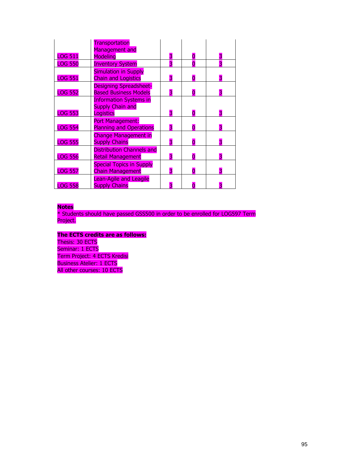|                | <b>Transportation</b><br>Management and                               |   |   |  |
|----------------|-----------------------------------------------------------------------|---|---|--|
| <b>LOG 511</b> | <b>Modeling</b>                                                       | 3 | 0 |  |
| <b>LOG 550</b> | <b>Inventory System</b>                                               | ٦ | n |  |
| <b>LOG 551</b> | <b>Simulation in Supply</b><br><b>Chain and Logistics</b>             | 3 | n |  |
| <b>LOG 552</b> | <b>Designing Spreadsheet-</b><br><b>Based Business Models</b>         | 3 |   |  |
| <b>LOG 553</b> | <b>Information Systems in</b><br><b>Supply Chain and</b><br>Logistics | R | n |  |
| <b>LOG 554</b> | <b>Port Management:</b><br><b>Planning and Operations</b>             | R | n |  |
| <b>LOG 555</b> | <b>Change Management in</b><br><b>Supply Chains</b>                   | 3 |   |  |
| <b>LOG 556</b> | <b>Distribution Channels and</b><br><b>Retail Management</b>          |   | n |  |
| <b>LOG 557</b> | <b>Special Topics in Supply</b><br><b>Chain Management</b>            | R |   |  |
| <b>LOG 558</b> | <b>Lean-Agile and Leagile</b><br><b>Supply Chains</b>                 |   |   |  |

#### **Notes**

\* Students should have passed GSS500 in order to be enrolled for LOG597 Term Project.

#### The ECTS credits are as follows:

Thesis: 30 ECTS Seminar: 1 ECTS Term Project: 4 ECTS Kredisi Business Atelier: 1 ECTS All other courses: 10 ECTS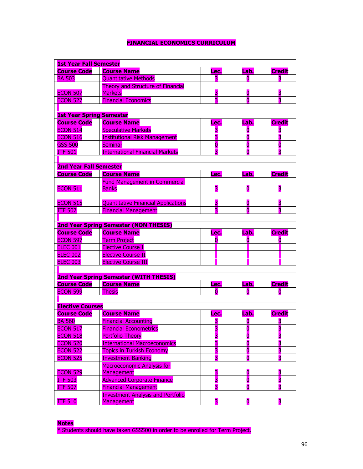### FINANCIAL ECONOMICS CURRICULUM

| <b>1st Year Fall Semester</b>   |                                               |                         |                         |                         |
|---------------------------------|-----------------------------------------------|-------------------------|-------------------------|-------------------------|
| <b>Course Code</b>              | <b>Course Name</b>                            | Lec.                    | Lab.                    | <b>Credit</b>           |
| <b>BA 503</b>                   | <b>Quantitative Methods</b>                   | 3                       | $\overline{0}$          | 3                       |
|                                 | <b>Theory and Structure of Financial</b>      |                         |                         |                         |
| <b>ECON 507</b>                 | <b>Markets</b>                                | 3                       | $\overline{\mathbf{0}}$ | 3                       |
| <b>ECON 527</b>                 | <b>Financial Economics</b>                    | 3                       | n                       | 3                       |
|                                 |                                               |                         |                         |                         |
| <b>1st Year Spring Semester</b> |                                               |                         |                         |                         |
| <b>Course Code</b>              | <b>Course Name</b>                            | Lec.                    | Lab.                    | <b>Credit</b>           |
| <b>ECON 514</b>                 | <b>Speculative Markets</b>                    | 3                       | 0                       | 3                       |
| <b>ECON 516</b>                 | <b>Institutional Risk Management</b>          | 3                       | 0                       | 3                       |
| <b>GSS 500</b>                  | <b>Seminar</b>                                | $\overline{\mathbf{0}}$ | $\overline{\mathbf{0}}$ | $\overline{0}$          |
| <b>ITF 501</b>                  | <b>International Financial Markets</b>        | 3                       | $\overline{0}$          | $\overline{\mathbf{3}}$ |
|                                 |                                               |                         |                         |                         |
| <b>2nd Year Fall Semester</b>   |                                               |                         |                         |                         |
| <b>Course Code</b>              | <b>Course Name</b>                            | Lec.                    | Lab.                    | <b>Credit</b>           |
|                                 | <b>Fund Management in Commercial</b>          |                         |                         |                         |
| <b>ECON 511</b>                 | <b>Banks</b>                                  | 3                       | $\overline{\mathbf{0}}$ | 3                       |
|                                 |                                               |                         |                         |                         |
| <b>ECON 515</b>                 | <b>Quantitative Financial Applications</b>    | 3                       | $\overline{\mathbf{0}}$ | 3                       |
| <b>ITF 507</b>                  | <b>Financial Management</b>                   | R                       | n                       | 3                       |
|                                 |                                               |                         |                         |                         |
|                                 | <b>2nd Year Spring Semester (NON THESIS)</b>  |                         |                         |                         |
| <b>Course Code</b>              | <b>Course Name</b>                            | Lec.                    | Lab.                    | <b>Credit</b>           |
| <b>ECON 597</b>                 | <b>Term Project</b>                           | n                       | n                       |                         |
| <b>ELEC 001</b>                 | <b>Elective Course I</b>                      |                         |                         |                         |
| <b>ELEC 002</b>                 | <b>Elective Course II</b>                     |                         |                         |                         |
| <b>ELEC 003</b>                 | <b>Elective Course III</b>                    |                         |                         |                         |
|                                 |                                               |                         |                         |                         |
|                                 | <b>2nd Year Spring Semester (WITH THESIS)</b> |                         |                         |                         |
| <b>Course Code</b>              | <b>Course Name</b>                            | Lec.                    | Lab.                    | <b>Credit</b>           |
| <b>ECON 599</b>                 | <b>Thesis</b>                                 | $\overline{0}$          | $\overline{0}$          | $\overline{0}$          |
|                                 |                                               |                         |                         |                         |
| <b>Elective Courses</b>         |                                               |                         |                         |                         |
| <b>Course Code</b>              | <b>Course Name</b>                            | Lec.                    | Lab.                    | <b>Credit</b>           |
| <b>BA 560</b>                   | <b>Financial Accounting</b>                   | 3                       | 0                       | 3                       |
| <b>ECON 517</b>                 | <b>Financial Econometrics</b>                 | 3                       | $\overline{\mathbf{0}}$ | 3                       |
| <b>ECON 518</b>                 | <b>Portfolio Theory</b>                       | 3                       | $\overline{0}$          | $\overline{3}$          |
| <b>ECON 520</b>                 | <b>International Macroeconomics</b>           | 3                       | $\overline{\mathbf{0}}$ | 3                       |
| <b>ECON 522</b>                 | <b>Topics in Turkish Economy</b>              | 3                       | $\overline{\mathbf{0}}$ | 3                       |
| <b>ECON 525</b>                 | <b>Investment Banking</b>                     | 3                       | $\overline{0}$          | 3                       |
|                                 | Macroeconomic Analysis for                    |                         |                         |                         |
| <b>ECON 529</b>                 | Management                                    | 3                       | 0                       | 3                       |
| <b>ITF 503</b>                  | <b>Advanced Corporate Finance</b>             | 3                       | 0                       | 3                       |
| <b>ITF 507</b>                  | <b>Financial Management</b>                   | 3                       | $\overline{0}$          | 3                       |
|                                 | <b>Investment Analysis and Portfolio</b>      |                         |                         |                         |
| <b>ITF 510</b>                  | Management                                    | 3                       | $\overline{\mathbf{0}}$ | 3                       |

Notes \* Students should have taken GSS500 in order to be enrolled for Term Project.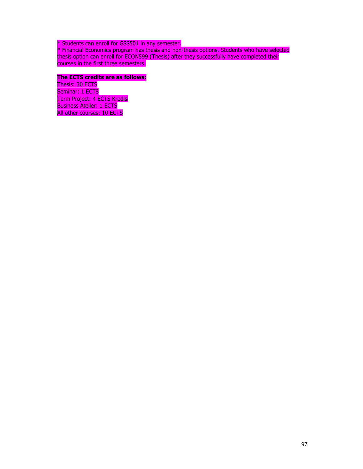\* Students can enroll for GSS501 in any semester. \* Financial Economics program has thesis and non-thesis options. Students who have selected thesis option can enroll for ECON599 (Thesis) after they successfully have completed their courses in the first three semesters.

#### The ECTS credits are as follows: Thesis: 30 ECTS Seminar: 1 ECTS Term Project: 4 ECTS Kredisi Business Atelier: 1 ECTS

All other courses: 10 ECTS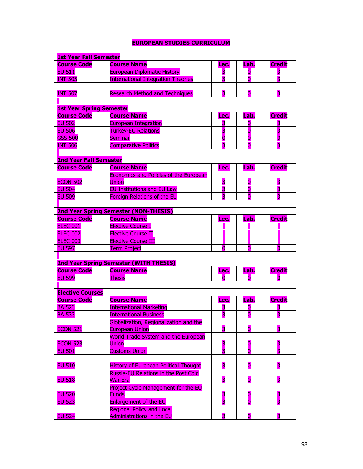## EUROPEAN STUDIES CURRICULUM

| <b>1st Year Fall Semester</b>       |                                                                 |                         |                            |                         |
|-------------------------------------|-----------------------------------------------------------------|-------------------------|----------------------------|-------------------------|
| <b>Course Code</b>                  | <b>Course Name</b>                                              | Lec.                    | Lab.                       | <b>Credit</b>           |
| <b>EU 511</b>                       | <b>European Diplomatic History</b>                              | 3                       | 0                          | 3                       |
| <b>INT 505</b>                      | <b>International Integration Theories</b>                       | 3                       | $\Omega$                   | 3                       |
|                                     |                                                                 |                         |                            |                         |
| <b>INT 507</b>                      | <b>Research Method and Techniques</b>                           | $\overline{\mathbf{3}}$ | $\Omega$                   | $\overline{\mathbf{3}}$ |
|                                     |                                                                 |                         |                            |                         |
| <b>1st Year Spring Semester</b>     |                                                                 |                         |                            |                         |
| <b>Course Code</b>                  | <b>Course Name</b>                                              | Lec.                    | Lab.                       | <b>Credit</b>           |
| <b>EU 502</b>                       | <b>European Integration</b>                                     | 3                       | 0                          | 3                       |
| <b>EU 506</b>                       | <b>Turkey-EU Relations</b>                                      | 3                       | $\overline{0}$             | 3                       |
| <b>GSS 500</b>                      | <b>Seminar</b>                                                  | $\overline{\mathbf{0}}$ | $\overline{0}$             | $\overline{\mathbf{0}}$ |
| <b>INT 506</b>                      | <b>Comparative Politics</b>                                     | 3                       | $\overline{0}$             | 3                       |
|                                     |                                                                 |                         |                            |                         |
| <b>2nd Year Fall Semester</b>       |                                                                 |                         |                            |                         |
| <b>Course Code</b>                  | <b>Course Name</b>                                              | Lec.                    | Lab.                       | <b>Credit</b>           |
|                                     | <b>Economics and Policies of the European</b>                   |                         |                            |                         |
| <b>ECON 502</b>                     | <b>Union</b>                                                    | 3                       | $\overline{0}$             | 3                       |
| <b>EU 504</b>                       | <b>EU Institutions and EU Law</b>                               | 3                       | $\overline{0}$             | 3                       |
| <b>EU 509</b>                       | <b>Foreign Relations of the EU</b>                              | $\overline{\mathbf{3}}$ | $\overline{0}$             | 3                       |
|                                     |                                                                 |                         |                            |                         |
|                                     | <b>2nd Year Spring Semester (NON-THESIS)</b>                    |                         |                            |                         |
| <b>Course Code</b>                  | <b>Course Name</b>                                              | Lec.                    | Lab.                       | <b>Credit</b>           |
| <b>ELEC 001</b>                     | <b>Elective Course I</b>                                        |                         |                            |                         |
| <b>ELEC 002</b>                     | <b>Elective Course II</b>                                       |                         |                            |                         |
| <b>ELEC 003</b>                     | <b>Elective Course III</b>                                      |                         |                            |                         |
| <b>EU 597</b>                       | <b>Term Project</b>                                             | $\overline{0}$          | 0                          | $\mathbf 0$             |
|                                     |                                                                 |                         |                            |                         |
|                                     | <b>2nd Year Spring Semester (WITH THESIS)</b>                   |                         |                            |                         |
| <b>Course Code</b>                  | <b>Course Name</b>                                              | Lec.                    | Lab.                       | <b>Credit</b>           |
| <b>EU 599</b>                       | <b>Thesis</b>                                                   | 0                       | 0                          | 0                       |
| <b>Elective Courses</b>             |                                                                 |                         |                            |                         |
|                                     |                                                                 |                         |                            |                         |
| <b>Course Code</b><br><b>BA 523</b> | <b>Course Name</b>                                              | Lec.                    | Lab.                       | <b>Credit</b>           |
| <b>BA 533</b>                       | <b>International Marketing</b><br><b>International Business</b> | 3<br>3                  | $\bf{0}$<br>$\overline{0}$ | 3<br>3                  |
|                                     |                                                                 |                         |                            |                         |
| <b>ECON 521</b>                     | Globalization, Regionalization and the<br><b>European Union</b> | $\overline{\mathbf{3}}$ | $\overline{0}$             | $\overline{\mathbf{3}}$ |
|                                     | <b>World Trade System and the European</b>                      |                         |                            |                         |
| <b>ECON 523</b>                     | Union                                                           | 3                       | $\overline{0}$             | 3                       |
| <b>EU 501</b>                       | <b>Customs Union</b>                                            | $\overline{\mathbf{3}}$ | $\overline{0}$             | $\overline{\mathbf{3}}$ |
|                                     |                                                                 |                         |                            |                         |
| <b>EU 510</b>                       | <b>History of European Political Thought</b>                    | $\overline{\mathbf{3}}$ | $\overline{0}$             | 3                       |
|                                     | Russia-EU Relations in the Post Cold                            |                         |                            |                         |
| <b>EU 518</b>                       | War Era                                                         | $\overline{\mathbf{3}}$ | $\Omega$                   | 3                       |
|                                     | <b>Project Cycle Management for the EU</b>                      |                         |                            |                         |
| <b>EU 520</b>                       | <b>Funds</b>                                                    | 3                       | $\overline{0}$             | 3                       |
| <b>EU 523</b>                       | <b>Enlargement of the EU</b>                                    | 3                       | $\overline{0}$             | 3                       |
|                                     | <b>Regional Policy and Local</b>                                |                         |                            |                         |
| <b>EU 524</b>                       | <b>Administrations in the EU</b>                                | $\overline{\mathbf{3}}$ | $\overline{0}$             | $\overline{\mathbf{3}}$ |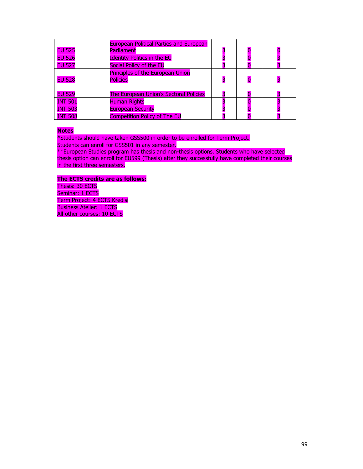|                | <b>European Political Parties and European</b> |  |  |
|----------------|------------------------------------------------|--|--|
| <b>EU 525</b>  | Parliament                                     |  |  |
| <b>EU 526</b>  | <b>Identity Politics in the EU</b>             |  |  |
| <b>EU 527</b>  | Social Policy of the EU                        |  |  |
|                | <b>Principles of the European Union</b>        |  |  |
| <b>EU 528</b>  | <b>Policies</b>                                |  |  |
|                |                                                |  |  |
| <b>EU 529</b>  | <b>The European Union's Sectoral Policies</b>  |  |  |
| <b>INT 501</b> | <b>Human Rights</b>                            |  |  |
| <b>INT 503</b> | <b>European Security</b>                       |  |  |
| <b>INT 508</b> | <b>Competition Policy of The EU</b>            |  |  |

#### **Notes**

\*Students should have taken GSS500 in order to be enrolled for Term Project.

Students can enroll for GSS501 in any semester.

\*\*European Studies program has thesis and non-thesis options. Students who have selected thesis option can enroll for EU599 (Thesis) after they successfully have completed their courses in the first three semesters.

### The ECTS credits are as follows:

Thesis: 30 ECTS Seminar: 1 ECTS Term Project: 4 ECTS Kredisi Business Atelier: 1 ECTS All other courses: 10 ECTS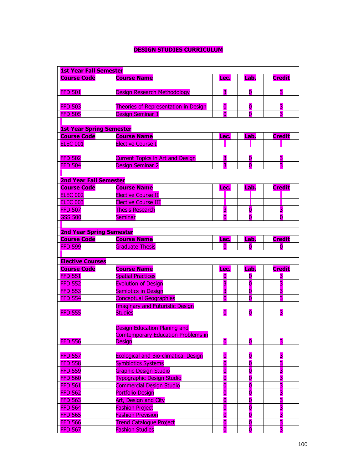### DESIGN STUDIES CURRICULUM

| <b>1st Year Fall Semester</b>    |                                                          |                         |                         |                         |
|----------------------------------|----------------------------------------------------------|-------------------------|-------------------------|-------------------------|
| <b>Course Code</b>               | <b>Course Name</b>                                       | Lec.                    | Lab.                    | <b>Credit</b>           |
|                                  |                                                          |                         |                         |                         |
| <b>FFD 501</b>                   | Design Research Methodology                              | 3                       | 0                       | 3                       |
|                                  |                                                          |                         |                         |                         |
| <b>FFD 503</b>                   | <b>Theories of Representation in Design</b>              | O                       | $\overline{0}$          | 3                       |
| <b>FFD 505</b>                   | Design Seminar 1                                         | Ō                       | $\Omega$                |                         |
|                                  |                                                          |                         |                         |                         |
| <b>1st Year Spring Semester</b>  |                                                          |                         |                         |                         |
| <b>Course Code</b>               | <b>Course Name</b>                                       | Lec.                    | Lab.                    | <b>Credit</b>           |
| <b>ELEC 001</b>                  | <b>Elective Course I</b>                                 |                         |                         |                         |
|                                  |                                                          |                         |                         |                         |
| <b>FFD 502</b>                   | <b>Current Topics in Art and Design</b>                  | 3                       | $\mathbf 0$             | 3                       |
| <b>FFD 504</b>                   | <b>Design Seminar 2</b>                                  | $\overline{\mathbf{3}}$ | 0                       | 3                       |
|                                  |                                                          |                         |                         |                         |
| <b>2nd Year Fall Semester</b>    |                                                          |                         |                         |                         |
| <b>Course Code</b>               | <b>Course Name</b>                                       | Lec.                    | Lab.                    | <b>Credit</b>           |
| <b>ELEC 002</b>                  | <b>Elective Course II</b>                                |                         |                         |                         |
| <b>ELEC 003</b>                  | <b>Elective Course III</b>                               |                         |                         |                         |
| <b>FFD 507</b>                   | <b>Thesis Research</b>                                   | 3                       | $\mathbf 0$             | 3                       |
| <b>GSS 500</b>                   | <b>Seminar</b>                                           | 0                       | $\overline{0}$          | $\overline{0}$          |
|                                  |                                                          |                         |                         |                         |
| <b>2nd Year Spring Semester</b>  |                                                          |                         |                         |                         |
| <b>Course Code</b>               | <b>Course Name</b>                                       | Lec.                    | Lab.                    | <b>Credit</b>           |
| <b>FFD 599</b>                   | <b>Graduate Thesis</b>                                   | n                       | n                       | n                       |
|                                  |                                                          |                         |                         |                         |
| <b>Elective Courses</b>          |                                                          |                         |                         |                         |
| <b>Course Code</b>               | <b>Course Name</b>                                       | Lec.                    | Lab.                    | <b>Credit</b>           |
| $FFD$ 551                        | <b>Spatial Practices</b>                                 | U<br>3                  | U<br>O                  | 3<br>3                  |
| <b>FFD 552</b>                   | <b>Evolution of Design</b>                               | 3                       | $\overline{0}$          | $\overline{\mathbf{3}}$ |
| <b>FFD 553</b><br><b>FFD 554</b> | <b>Semiotics in Design</b>                               | 0                       | $\overline{0}$          | 3                       |
|                                  | <b>Conceptual Geographies</b>                            |                         |                         |                         |
| <b>FFD 555</b>                   | <b>Imaginary and Futuristic Design</b><br><b>Studies</b> | n                       | $\overline{0}$          | 3                       |
|                                  |                                                          |                         |                         |                         |
|                                  | <b>Design Education Planing and</b>                      |                         |                         |                         |
|                                  | <b>Comtemporary Education Problems in</b>                |                         |                         |                         |
| <b>FFD 556</b>                   | <b>Design</b>                                            | $\overline{0}$          | $\overline{0}$          | 3                       |
|                                  |                                                          |                         |                         |                         |
| <b>FFD 557</b>                   | <b>Ecological and Bio-climatical Design</b>              | $\overline{0}$          | $\overline{0}$          | 3                       |
| <b>FFD 558</b>                   | <b>Symbiotics Systems</b>                                | $\overline{0}$          | $\overline{0}$          | 3                       |
| <b>FFD 559</b>                   | <b>Graphic Design Studio</b>                             | $\overline{\mathbf{0}}$ | $\overline{0}$          | 3                       |
| <b>FFD 560</b>                   | <b>Typographic Design Studio</b>                         | $\overline{0}$          | $\overline{0}$          | $\overline{\mathbf{3}}$ |
| <b>FFD 561</b>                   | <b>Commercial Design Studio</b>                          | $\overline{\mathbf{0}}$ | $\overline{0}$          | 3                       |
| <b>FFD 562</b>                   | <b>Portfolio Design</b>                                  | $\overline{0}$          | $\overline{0}$          | 3                       |
| <b>FFD 563</b>                   | Art, Design and City                                     | $\overline{0}$          | $\overline{0}$          | $\overline{\mathbf{3}}$ |
| <b>FFD 564</b>                   | <b>Fashion Project</b>                                   | $\overline{\mathbf{0}}$ | $\overline{0}$          | 3                       |
| <b>FFD 565</b>                   | <b>Fashion Prevision</b>                                 | $\overline{0}$          | $\overline{0}$          | 3                       |
| <b>FFD 566</b>                   | <b>Trend Catalogue Project</b>                           | $\overline{\mathbf{0}}$ | $\overline{\mathbf{0}}$ | 3                       |
| <b>FFD 567</b>                   | <b>Fashion Studies</b>                                   | $\overline{0}$          | $\overline{0}$          | 3                       |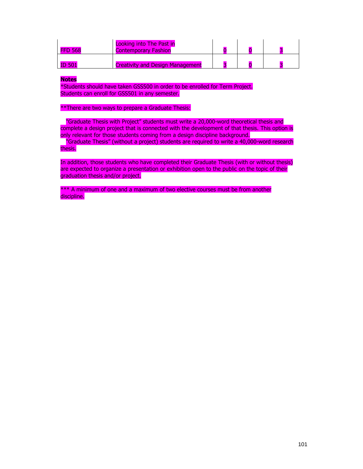| $\vert$ FFD 568 | Looking into The Past in<br><b>Contemporary Fashion</b> |  |  |
|-----------------|---------------------------------------------------------|--|--|
|                 | <b>Creativity and Design Management</b>                 |  |  |

#### Notes

\*Students should have taken GSS500 in order to be enrolled for Term Project. Students can enroll for GSS501 in any semester.

#### \*\*There are two ways to prepare a Graduate Thesis:

"Graduate Thesis with Project" students must write a 20,000-word theoretical thesis and complete a design project that is connected with the development of that thesis. This option is only relevant for those students coming from a design discipline background.

"Graduate Thesis" (without a project) students are required to write a 40,000-word research thesis.

In addition, those students who have completed their Graduate Thesis (with or without thesis) are expected to organize a presentation or exhibition open to the public on the topic of their graduation thesis and/or project.

\*\*\* A minimum of one and a maximum of two elective courses must be from another discipline.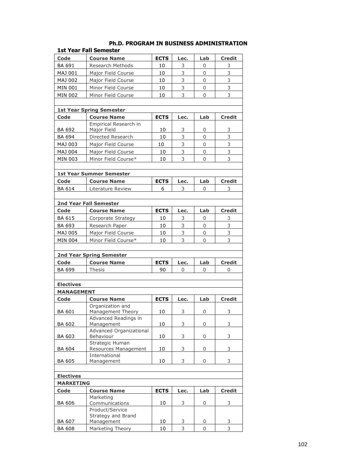|                                      | <b>1st Year Fall Semester</b>      |             |      |             |                |
|--------------------------------------|------------------------------------|-------------|------|-------------|----------------|
| Code                                 | <b>Course Name</b>                 | <b>ECTS</b> | Lec. | Lab         | <b>Credit</b>  |
| <b>BA 691</b>                        | <b>Research Methods</b>            | 10          | 3    | 0           | 3              |
| MAJ 001                              | Major Field Course                 | 10          | 3    | 0           | 3              |
| MAJ 002                              | Major Field Course                 | 10          | 3    | 0           | 3              |
| <b>MIN 001</b>                       | Minor Field Course                 | 10          | 3    | $\Omega$    | $\overline{3}$ |
| MIN 002                              | Minor Field Course                 | 10          | 3    | $\Omega$    | 3              |
|                                      |                                    |             |      |             |                |
|                                      | <b>1st Year Spring Semester</b>    |             |      |             |                |
| Code                                 | <b>Course Name</b>                 | <b>ECTS</b> | Lec. | Lab         | <b>Credit</b>  |
|                                      | Empirical Research in              |             |      |             |                |
| BA 692                               | Major Field                        | 10          | 3    | 0           | 3              |
| <b>BA 694</b>                        | Directed Research                  | 10          | 3    | $\Omega$    | 3              |
| MAJ 003                              | Major Field Course                 | 10          | 3    | 0           | 3              |
| MAJ 004                              | Major Field Course                 | 10          | 3    | $\Omega$    | $\overline{3}$ |
| <b>MIN 003</b>                       | Minor Field Course*                | 10          | 3    | 0           | 3              |
|                                      |                                    |             |      |             |                |
|                                      | <b>1st Year Summer Semester</b>    |             |      |             |                |
| Code                                 | <b>Course Name</b>                 | <b>ECTS</b> | Lec. | Lab         | <b>Credit</b>  |
| BA 614                               | Literature Review                  | 6           | 3    | 0           | 3              |
|                                      |                                    |             |      |             |                |
|                                      | <b>2nd Year Fall Semester</b>      |             |      |             |                |
| Code                                 | <b>Course Name</b>                 | <b>ECTS</b> | Lec. | Lab         | <b>Credit</b>  |
| BA 615                               | Corporate Strategy                 | 10          | 3    | 0           | 3              |
| BA 693                               | Research Paper                     | 10          | 3    | 0           | 3              |
| MAJ 005                              | Major Field Course                 | 10          | 3    | 0           | 3              |
| <b>MIN 004</b>                       | Minor Field Course*                | 10          | 3    | $\Omega$    | 3              |
|                                      |                                    |             |      |             |                |
|                                      | 2nd Year Spring Semester           |             |      |             |                |
| Code                                 | <b>Course Name</b>                 | <b>ECTS</b> | Lec. | Lab         | <b>Credit</b>  |
| BA 699                               | <b>Thesis</b>                      | 90          | 0    | 0           | 0              |
|                                      |                                    |             |      |             |                |
| <b>Electives</b>                     |                                    |             |      |             |                |
| <b>MANAGEMENT</b>                    |                                    |             |      |             |                |
| Code                                 | <b>Course Name</b>                 | <b>ECTS</b> | Lec. | Lab         | <b>Credit</b>  |
|                                      | Organization and                   |             |      |             |                |
| BA 601                               | Management Theory                  | 10          | 3    | $\mathsf 0$ | 3              |
| BA 602                               | Advanced Readings in<br>Management | 10          | 3    | 0           | 3              |
|                                      | Advanced Organizational            |             |      |             |                |
| BA 603                               | Behaviour                          | 10          | 3    | 0           | 3              |
|                                      | Strategic Human                    |             |      |             |                |
| BA 604                               | Resources Management               | 10          | 3    | 0           | 3              |
| BA 605                               | International                      |             | 3    | 0           | 3              |
|                                      | Management                         | 10          |      |             |                |
|                                      |                                    |             |      |             |                |
| <b>Electives</b><br><b>MARKETING</b> |                                    |             |      |             |                |
| Code                                 | <b>Course Name</b>                 | <b>ECTS</b> |      |             | <b>Credit</b>  |
|                                      | Marketing                          |             | Lec. | Lab         |                |
| <b>BA 606</b>                        | Communications                     | 10          | 3    | 0           | 3              |
|                                      | Product/Service                    |             |      |             |                |
|                                      | Strategy and Brand                 |             |      |             |                |
| BA 607                               | Management                         | 10          | 3    | 0           | 3              |
| BA 608                               | Marketing Theory                   | 10          | 3    | 0           | 3              |

## Ph.D. PROGRAM IN BUSINESS ADMINISTRATION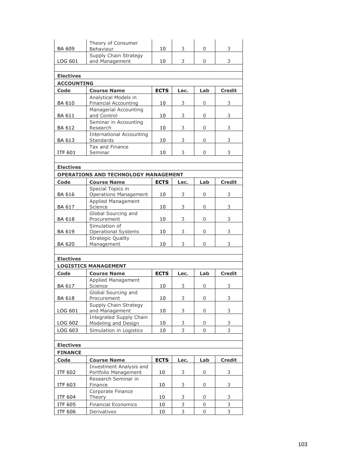|                   | Theory of Consumer                                  |             |      |     |               |
|-------------------|-----------------------------------------------------|-------------|------|-----|---------------|
| <b>BA 609</b>     | Behaviour                                           | 10          | 3    | 0   | 3             |
|                   | Supply Chain Strategy                               |             |      |     |               |
| LOG 601           | and Management                                      | 10          | 3    | 0   | 3             |
|                   |                                                     |             |      |     |               |
| <b>Electives</b>  |                                                     |             |      |     |               |
| <b>ACCOUNTING</b> |                                                     |             |      |     |               |
| Code              | <b>Course Name</b>                                  | <b>ECTS</b> | Lec. | Lab | <b>Credit</b> |
| <b>BA 610</b>     | Analytical Models in<br><b>Financial Accounting</b> | 10          | 3    | 0   | 3             |
|                   | Managerial Accounting                               |             |      |     |               |
| BA 611            | and Control                                         | 10          | 3    | 0   | 3             |
|                   | Seminar in Accounting                               |             |      |     |               |
| BA 612            | Research<br><b>International Accounting</b>         | 10          | 3    | 0   | 3             |
| BA 613            | Standards                                           | 10          | 3    | 0   | 3             |
|                   | Tax and Finance                                     |             |      |     |               |
| <b>ITF 601</b>    | Seminar                                             | 10          | 3    | 0   | 3             |
|                   |                                                     |             |      |     |               |
| <b>Electives</b>  |                                                     |             |      |     |               |
|                   | <b>OPERATIONS AND TECHNOLOGY MANAGEMENT</b>         |             |      |     |               |
| Code              | <b>Course Name</b>                                  | <b>ECTS</b> | Lec. | Lab | <b>Credit</b> |
| BA 616            | Special Topics in<br><b>Operations Management</b>   | 10          | 3    | 0   | 3             |
|                   | Applied Management                                  |             |      |     |               |
| BA 617            | Science                                             | 10          | 3    | 0   | 3             |
| <b>BA 618</b>     | Global Sourcing and<br>Procurement                  | 10          | 3    | 0   | 3             |
|                   | Simulation of                                       |             |      |     |               |
| <b>BA 619</b>     | <b>Operational Systems</b>                          | 10          | 3    | 0   | 3             |
| <b>BA 620</b>     | <b>Strategic Quality</b><br>Management              | 10          | 3    | 0   | 3             |
|                   |                                                     |             |      |     |               |
| <b>Electives</b>  |                                                     |             |      |     |               |
|                   | <b>LOGISTICS MANAGEMENT</b>                         |             |      |     |               |
| Code              | <b>Course Name</b>                                  | <b>ECTS</b> | Lec. | Lab | <b>Credit</b> |
|                   | Applied Management                                  |             |      |     |               |
| <b>BA 617</b>     | Science                                             | 10          | 3    | 0   | 3             |
|                   | Global Sourcing and                                 |             |      |     |               |
| BA 618            | Procurement                                         | 10          | 3    | 0   | 3             |
| LOG 601           | Supply Chain Strategy<br>and Management             | 10          | 3    | 0   | 3             |
|                   | Integrated Supply Chain                             |             |      |     |               |
| LOG 602           | Modeling and Design                                 | 10          | 3    | 0   | 3             |
| LOG 603           | Simulation in Logistics                             | 10          | 3    | 0   | 3             |
|                   |                                                     |             |      |     |               |
| <b>Electives</b>  |                                                     |             |      |     |               |
| <b>FINANCE</b>    |                                                     |             |      |     |               |
| Code              | <b>Course Name</b>                                  | <b>ECTS</b> | Lec. | Lab | <b>Credit</b> |
| <b>ITF 602</b>    | Investment Analysis and<br>Portfolio Management     | 10          | 3    | 0   | 3             |
|                   | Research Seminar in                                 |             |      |     |               |
| ITF 603           | Finance                                             | 10          | 3    | 0   | 3             |
|                   | Corporate Finance                                   |             |      |     |               |
| ITF 604           | Theory                                              | 10          | 3    | 0   | 3             |
| ITF 605           | <b>Financial Economics</b>                          | 10          | 3    | 0   | 3             |
| <b>ITF 606</b>    | Derivatives                                         | 10          | 3    | 0   | 3             |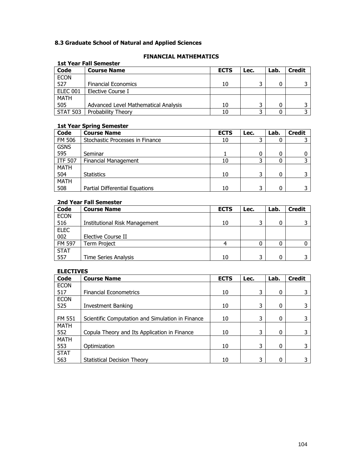### 8.3 Graduate School of Natural and Applied Sciences

|                 | <b>1st Year Fall Semester</b>        |             |      |      |        |  |  |  |
|-----------------|--------------------------------------|-------------|------|------|--------|--|--|--|
| Code            | <b>Course Name</b>                   | <b>ECTS</b> | Lec. | Lab. | Credit |  |  |  |
| <b>ECON</b>     |                                      |             |      |      |        |  |  |  |
| 527             | <b>Financial Economics</b>           | 10          |      |      |        |  |  |  |
| <b>ELEC 001</b> | Elective Course I                    |             |      |      |        |  |  |  |
| <b>MATH</b>     |                                      |             |      |      |        |  |  |  |
| 505             | Advanced Level Mathematical Analysis | 10          | 3    |      |        |  |  |  |
| <b>STAT 503</b> | Probability Theory                   | 10          | 3    |      | ∍      |  |  |  |

### FINANCIAL MATHEMATICS

### 1st Year Spring Semester

| Code           | <b>Course Name</b>              | <b>ECTS</b> | Lec. | Lab. | <b>Credit</b> |
|----------------|---------------------------------|-------------|------|------|---------------|
| <b>FM 506</b>  | Stochastic Processes in Finance | 10          |      | 0    |               |
| <b>GSNS</b>    |                                 |             |      |      |               |
| 595            | Seminar                         |             | 0    | 0    |               |
| <b>ITF 507</b> | <b>Financial Management</b>     | 10          | 3    | 0    |               |
| <b>MATH</b>    |                                 |             |      |      |               |
| 504            | <b>Statistics</b>               | 10          | 3    | 0    |               |
| <b>MATH</b>    |                                 |             |      |      |               |
| 508            | Partial Differential Equations  | 10          | 3    | 0    |               |

### 2nd Year Fall Semester

| Code        | <b>Course Name</b>            | <b>ECTS</b> | Lec. | Lab. | <b>Credit</b> |
|-------------|-------------------------------|-------------|------|------|---------------|
| <b>ECON</b> |                               |             |      |      |               |
| 516         | Institutional Risk Management | 10          | っ    |      |               |
| <b>ELEC</b> |                               |             |      |      |               |
| 002         | Elective Course II            |             |      |      |               |
| FM 597      | Term Project                  | 4           | 0    |      |               |
| <b>STAT</b> |                               |             |      |      |               |
| 557         | <b>Time Series Analysis</b>   | 10          | 3    | 0    |               |

### ELECTIVES

| Code          | <b>Course Name</b>                               | <b>ECTS</b> | Lec. | Lab.         | <b>Credit</b> |
|---------------|--------------------------------------------------|-------------|------|--------------|---------------|
| <b>ECON</b>   |                                                  |             |      |              |               |
| 517           | <b>Financial Econometrics</b>                    | 10          | 3    | 0            |               |
| <b>ECON</b>   |                                                  |             |      |              |               |
| 525           | Investment Banking                               | 10          | 3    | $\Omega$     | っ             |
|               |                                                  |             |      |              |               |
| <b>FM 551</b> | Scientific Computation and Simulation in Finance | 10          | 3    | $\mathbf{0}$ |               |
| <b>MATH</b>   |                                                  |             |      |              |               |
| 552           | Copula Theory and Its Application in Finance     | 10          | 3    | $\Omega$     |               |
| <b>MATH</b>   |                                                  |             |      |              |               |
| 553           | Optimization                                     | 10          | 3    | $\mathbf{0}$ |               |
| <b>STAT</b>   |                                                  |             |      |              |               |
| 563           | <b>Statistical Decision Theory</b>               | 10          | 3    | 0            |               |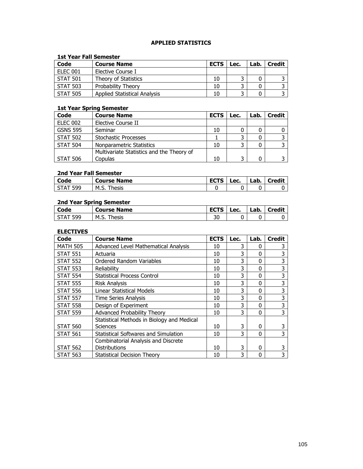### APPLIED STATISTICS

### 1st Year Fall Semester

| Code            | <b>Course Name</b>                  | <b>ECTS</b> | Lec. | Lab. | <b>Credit</b> |
|-----------------|-------------------------------------|-------------|------|------|---------------|
| <b>ELEC 001</b> | Elective Course I                   |             |      |      |               |
| <b>STAT 501</b> | Theory of Statistics                | 10          |      |      |               |
| <b>STAT 503</b> | Probability Theory                  | 10          | っ    |      |               |
| <b>STAT 505</b> | <b>Applied Statistical Analysis</b> | 10          |      |      |               |

### 1st Year Spring Semester

| Code            | <b>Course Name</b>                        | <b>ECTS</b> | Lec. | Lab. | <b>Credit</b> |
|-----------------|-------------------------------------------|-------------|------|------|---------------|
| <b>ELEC 002</b> | Elective Course II                        |             |      |      |               |
| <b>GSNS 595</b> | Seminar                                   | 10          | 0    |      |               |
| <b>STAT 502</b> | <b>Stochastic Processes</b>               |             | 3    |      |               |
| <b>STAT 504</b> | Nonparametric Statistics                  | 10          | 3    |      |               |
|                 | Multivariate Statistics and the Theory of |             |      |      |               |
| <b>STAT 506</b> | Copulas                                   | 10          | 3    |      |               |

### 2nd Year Fall Semester

| Code      | <b>Course Name</b> | ECIS | Lec.   | ∟ab. | Credit |
|-----------|--------------------|------|--------|------|--------|
| 599<br>ΑI | M.S.<br>hesis      |      | ⌒<br>u | ີ    |        |

### 2nd Year Spring Semester

| Code                    | <b>Course Name</b> | <b>ECTS</b> | Lec.   | ∟ab. | <b>Credit</b> |
|-------------------------|--------------------|-------------|--------|------|---------------|
| <b>STAT 599</b><br>5IA' | M.S.<br>hesis      | חר<br>υc    | ⌒<br>U | u    |               |

#### ELECTIVES

| Code            | <b>Course Name</b>                         | <b>ECTS</b> | Lec. | Lab. | <b>Credit</b> |
|-----------------|--------------------------------------------|-------------|------|------|---------------|
| <b>MATH 505</b> | Advanced Level Mathematical Analysis       | 10          | 3    | 0    | 3             |
| <b>STAT 551</b> | Actuaria                                   | 10          | 3    | 0    | 3             |
| <b>STAT 552</b> | Ordered Random Variables                   | 10          | 3    | 0    | 3             |
| <b>STAT 553</b> | Reliability                                | 10          | 3    | 0    | 3             |
| <b>STAT 554</b> | <b>Statistical Process Control</b>         | 10          | 3    | 0    | 3             |
| <b>STAT 555</b> | <b>Risk Analysis</b>                       | 10          | 3    | 0    | 3             |
| <b>STAT 556</b> | Linear Statistical Models                  | 10          | 3    | 0    | 3             |
| <b>STAT 557</b> | <b>Time Series Analysis</b>                | 10          | 3    | 0    | 3             |
| <b>STAT 558</b> | Design of Experiment                       | 10          | 3    | 0    | 3             |
| <b>STAT 559</b> | Advanced Probability Theory                | 10          | 3    | 0    | 3             |
|                 | Statistical Methods in Biology and Medical |             |      |      |               |
| <b>STAT 560</b> | Sciences                                   | 10          | 3    | 0    | 3             |
| <b>STAT 561</b> | Statistical Softwares and Simulation       | 10          | 3    | 0    | 3             |
|                 | Combinatorial Analysis and Discrete        |             |      |      |               |
| <b>STAT 562</b> | Distributions                              | 10          | 3    | 0    | 3             |
| <b>STAT 563</b> | <b>Statistical Decision Theory</b>         | 10          | 3    | 0    | 3             |